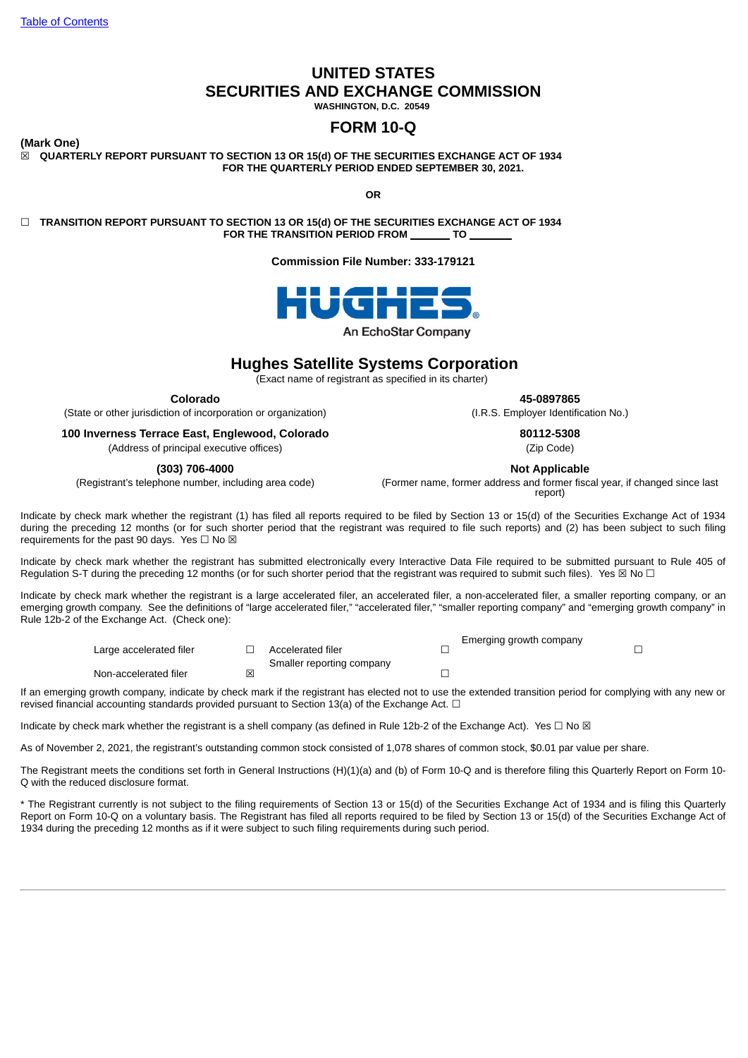# **UNITED STATES SECURITIES AND EXCHANGE COMMISSION WASHINGTON, D.C. 20549**

# **FORM 10-Q**

**(Mark One)**

☒ **QUARTERLY REPORT PURSUANT TO SECTION 13 OR 15(d) OF THE SECURITIES EXCHANGE ACT OF 1934 FOR THE QUARTERLY PERIOD ENDED SEPTEMBER 30, 2021.**

**OR**

☐ **TRANSITION REPORT PURSUANT TO SECTION 13 OR 15(d) OF THE SECURITIES EXCHANGE ACT OF 1934 FOR THE TRANSITION PERIOD FROM TO** 

**Commission File Number: 333-179121**



# **Hughes Satellite Systems Corporation**

(Exact name of registrant as specified in its charter)

**Colorado 45-0897865**

(State or other jurisdiction of incorporation or organization) (I.R.S. Employer Identification No.)

# **100 Inverness Terrace East, Englewood, Colorado 80112-5308**

(Address of principal executive offices) (Zip Code)

**(303) 706-4000 Not Applicable**

(Registrant's telephone number, including area code) (Former name, former address and former fiscal year, if changed since last report)

☐

Indicate by check mark whether the registrant (1) has filed all reports required to be filed by Section 13 or 15(d) of the Securities Exchange Act of 1934 during the preceding 12 months (or for such shorter period that the registrant was required to file such reports) and (2) has been subject to such filing requirements for the past 90 days. Yes  $\Box$  No  $\boxtimes$ 

Indicate by check mark whether the registrant has submitted electronically every Interactive Data File required to be submitted pursuant to Rule 405 of Regulation S-T during the preceding 12 months (or for such shorter period that the registrant was required to submit such files). Yes  $\boxtimes$  No  $\Box$ 

Indicate by check mark whether the registrant is a large accelerated filer, an accelerated filer, a non-accelerated filer, a smaller reporting company, or an emerging growth company. See the definitions of "large accelerated filer," "accelerated filer," "smaller reporting company" and "emerging growth company" in Rule 12b-2 of the Exchange Act. (Check one):

Large accelerated filer ☐ Accelerated filer ☐ Emerging growth company Non-accelerated filer  $\boxtimes$ Smaller reporting company  $\Box$ 

If an emerging growth company, indicate by check mark if the registrant has elected not to use the extended transition period for complying with any new or revised financial accounting standards provided pursuant to Section 13(a) of the Exchange Act.  $\Box$ 

Indicate by check mark whether the registrant is a shell company (as defined in Rule 12b-2 of the Exchange Act). Yes  $\Box$  No  $\boxtimes$ 

As of November 2, 2021, the registrant's outstanding common stock consisted of 1,078 shares of common stock, \$0.01 par value per share.

The Registrant meets the conditions set forth in General Instructions (H)(1)(a) and (b) of Form 10-Q and is therefore filing this Quarterly Report on Form 10- Q with the reduced disclosure format.

<span id="page-0-0"></span>\* The Registrant currently is not subject to the filing requirements of Section 13 or 15(d) of the Securities Exchange Act of 1934 and is filing this Quarterly Report on Form 10-Q on a voluntary basis. The Registrant has filed all reports required to be filed by Section 13 or 15(d) of the Securities Exchange Act of 1934 during the preceding 12 months as if it were subject to such filing requirements during such period.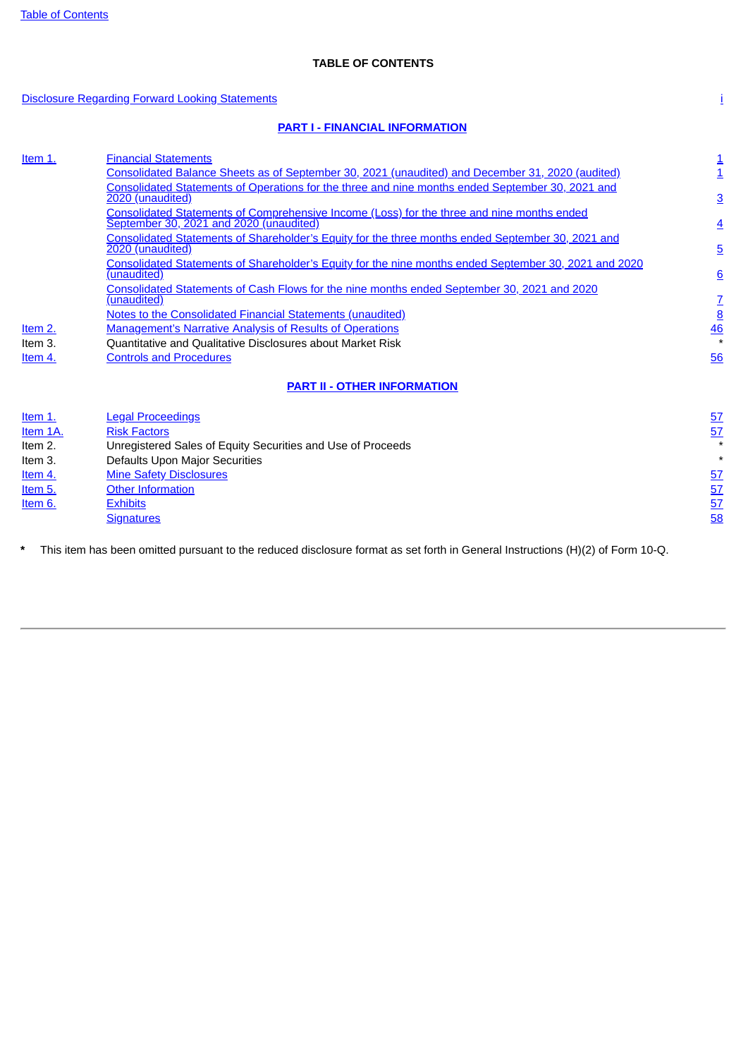# **TABLE OF CONTENTS**

# Disclosure Regarding Forward Looking [Statements](#page-1-0) [i](#page-1-0)

# **PART I - FINANCIAL [INFORMATION](#page-2-0)**

| Item 1.                     | <b>Financial Statements</b>                                                                                                                     |                 |
|-----------------------------|-------------------------------------------------------------------------------------------------------------------------------------------------|-----------------|
|                             | Consolidated Balance Sheets as of September 30, 2021 (unaudited) and December 31, 2020 (audited)                                                |                 |
|                             | Consolidated Statements of Operations for the three and nine months ended September 30, 2021 and<br>2020 (unaudited)                            | $\overline{3}$  |
|                             | Consolidated Statements of Comprehensive Income (Loss) for the three and nine months ended<br>September 30, 2021 and 2020 (unaudited)           | $\overline{4}$  |
|                             | Consolidated Statements of Shareholder's Equity for the three months ended September 30, 2021 and<br>2020 (unaudited)                           | $\overline{5}$  |
|                             | Consolidated Statements of Shareholder's Equity for the nine months ended September 30, 2021 and 2020<br>(unaudited)                            | 6               |
|                             | Consolidated Statements of Cash Flows for the nine months ended September 30, 2021 and 2020<br>(unaudited)                                      |                 |
|                             | Notes to the Consolidated Financial Statements (unaudited)                                                                                      | $\underline{8}$ |
| Item 2.                     | <b>Management's Narrative Analysis of Results of Operations</b>                                                                                 | 46              |
| Item 3.                     | <b>Ouantitative and Qualitative Disclosures about Market Risk</b>                                                                               |                 |
| Item 4.                     | <b>Controls and Procedures</b>                                                                                                                  | 56              |
|                             | <b>PART II - OTHER INFORMATION</b>                                                                                                              |                 |
| Item $1$ .                  | <b>Legal Proceedings</b>                                                                                                                        | 57              |
| Item 1A.                    | <b>Risk Factors</b>                                                                                                                             | 57              |
| $\mathbf{u}$ . $\mathbf{v}$ | The contract of $\mathbf{A}$ , and $\mathbf{A}$ is the contract of $\mathbf{A}$ is the contract of $\mathbf{A}$ is the contract of $\mathbf{A}$ |                 |

| Item 1A. | <b>RISK Factors</b>                                         | <u>57</u> |
|----------|-------------------------------------------------------------|-----------|
| Item 2.  | Unregistered Sales of Equity Securities and Use of Proceeds | $\star$   |
| Item 3.  | Defaults Upon Major Securities                              | $\star$   |
| Item 4.  | <b>Mine Safety Disclosures</b>                              | 57        |
| Item 5.  | <b>Other Information</b>                                    | 57        |
| Item 6.  | <b>Exhibits</b>                                             | 57        |
|          | <b>Signatures</b>                                           | 58        |
|          |                                                             |           |

<span id="page-1-0"></span>**\*** This item has been omitted pursuant to the reduced disclosure format as set forth in General Instructions (H)(2) of Form 10-Q.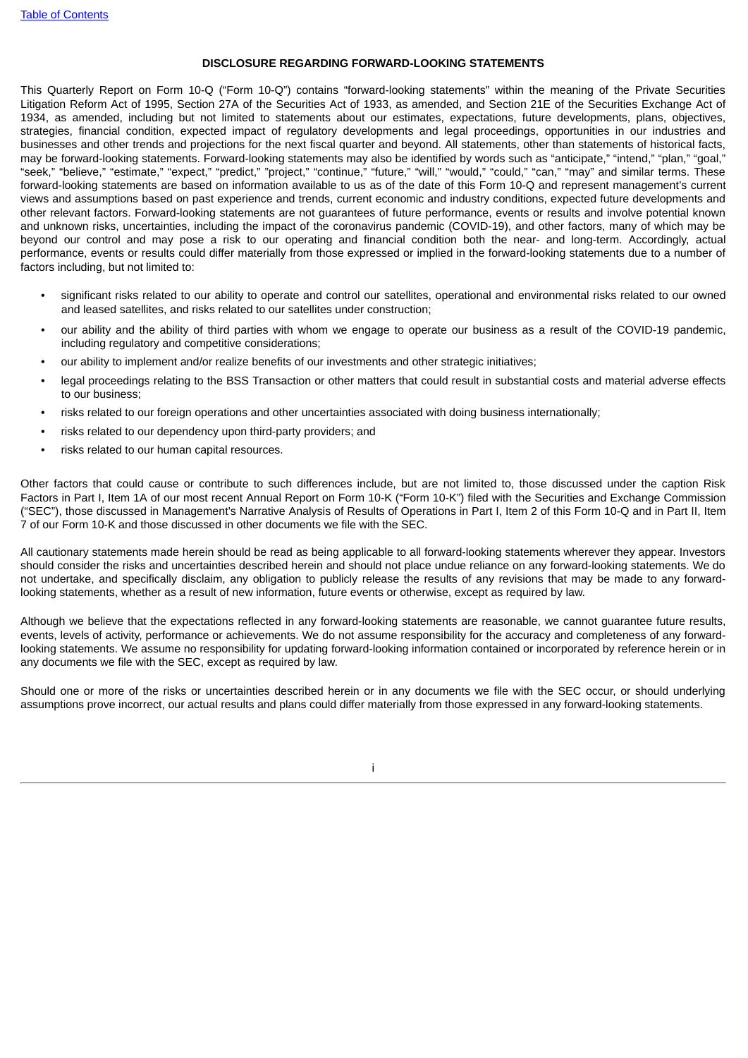### **DISCLOSURE REGARDING FORWARD-LOOKING STATEMENTS**

This Quarterly Report on Form 10-Q ("Form 10-Q") contains "forward-looking statements" within the meaning of the Private Securities Litigation Reform Act of 1995, Section 27A of the Securities Act of 1933, as amended, and Section 21E of the Securities Exchange Act of 1934, as amended, including but not limited to statements about our estimates, expectations, future developments, plans, objectives, strategies, financial condition, expected impact of regulatory developments and legal proceedings, opportunities in our industries and businesses and other trends and projections for the next fiscal quarter and beyond. All statements, other than statements of historical facts, may be forward-looking statements. Forward-looking statements may also be identified by words such as "anticipate," "intend," "plan," "goal," "seek," "believe," "estimate," "expect," "predict," "project," "continue," "future," "will," "would," "could," "can," "may" and similar terms. These forward-looking statements are based on information available to us as of the date of this Form 10-Q and represent management's current views and assumptions based on past experience and trends, current economic and industry conditions, expected future developments and other relevant factors. Forward-looking statements are not guarantees of future performance, events or results and involve potential known and unknown risks, uncertainties, including the impact of the coronavirus pandemic (COVID-19), and other factors, many of which may be beyond our control and may pose a risk to our operating and financial condition both the near- and long-term. Accordingly, actual performance, events or results could differ materially from those expressed or implied in the forward-looking statements due to a number of factors including, but not limited to:

- significant risks related to our ability to operate and control our satellites, operational and environmental risks related to our owned and leased satellites, and risks related to our satellites under construction;
- our ability and the ability of third parties with whom we engage to operate our business as a result of the COVID-19 pandemic, including regulatory and competitive considerations;
- our ability to implement and/or realize benefits of our investments and other strategic initiatives;
- legal proceedings relating to the BSS Transaction or other matters that could result in substantial costs and material adverse effects to our business;
- risks related to our foreign operations and other uncertainties associated with doing business internationally;
- risks related to our dependency upon third-party providers; and
- risks related to our human capital resources.

Other factors that could cause or contribute to such differences include, but are not limited to, those discussed under the caption Risk Factors in Part I, Item 1A of our most recent Annual Report on Form 10-K ("Form 10-K") filed with the Securities and Exchange Commission ("SEC"), those discussed in Management's Narrative Analysis of Results of Operations in Part I, Item 2 of this Form 10-Q and in Part II, Item 7 of our Form 10-K and those discussed in other documents we file with the SEC.

All cautionary statements made herein should be read as being applicable to all forward-looking statements wherever they appear. Investors should consider the risks and uncertainties described herein and should not place undue reliance on any forward-looking statements. We do not undertake, and specifically disclaim, any obligation to publicly release the results of any revisions that may be made to any forwardlooking statements, whether as a result of new information, future events or otherwise, except as required by law.

Although we believe that the expectations reflected in any forward-looking statements are reasonable, we cannot guarantee future results, events, levels of activity, performance or achievements. We do not assume responsibility for the accuracy and completeness of any forwardlooking statements. We assume no responsibility for updating forward-looking information contained or incorporated by reference herein or in any documents we file with the SEC, except as required by law.

<span id="page-2-0"></span>Should one or more of the risks or uncertainties described herein or in any documents we file with the SEC occur, or should underlying assumptions prove incorrect, our actual results and plans could differ materially from those expressed in any forward-looking statements.

i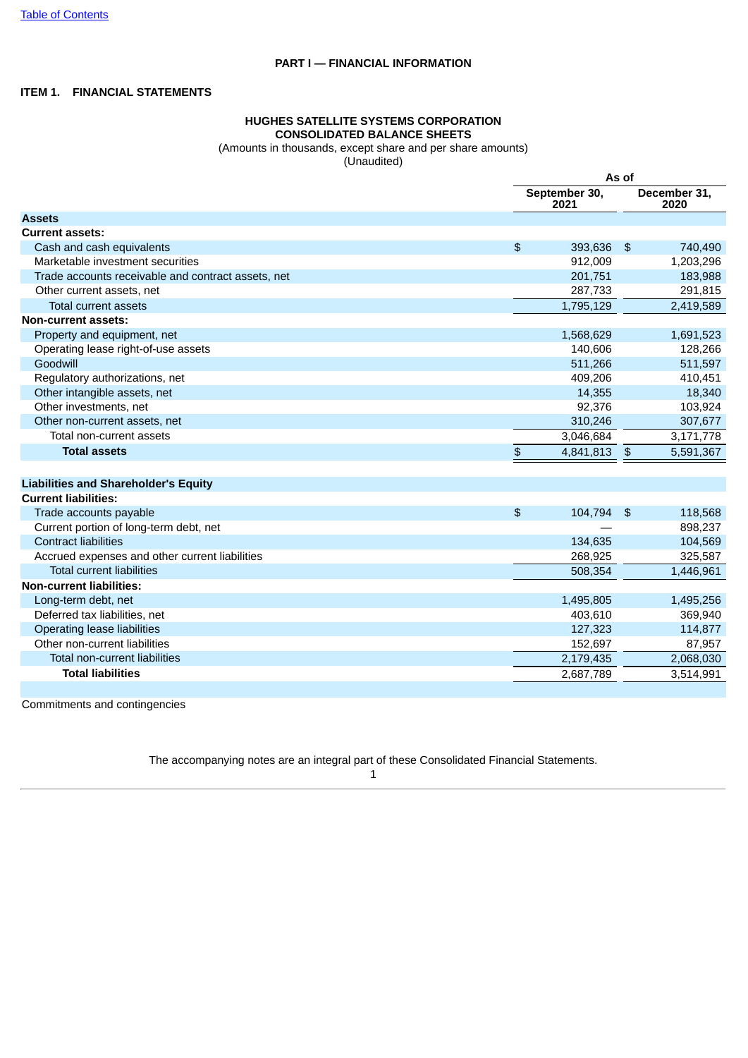# **PART I — FINANCIAL INFORMATION**

# <span id="page-3-1"></span><span id="page-3-0"></span>**ITEM 1. FINANCIAL STATEMENTS**

# **HUGHES SATELLITE SYSTEMS CORPORATION CONSOLIDATED BALANCE SHEETS**

# (Amounts in thousands, except share and per share amounts)

(Unaudited)

|                                                    | As of<br>September 30,<br>2021<br>$\mathfrak{P}$<br>393,636<br>\$<br>912,009<br>201,751<br>287,733<br>1,795,129<br>1,568,629<br>140,606<br>511.266<br>409,206<br>14,355<br>92,376<br>310,246<br>3,046,684<br>\$<br>4,841,813<br>$\frac{1}{2}$<br>$\mathfrak{P}$<br>104,794<br>- \$<br>134,635<br>268,925<br>508,354 |  |                      |
|----------------------------------------------------|---------------------------------------------------------------------------------------------------------------------------------------------------------------------------------------------------------------------------------------------------------------------------------------------------------------------|--|----------------------|
|                                                    |                                                                                                                                                                                                                                                                                                                     |  | December 31,<br>2020 |
| <b>Assets</b>                                      |                                                                                                                                                                                                                                                                                                                     |  |                      |
| <b>Current assets:</b>                             |                                                                                                                                                                                                                                                                                                                     |  |                      |
| Cash and cash equivalents                          |                                                                                                                                                                                                                                                                                                                     |  | 740,490              |
| Marketable investment securities                   |                                                                                                                                                                                                                                                                                                                     |  | 1,203,296            |
| Trade accounts receivable and contract assets, net |                                                                                                                                                                                                                                                                                                                     |  | 183,988              |
| Other current assets, net                          |                                                                                                                                                                                                                                                                                                                     |  | 291,815              |
| <b>Total current assets</b>                        |                                                                                                                                                                                                                                                                                                                     |  | 2,419,589            |
| <b>Non-current assets:</b>                         |                                                                                                                                                                                                                                                                                                                     |  |                      |
| Property and equipment, net                        |                                                                                                                                                                                                                                                                                                                     |  | 1,691,523            |
| Operating lease right-of-use assets                |                                                                                                                                                                                                                                                                                                                     |  | 128,266              |
| Goodwill                                           |                                                                                                                                                                                                                                                                                                                     |  | 511,597              |
| Regulatory authorizations, net                     |                                                                                                                                                                                                                                                                                                                     |  | 410,451              |
| Other intangible assets, net                       |                                                                                                                                                                                                                                                                                                                     |  | 18,340               |
| Other investments, net                             |                                                                                                                                                                                                                                                                                                                     |  | 103,924              |
| Other non-current assets, net                      |                                                                                                                                                                                                                                                                                                                     |  | 307,677              |
| Total non-current assets                           |                                                                                                                                                                                                                                                                                                                     |  | 3,171,778            |
| <b>Total assets</b>                                |                                                                                                                                                                                                                                                                                                                     |  | 5,591,367            |
| <b>Liabilities and Shareholder's Equity</b>        |                                                                                                                                                                                                                                                                                                                     |  |                      |
| <b>Current liabilities:</b>                        |                                                                                                                                                                                                                                                                                                                     |  |                      |
| Trade accounts payable                             |                                                                                                                                                                                                                                                                                                                     |  | 118,568              |
| Current portion of long-term debt, net             |                                                                                                                                                                                                                                                                                                                     |  | 898,237              |
| <b>Contract liabilities</b>                        |                                                                                                                                                                                                                                                                                                                     |  | 104,569              |
| Accrued expenses and other current liabilities     |                                                                                                                                                                                                                                                                                                                     |  | 325,587              |
| <b>Total current liabilities</b>                   |                                                                                                                                                                                                                                                                                                                     |  | 1,446,961            |
| <b>Non-current liabilities:</b>                    |                                                                                                                                                                                                                                                                                                                     |  |                      |
| Long-term debt, net                                | 1,495,805                                                                                                                                                                                                                                                                                                           |  | 1,495,256            |
| Deferred tax liabilities, net                      | 403,610                                                                                                                                                                                                                                                                                                             |  | 369,940              |
| Operating lease liabilities                        | 127,323                                                                                                                                                                                                                                                                                                             |  | 114,877              |
| Other non-current liabilities                      | 152,697                                                                                                                                                                                                                                                                                                             |  | 87,957               |
| <b>Total non-current liabilities</b>               | 2,179,435                                                                                                                                                                                                                                                                                                           |  | 2,068,030            |
| <b>Total liabilities</b>                           | 2,687,789                                                                                                                                                                                                                                                                                                           |  | 3,514,991            |
|                                                    |                                                                                                                                                                                                                                                                                                                     |  |                      |

Commitments and contingencies

The accompanying notes are an integral part of these Consolidated Financial Statements.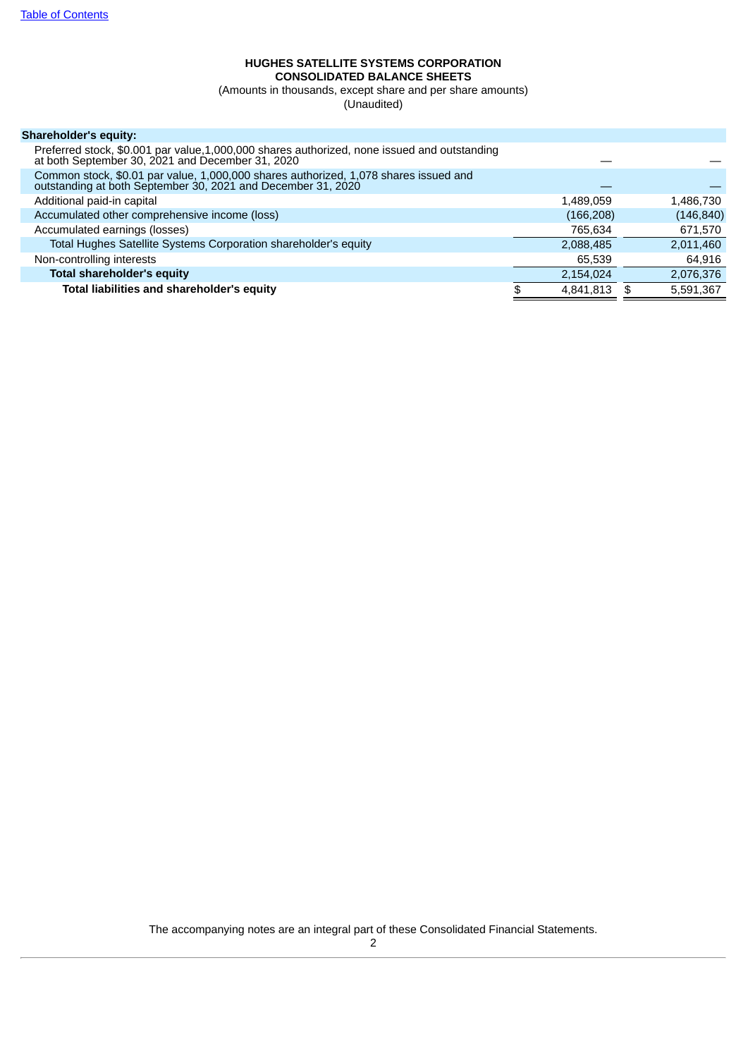# **HUGHES SATELLITE SYSTEMS CORPORATION CONSOLIDATED BALANCE SHEETS**

(Amounts in thousands, except share and per share amounts)

(Unaudited)

# **Shareholder's equity:**

| Preferred stock, \$0.001 par value,1,000,000 shares authorized, none issued and outstanding<br>at both September 30, 2021 and December 31, 2020      |            |            |
|------------------------------------------------------------------------------------------------------------------------------------------------------|------------|------------|
| Common stock, \$0.01 par value, 1,000,000 shares authorized, 1,078 shares issued and<br>outstanding at both September 30, 2021 and December 31, 2020 |            |            |
| Additional paid-in capital                                                                                                                           | 1,489,059  | 1,486,730  |
| Accumulated other comprehensive income (loss)                                                                                                        | (166, 208) | (146, 840) |
| Accumulated earnings (losses)                                                                                                                        | 765.634    | 671.570    |
| Total Hughes Satellite Systems Corporation shareholder's equity                                                                                      | 2,088,485  | 2,011,460  |
| Non-controlling interests                                                                                                                            | 65.539     | 64.916     |
| <b>Total shareholder's equity</b>                                                                                                                    | 2.154.024  | 2,076,376  |
| Total liabilities and shareholder's equity                                                                                                           | 4.841.813  | 5,591,367  |
|                                                                                                                                                      |            |            |

The accompanying notes are an integral part of these Consolidated Financial Statements.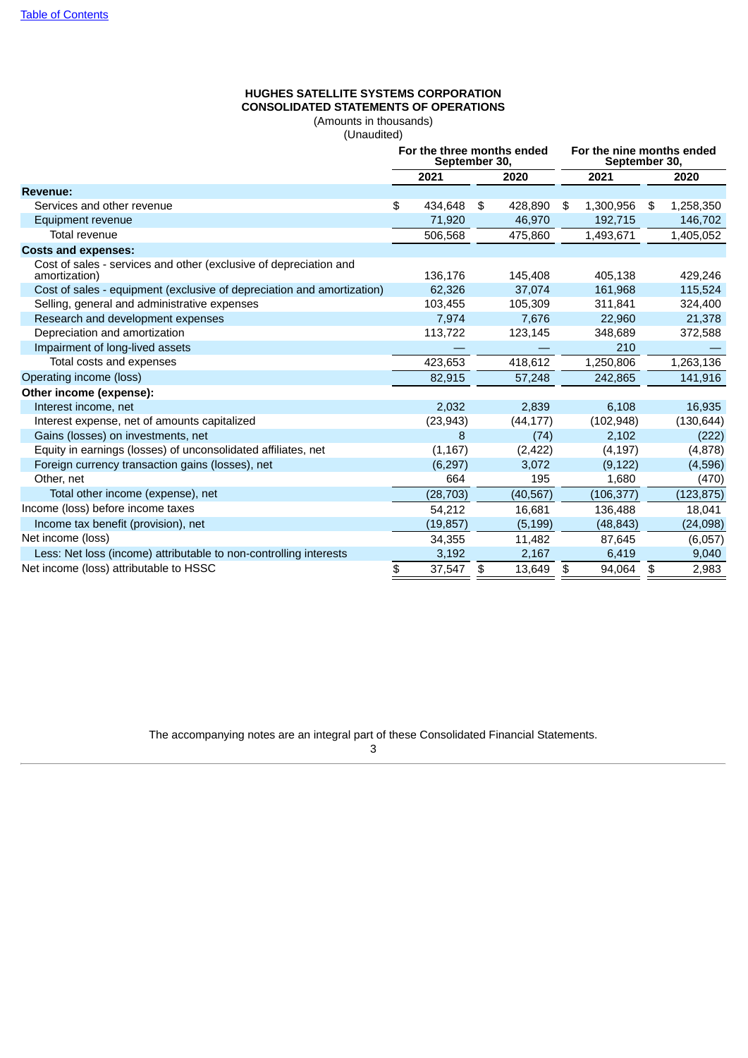# **HUGHES SATELLITE SYSTEMS CORPORATION CONSOLIDATED STATEMENTS OF OPERATIONS**

(Amounts in thousands)

| (Unaudited) |
|-------------|
|-------------|

<span id="page-5-0"></span>

|                                                                                    | For the three months ended<br>September 30, |               | For the nine months ended<br>September 30, |            |    |            |
|------------------------------------------------------------------------------------|---------------------------------------------|---------------|--------------------------------------------|------------|----|------------|
|                                                                                    | 2021                                        | 2020          |                                            | 2021       |    | 2020       |
| Revenue:                                                                           |                                             |               |                                            |            |    |            |
| Services and other revenue                                                         | \$<br>434,648                               | \$<br>428,890 | \$                                         | 1,300,956  | \$ | 1,258,350  |
| Equipment revenue                                                                  | 71,920                                      | 46.970        |                                            | 192,715    |    | 146,702    |
| Total revenue                                                                      | 506,568                                     | 475,860       |                                            | 1,493,671  |    | 1,405,052  |
| <b>Costs and expenses:</b>                                                         |                                             |               |                                            |            |    |            |
| Cost of sales - services and other (exclusive of depreciation and<br>amortization) | 136,176                                     | 145,408       |                                            | 405,138    |    | 429,246    |
| Cost of sales - equipment (exclusive of depreciation and amortization)             | 62,326                                      | 37,074        |                                            | 161,968    |    | 115,524    |
| Selling, general and administrative expenses                                       | 103,455                                     | 105,309       |                                            | 311,841    |    | 324,400    |
| Research and development expenses                                                  | 7,974                                       | 7,676         |                                            | 22,960     |    | 21,378     |
| Depreciation and amortization                                                      | 113,722                                     | 123,145       |                                            | 348,689    |    | 372,588    |
| Impairment of long-lived assets                                                    |                                             |               |                                            | 210        |    |            |
| Total costs and expenses                                                           | 423,653                                     | 418,612       |                                            | 1,250,806  |    | 1,263,136  |
| Operating income (loss)                                                            | 82,915                                      | 57,248        |                                            | 242,865    |    | 141,916    |
| Other income (expense):                                                            |                                             |               |                                            |            |    |            |
| Interest income, net                                                               | 2,032                                       | 2,839         |                                            | 6,108      |    | 16,935     |
| Interest expense, net of amounts capitalized                                       | (23, 943)                                   | (44, 177)     |                                            | (102, 948) |    | (130, 644) |
| Gains (losses) on investments, net                                                 | 8                                           | (74)          |                                            | 2,102      |    | (222)      |
| Equity in earnings (losses) of unconsolidated affiliates, net                      | (1, 167)                                    | (2, 422)      |                                            | (4, 197)   |    | (4,878)    |
| Foreign currency transaction gains (losses), net                                   | (6, 297)                                    | 3,072         |                                            | (9, 122)   |    | (4,596)    |
| Other, net                                                                         | 664                                         | 195           |                                            | 1,680      |    | (470)      |
| Total other income (expense), net                                                  | (28, 703)                                   | (40, 567)     |                                            | (106, 377) |    | (123, 875) |
| Income (loss) before income taxes                                                  | 54,212                                      | 16,681        |                                            | 136,488    |    | 18,041     |
| Income tax benefit (provision), net                                                | (19, 857)                                   | (5, 199)      |                                            | (48, 843)  |    | (24,098)   |
| Net income (loss)                                                                  | 34,355                                      | 11,482        |                                            | 87,645     |    | (6,057)    |
| Less: Net loss (income) attributable to non-controlling interests                  | 3,192                                       | 2,167         |                                            | 6,419      |    | 9,040      |
| Net income (loss) attributable to HSSC                                             | \$<br>37,547                                | \$<br>13,649  | \$                                         | 94,064     | \$ | 2,983      |

<span id="page-5-1"></span>The accompanying notes are an integral part of these Consolidated Financial Statements.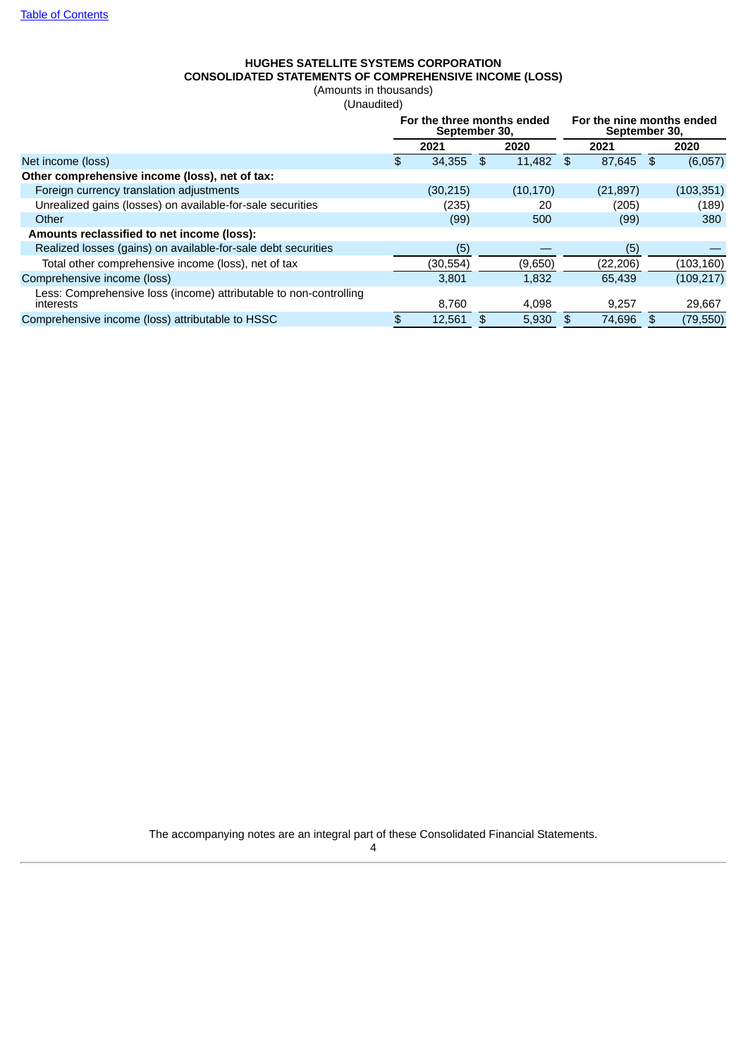# **HUGHES SATELLITE SYSTEMS CORPORATION CONSOLIDATED STATEMENTS OF COMPREHENSIVE INCOME (LOSS)** (Amounts in thousands)

(Unaudited)

|                                                                                | For the three months ended<br>September 30, |           |    |           |    | For the nine months ended<br>September 30, |    |            |  |
|--------------------------------------------------------------------------------|---------------------------------------------|-----------|----|-----------|----|--------------------------------------------|----|------------|--|
|                                                                                |                                             | 2021      |    | 2020      |    | 2021                                       |    | 2020       |  |
| Net income (loss)                                                              | \$                                          | 34.355    | \$ | 11.482    | \$ | 87.645                                     | \$ | (6,057)    |  |
| Other comprehensive income (loss), net of tax:                                 |                                             |           |    |           |    |                                            |    |            |  |
| Foreign currency translation adjustments                                       |                                             | (30, 215) |    | (10, 170) |    | (21, 897)                                  |    | (103, 351) |  |
| Unrealized gains (losses) on available-for-sale securities                     |                                             | (235)     |    | 20        |    | (205)                                      |    | (189)      |  |
| Other                                                                          |                                             | (99)      |    | 500       |    | (99)                                       |    | 380        |  |
| Amounts reclassified to net income (loss):                                     |                                             |           |    |           |    |                                            |    |            |  |
| Realized losses (gains) on available-for-sale debt securities                  |                                             | (5)       |    |           |    | (5)                                        |    |            |  |
| Total other comprehensive income (loss), net of tax                            |                                             | (30, 554) |    | (9,650)   |    | (22, 206)                                  |    | (103,160)  |  |
| Comprehensive income (loss)                                                    |                                             | 3,801     |    | 1,832     |    | 65,439                                     |    | (109, 217) |  |
| Less: Comprehensive loss (income) attributable to non-controlling<br>interests |                                             | 8.760     |    | 4.098     |    | 9.257                                      |    | 29,667     |  |
| Comprehensive income (loss) attributable to HSSC                               |                                             | 12.561    |    | 5.930     |    | 74.696                                     |    | (79, 550)  |  |

<span id="page-6-0"></span>The accompanying notes are an integral part of these Consolidated Financial Statements.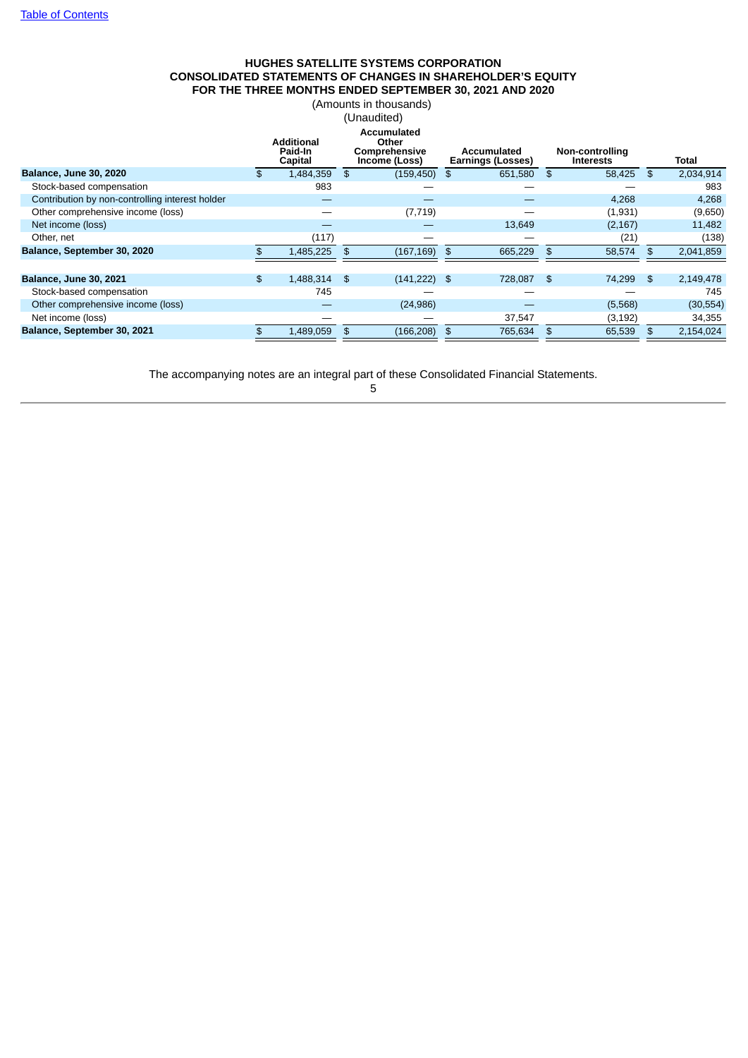## **HUGHES SATELLITE SYSTEMS CORPORATION CONSOLIDATED STATEMENTS OF CHANGES IN SHAREHOLDER'S EQUITY FOR THE THREE MONTHS ENDED SEPTEMBER 30, 2021 AND 2020** (Amounts in thousands)

|                                                 |                |                                         |     | (Unaudited)                                                   |     |                                         |                |                                     |      |           |
|-------------------------------------------------|----------------|-----------------------------------------|-----|---------------------------------------------------------------|-----|-----------------------------------------|----------------|-------------------------------------|------|-----------|
|                                                 |                | <b>Additional</b><br>Paid-In<br>Capital |     | <b>Accumulated</b><br>Other<br>Comprehensive<br>Income (Loss) |     | Accumulated<br><b>Earnings (Losses)</b> |                | Non-controlling<br><b>Interests</b> |      | Total     |
| <b>Balance, June 30, 2020</b>                   | \$             | 1,484,359                               | \$  | $(159, 450)$ \$                                               |     | 651,580                                 | \$             | 58,425                              | \$   | 2,034,914 |
| Stock-based compensation                        |                | 983                                     |     |                                                               |     |                                         |                |                                     |      | 983       |
| Contribution by non-controlling interest holder |                |                                         |     |                                                               |     |                                         |                | 4,268                               |      | 4,268     |
| Other comprehensive income (loss)               |                |                                         |     | (7, 719)                                                      |     |                                         |                | (1,931)                             |      | (9,650)   |
| Net income (loss)                               |                |                                         |     |                                                               |     | 13,649                                  |                | (2, 167)                            |      | 11,482    |
| Other, net                                      |                | (117)                                   |     |                                                               |     |                                         |                | (21)                                |      | (138)     |
| Balance, September 30, 2020                     |                | 1,485,225                               | -\$ | (167, 169)                                                    | -\$ | 665,229                                 | \$             | 58,574                              | \$   | 2,041,859 |
|                                                 |                |                                         |     |                                                               |     |                                         |                |                                     |      |           |
| <b>Balance, June 30, 2021</b>                   | $\mathfrak{S}$ | 1,488,314 \$                            |     | $(141, 222)$ \$                                               |     | 728,087                                 | $\mathfrak{F}$ | 74,299                              | - \$ | 2,149,478 |
| Stock-based compensation                        |                | 745                                     |     |                                                               |     |                                         |                |                                     |      | 745       |
| Other comprehensive income (loss)               |                |                                         |     | (24, 986)                                                     |     |                                         |                | (5,568)                             |      | (30, 554) |
| Net income (loss)                               |                |                                         |     |                                                               |     | 37,547                                  |                | (3, 192)                            |      | 34,355    |
| Balance, September 30, 2021                     |                | 1,489,059                               | \$  | (166, 208)                                                    | \$  | 765,634                                 | \$             | 65,539                              | \$.  | 2,154,024 |

<span id="page-7-0"></span>The accompanying notes are an integral part of these Consolidated Financial Statements.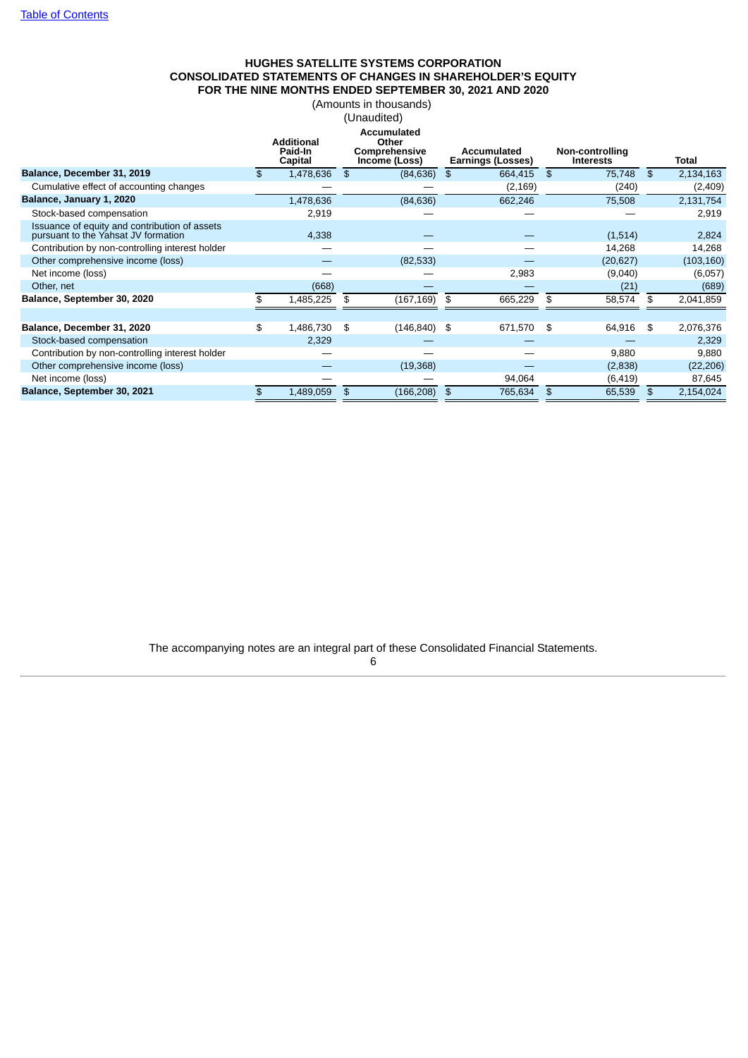## **HUGHES SATELLITE SYSTEMS CORPORATION CONSOLIDATED STATEMENTS OF CHANGES IN SHAREHOLDER'S EQUITY FOR THE NINE MONTHS ENDED SEPTEMBER 30, 2021 AND 2020** (Amounts in thousands)

|                                                                                      |                                         |      | (Unaudited)                                                   |                                         |                                     |                 |
|--------------------------------------------------------------------------------------|-----------------------------------------|------|---------------------------------------------------------------|-----------------------------------------|-------------------------------------|-----------------|
|                                                                                      | <b>Additional</b><br>Paid-In<br>Capital |      | <b>Accumulated</b><br>Other<br>Comprehensive<br>Income (Loss) | Accumulated<br><b>Earnings (Losses)</b> | Non-controlling<br><b>Interests</b> | Total           |
| Balance, December 31, 2019                                                           | \$<br>1,478,636                         | - \$ | $(84, 636)$ \$                                                | 664,415                                 | \$<br>75,748                        | \$<br>2,134,163 |
| Cumulative effect of accounting changes                                              |                                         |      |                                                               | (2, 169)                                | (240)                               | (2,409)         |
| Balance, January 1, 2020                                                             | 1,478,636                               |      | (84, 636)                                                     | 662,246                                 | 75,508                              | 2,131,754       |
| Stock-based compensation                                                             | 2,919                                   |      |                                                               |                                         |                                     | 2,919           |
| Issuance of equity and contribution of assets<br>pursuant to the Yahsat JV formation | 4,338                                   |      |                                                               |                                         | (1,514)                             | 2,824           |
| Contribution by non-controlling interest holder                                      |                                         |      |                                                               |                                         | 14,268                              | 14,268          |
| Other comprehensive income (loss)                                                    |                                         |      | (82, 533)                                                     |                                         | (20, 627)                           | (103, 160)      |
| Net income (loss)                                                                    |                                         |      |                                                               | 2,983                                   | (9,040)                             | (6,057)         |
| Other, net                                                                           | (668)                                   |      |                                                               |                                         | (21)                                | (689)           |
| Balance, September 30, 2020                                                          | 1,485,225                               | \$   | (167, 169)                                                    | \$<br>665,229                           | \$<br>58,574                        | \$<br>2,041,859 |
|                                                                                      |                                         |      |                                                               |                                         |                                     |                 |
| Balance, December 31, 2020                                                           | \$<br>1,486,730                         | \$   | $(146, 840)$ \$                                               | 671,570                                 | \$<br>64,916                        | \$<br>2,076,376 |
| Stock-based compensation                                                             | 2,329                                   |      |                                                               |                                         |                                     | 2,329           |
| Contribution by non-controlling interest holder                                      |                                         |      |                                                               |                                         | 9,880                               | 9,880           |
| Other comprehensive income (loss)                                                    |                                         |      | (19, 368)                                                     |                                         | (2,838)                             | (22, 206)       |
| Net income (loss)                                                                    |                                         |      |                                                               | 94,064                                  | (6, 419)                            | 87,645          |
| Balance, September 30, 2021                                                          | \$<br>1,489,059                         | \$   | (166, 208)                                                    | \$<br>765,634                           | \$<br>65,539                        | \$<br>2,154,024 |

<span id="page-8-0"></span>The accompanying notes are an integral part of these Consolidated Financial Statements.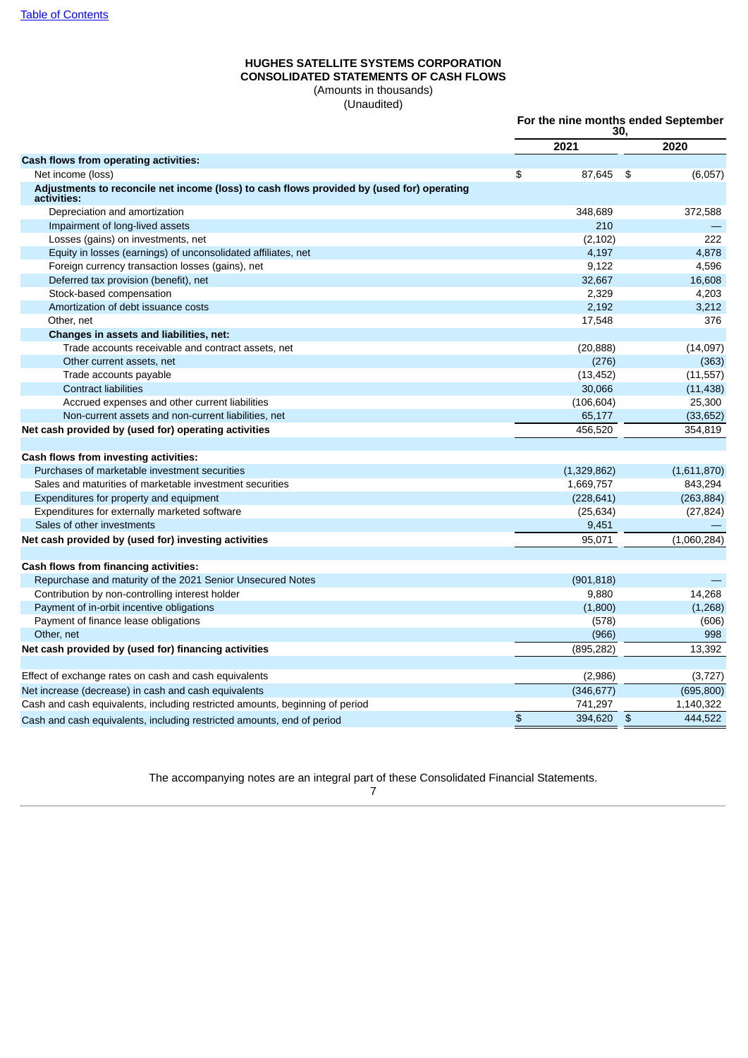## **HUGHES SATELLITE SYSTEMS CORPORATION CONSOLIDATED STATEMENTS OF CASH FLOWS** (Amounts in thousands) (Unaudited)

| Depreciation and amortization<br>Impairment of long-lived assets<br>Losses (gains) on investments, net<br>Equity in losses (earnings) of unconsolidated affiliates, net<br>Foreign currency transaction losses (gains), net<br>Deferred tax provision (benefit), net<br>Stock-based compensation<br>Amortization of debt issuance costs<br>Other, net<br>Changes in assets and liabilities, net:<br>Trade accounts receivable and contract assets, net<br>Other current assets, net<br>Trade accounts payable<br><b>Contract liabilities</b><br>Accrued expenses and other current liabilities<br>Non-current assets and non-current liabilities, net<br>Expenditures for property and equipment<br>Expenditures for externally marketed software<br>Net cash provided by (used for) investing activities |              | 30. | For the nine months ended September |
|-----------------------------------------------------------------------------------------------------------------------------------------------------------------------------------------------------------------------------------------------------------------------------------------------------------------------------------------------------------------------------------------------------------------------------------------------------------------------------------------------------------------------------------------------------------------------------------------------------------------------------------------------------------------------------------------------------------------------------------------------------------------------------------------------------------|--------------|-----|-------------------------------------|
|                                                                                                                                                                                                                                                                                                                                                                                                                                                                                                                                                                                                                                                                                                                                                                                                           | 2021         |     | 2020                                |
| Cash flows from operating activities:                                                                                                                                                                                                                                                                                                                                                                                                                                                                                                                                                                                                                                                                                                                                                                     |              |     |                                     |
| Net income (loss)                                                                                                                                                                                                                                                                                                                                                                                                                                                                                                                                                                                                                                                                                                                                                                                         | \$<br>87,645 | \$  | (6,057)                             |
| Adjustments to reconcile net income (loss) to cash flows provided by (used for) operating<br>activities:                                                                                                                                                                                                                                                                                                                                                                                                                                                                                                                                                                                                                                                                                                  |              |     |                                     |
|                                                                                                                                                                                                                                                                                                                                                                                                                                                                                                                                                                                                                                                                                                                                                                                                           | 348,689      |     | 372,588                             |
|                                                                                                                                                                                                                                                                                                                                                                                                                                                                                                                                                                                                                                                                                                                                                                                                           | 210          |     |                                     |
|                                                                                                                                                                                                                                                                                                                                                                                                                                                                                                                                                                                                                                                                                                                                                                                                           | (2, 102)     |     | 222                                 |
|                                                                                                                                                                                                                                                                                                                                                                                                                                                                                                                                                                                                                                                                                                                                                                                                           | 4,197        |     | 4,878                               |
|                                                                                                                                                                                                                                                                                                                                                                                                                                                                                                                                                                                                                                                                                                                                                                                                           | 9,122        |     | 4,596                               |
|                                                                                                                                                                                                                                                                                                                                                                                                                                                                                                                                                                                                                                                                                                                                                                                                           | 32,667       |     | 16,608                              |
|                                                                                                                                                                                                                                                                                                                                                                                                                                                                                                                                                                                                                                                                                                                                                                                                           | 2,329        |     | 4,203                               |
|                                                                                                                                                                                                                                                                                                                                                                                                                                                                                                                                                                                                                                                                                                                                                                                                           | 2,192        |     | 3,212                               |
|                                                                                                                                                                                                                                                                                                                                                                                                                                                                                                                                                                                                                                                                                                                                                                                                           | 17,548       |     | 376                                 |
|                                                                                                                                                                                                                                                                                                                                                                                                                                                                                                                                                                                                                                                                                                                                                                                                           |              |     |                                     |
|                                                                                                                                                                                                                                                                                                                                                                                                                                                                                                                                                                                                                                                                                                                                                                                                           | (20, 888)    |     | (14,097)                            |
|                                                                                                                                                                                                                                                                                                                                                                                                                                                                                                                                                                                                                                                                                                                                                                                                           | (276)        |     | (363)                               |
|                                                                                                                                                                                                                                                                                                                                                                                                                                                                                                                                                                                                                                                                                                                                                                                                           | (13, 452)    |     | (11, 557)                           |
|                                                                                                                                                                                                                                                                                                                                                                                                                                                                                                                                                                                                                                                                                                                                                                                                           | 30,066       |     | (11, 438)                           |
|                                                                                                                                                                                                                                                                                                                                                                                                                                                                                                                                                                                                                                                                                                                                                                                                           | (106, 604)   |     | 25,300                              |
|                                                                                                                                                                                                                                                                                                                                                                                                                                                                                                                                                                                                                                                                                                                                                                                                           | 65,177       |     | (33, 652)                           |
| Net cash provided by (used for) operating activities                                                                                                                                                                                                                                                                                                                                                                                                                                                                                                                                                                                                                                                                                                                                                      | 456.520      |     | 354,819                             |
| Cash flows from investing activities:                                                                                                                                                                                                                                                                                                                                                                                                                                                                                                                                                                                                                                                                                                                                                                     |              |     |                                     |
| Purchases of marketable investment securities                                                                                                                                                                                                                                                                                                                                                                                                                                                                                                                                                                                                                                                                                                                                                             | (1,329,862)  |     | (1,611,870)                         |
| Sales and maturities of marketable investment securities                                                                                                                                                                                                                                                                                                                                                                                                                                                                                                                                                                                                                                                                                                                                                  | 1,669,757    |     | 843,294                             |
|                                                                                                                                                                                                                                                                                                                                                                                                                                                                                                                                                                                                                                                                                                                                                                                                           | (228, 641)   |     | (263, 884)                          |
|                                                                                                                                                                                                                                                                                                                                                                                                                                                                                                                                                                                                                                                                                                                                                                                                           | (25, 634)    |     | (27, 824)                           |
| Sales of other investments                                                                                                                                                                                                                                                                                                                                                                                                                                                                                                                                                                                                                                                                                                                                                                                | 9,451        |     |                                     |
|                                                                                                                                                                                                                                                                                                                                                                                                                                                                                                                                                                                                                                                                                                                                                                                                           | 95,071       |     | (1,060,284)                         |
|                                                                                                                                                                                                                                                                                                                                                                                                                                                                                                                                                                                                                                                                                                                                                                                                           |              |     |                                     |
| Cash flows from financing activities:                                                                                                                                                                                                                                                                                                                                                                                                                                                                                                                                                                                                                                                                                                                                                                     |              |     |                                     |
| Repurchase and maturity of the 2021 Senior Unsecured Notes                                                                                                                                                                                                                                                                                                                                                                                                                                                                                                                                                                                                                                                                                                                                                | (901, 818)   |     |                                     |
| Contribution by non-controlling interest holder                                                                                                                                                                                                                                                                                                                                                                                                                                                                                                                                                                                                                                                                                                                                                           | 9,880        |     | 14,268                              |
| Payment of in-orbit incentive obligations                                                                                                                                                                                                                                                                                                                                                                                                                                                                                                                                                                                                                                                                                                                                                                 | (1,800)      |     | (1,268)                             |
| Payment of finance lease obligations                                                                                                                                                                                                                                                                                                                                                                                                                                                                                                                                                                                                                                                                                                                                                                      | (578)        |     | (606)                               |
| Other, net                                                                                                                                                                                                                                                                                                                                                                                                                                                                                                                                                                                                                                                                                                                                                                                                | (966)        |     | 998                                 |
| Net cash provided by (used for) financing activities                                                                                                                                                                                                                                                                                                                                                                                                                                                                                                                                                                                                                                                                                                                                                      | (895, 282)   |     | 13.392                              |
|                                                                                                                                                                                                                                                                                                                                                                                                                                                                                                                                                                                                                                                                                                                                                                                                           |              |     |                                     |

<span id="page-9-0"></span>Effect of exchange rates on cash and cash equivalents (2,986) (3,727) Net increase (decrease) in cash and cash equivalents (346,677) (695,800) Cash and cash equivalents, including restricted amounts, beginning of period 741,297 1,140,322 Cash and cash equivalents, including restricted amounts, end of period **\$** 394,620 \$ 444,522

The accompanying notes are an integral part of these Consolidated Financial Statements.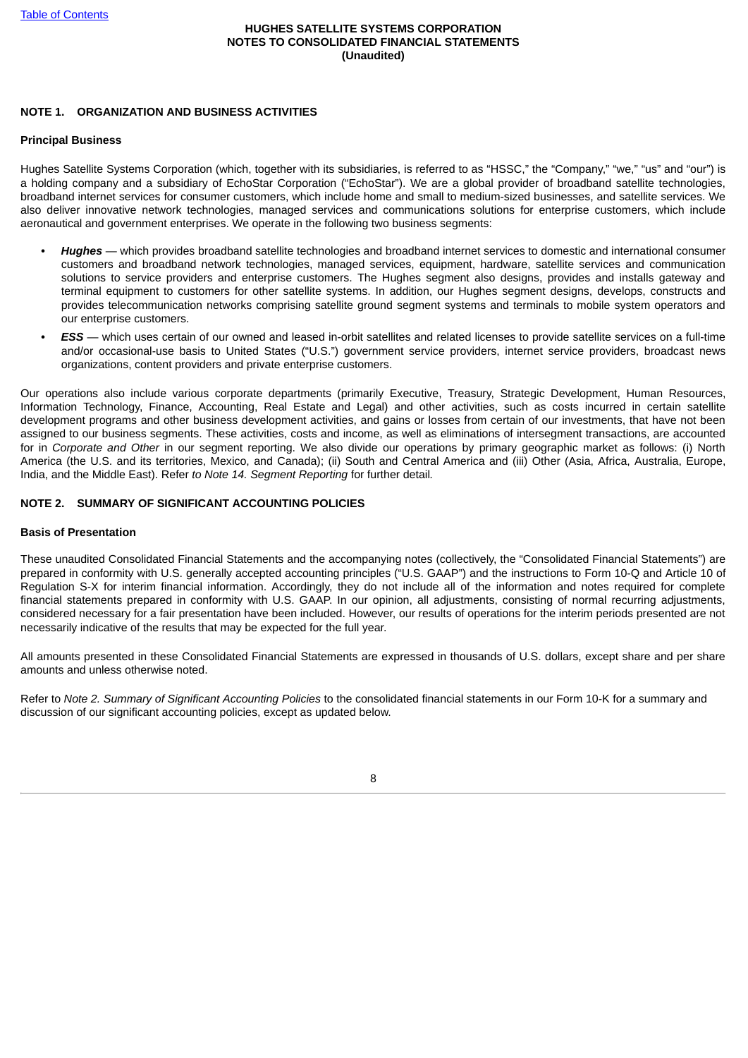## **NOTE 1. ORGANIZATION AND BUSINESS ACTIVITIES**

### **Principal Business**

Hughes Satellite Systems Corporation (which, together with its subsidiaries, is referred to as "HSSC," the "Company," "we," "us" and "our") is a holding company and a subsidiary of EchoStar Corporation ("EchoStar"). We are a global provider of broadband satellite technologies, broadband internet services for consumer customers, which include home and small to medium-sized businesses, and satellite services. We also deliver innovative network technologies, managed services and communications solutions for enterprise customers, which include aeronautical and government enterprises. We operate in the following two business segments:

- *• Hughes* which provides broadband satellite technologies and broadband internet services to domestic and international consumer customers and broadband network technologies, managed services, equipment, hardware, satellite services and communication solutions to service providers and enterprise customers. The Hughes segment also designs, provides and installs gateway and terminal equipment to customers for other satellite systems. In addition, our Hughes segment designs, develops, constructs and provides telecommunication networks comprising satellite ground segment systems and terminals to mobile system operators and our enterprise customers.
- *• ESS* which uses certain of our owned and leased in-orbit satellites and related licenses to provide satellite services on a full-time and/or occasional-use basis to United States ("U.S.") government service providers, internet service providers, broadcast news organizations, content providers and private enterprise customers.

Our operations also include various corporate departments (primarily Executive, Treasury, Strategic Development, Human Resources, Information Technology, Finance, Accounting, Real Estate and Legal) and other activities, such as costs incurred in certain satellite development programs and other business development activities, and gains or losses from certain of our investments, that have not been assigned to our business segments. These activities, costs and income, as well as eliminations of intersegment transactions, are accounted for in *Corporate and Other* in our segment reporting. We also divide our operations by primary geographic market as follows: (i) North America (the U.S. and its territories, Mexico, and Canada); (ii) South and Central America and (iii) Other (Asia, Africa, Australia, Europe, India, and the Middle East). Refer *to Note 14. Segment Reporting* for further detail*.*

## **NOTE 2. SUMMARY OF SIGNIFICANT ACCOUNTING POLICIES**

#### **Basis of Presentation**

These unaudited Consolidated Financial Statements and the accompanying notes (collectively, the "Consolidated Financial Statements") are prepared in conformity with U.S. generally accepted accounting principles ("U.S. GAAP") and the instructions to Form 10-Q and Article 10 of Regulation S-X for interim financial information. Accordingly, they do not include all of the information and notes required for complete financial statements prepared in conformity with U.S. GAAP. In our opinion, all adjustments, consisting of normal recurring adjustments, considered necessary for a fair presentation have been included. However, our results of operations for the interim periods presented are not necessarily indicative of the results that may be expected for the full year.

All amounts presented in these Consolidated Financial Statements are expressed in thousands of U.S. dollars, except share and per share amounts and unless otherwise noted.

Refer to *Note 2. Summary of Significant Accounting Policies* to the consolidated financial statements in our Form 10-K for a summary and discussion of our significant accounting policies, except as updated below.

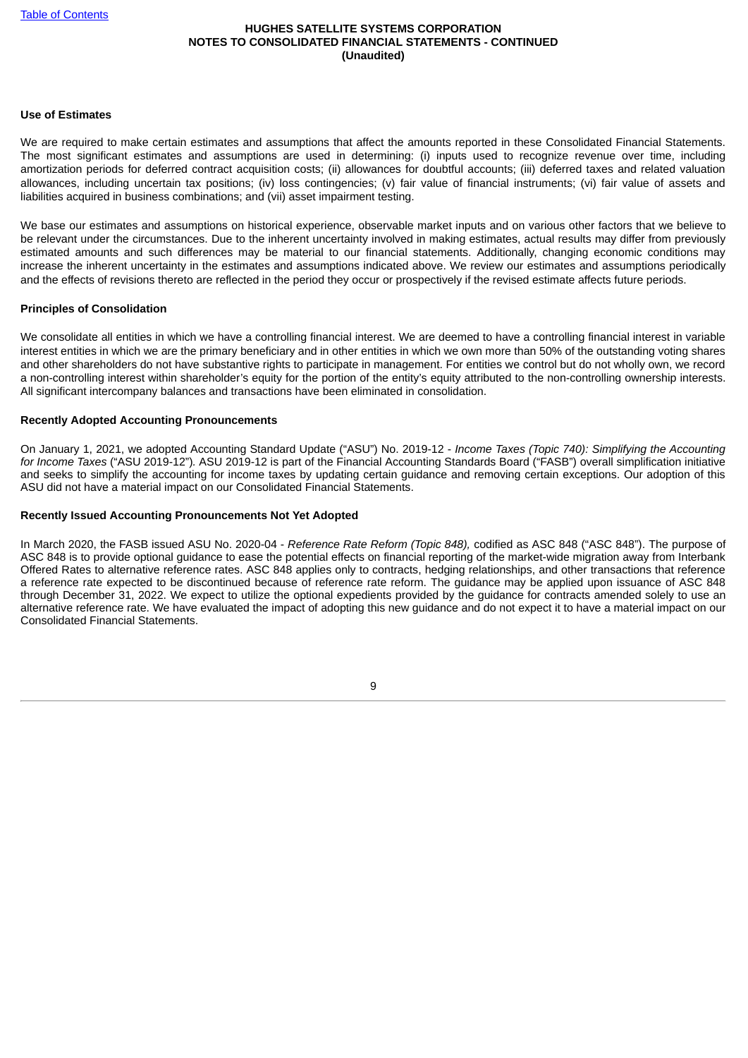#### **Use of Estimates**

We are required to make certain estimates and assumptions that affect the amounts reported in these Consolidated Financial Statements. The most significant estimates and assumptions are used in determining: (i) inputs used to recognize revenue over time, including amortization periods for deferred contract acquisition costs; (ii) allowances for doubtful accounts; (iii) deferred taxes and related valuation allowances, including uncertain tax positions; (iv) loss contingencies; (v) fair value of financial instruments; (vi) fair value of assets and liabilities acquired in business combinations; and (vii) asset impairment testing.

We base our estimates and assumptions on historical experience, observable market inputs and on various other factors that we believe to be relevant under the circumstances. Due to the inherent uncertainty involved in making estimates, actual results may differ from previously estimated amounts and such differences may be material to our financial statements. Additionally, changing economic conditions may increase the inherent uncertainty in the estimates and assumptions indicated above. We review our estimates and assumptions periodically and the effects of revisions thereto are reflected in the period they occur or prospectively if the revised estimate affects future periods.

#### **Principles of Consolidation**

We consolidate all entities in which we have a controlling financial interest. We are deemed to have a controlling financial interest in variable interest entities in which we are the primary beneficiary and in other entities in which we own more than 50% of the outstanding voting shares and other shareholders do not have substantive rights to participate in management. For entities we control but do not wholly own, we record a non-controlling interest within shareholder's equity for the portion of the entity's equity attributed to the non-controlling ownership interests. All significant intercompany balances and transactions have been eliminated in consolidation.

#### **Recently Adopted Accounting Pronouncements**

On January 1, 2021, we adopted Accounting Standard Update ("ASU") No. 2019-12 - *Income Taxes (Topic 740): Simplifying the Accounting for Income Taxes* ("ASU 2019-12")*.* ASU 2019-12 is part of the Financial Accounting Standards Board ("FASB") overall simplification initiative and seeks to simplify the accounting for income taxes by updating certain guidance and removing certain exceptions. Our adoption of this ASU did not have a material impact on our Consolidated Financial Statements.

#### **Recently Issued Accounting Pronouncements Not Yet Adopted**

In March 2020, the FASB issued ASU No. 2020-04 - *Reference Rate Reform (Topic 848),* codified as ASC 848 ("ASC 848"). The purpose of ASC 848 is to provide optional guidance to ease the potential effects on financial reporting of the market-wide migration away from Interbank Offered Rates to alternative reference rates. ASC 848 applies only to contracts, hedging relationships, and other transactions that reference a reference rate expected to be discontinued because of reference rate reform. The guidance may be applied upon issuance of ASC 848 through December 31, 2022. We expect to utilize the optional expedients provided by the guidance for contracts amended solely to use an alternative reference rate. We have evaluated the impact of adopting this new guidance and do not expect it to have a material impact on our Consolidated Financial Statements.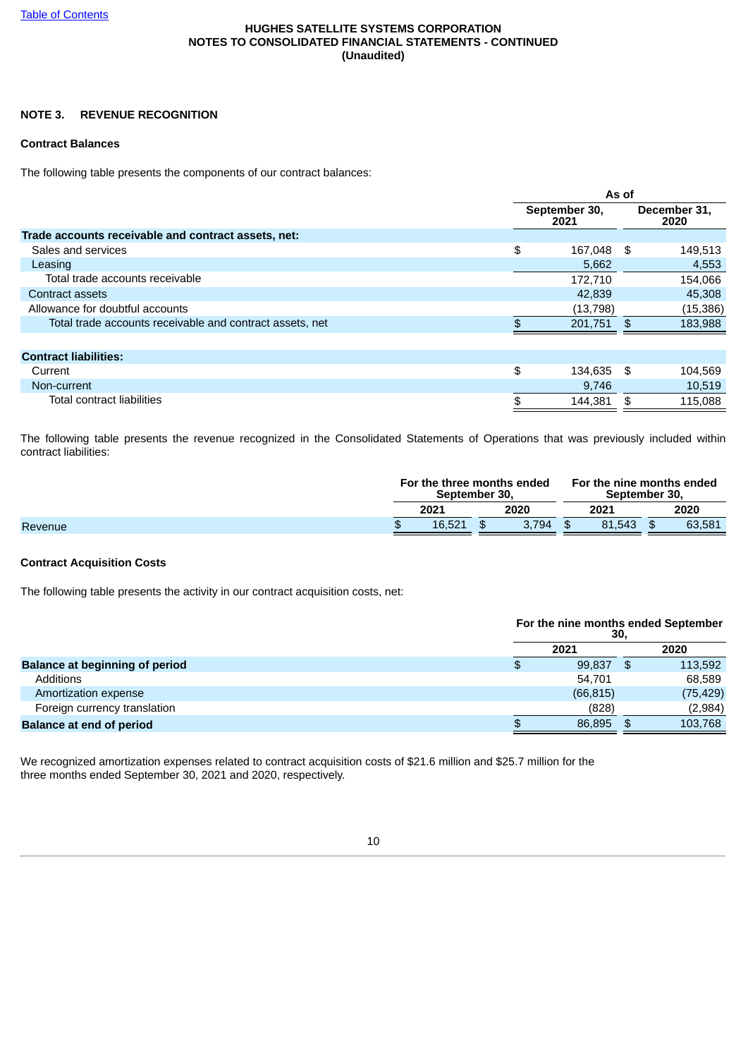## **NOTE 3. REVENUE RECOGNITION**

# **Contract Balances**

The following table presents the components of our contract balances:

|                                                          | As of |                       |      |                      |  |
|----------------------------------------------------------|-------|-----------------------|------|----------------------|--|
|                                                          |       | September 30,<br>2021 |      | December 31,<br>2020 |  |
| Trade accounts receivable and contract assets, net:      |       |                       |      |                      |  |
| Sales and services                                       | \$    | 167,048 \$            |      | 149,513              |  |
| Leasing                                                  |       | 5,662                 |      | 4,553                |  |
| Total trade accounts receivable                          |       | 172.710               |      | 154,066              |  |
| Contract assets                                          |       | 42.839                |      | 45,308               |  |
| Allowance for doubtful accounts                          |       | (13,798)              |      | (15, 386)            |  |
| Total trade accounts receivable and contract assets, net |       | 201.751               | - \$ | 183,988              |  |
| <b>Contract liabilities:</b>                             |       |                       |      |                      |  |
|                                                          |       |                       |      |                      |  |
| Current                                                  | \$    | 134,635               | - \$ | 104,569              |  |
| Non-current                                              |       | 9,746                 |      | 10,519               |  |
| Total contract liabilities                               | ደ     | 144.381               | \$   | 115,088              |  |

The following table presents the revenue recognized in the Consolidated Statements of Operations that was previously included within contract liabilities:

|         | For the three months ended<br>September 30. |  |      | For the nine months ended<br>September 30. |        |      |        |
|---------|---------------------------------------------|--|------|--------------------------------------------|--------|------|--------|
|         | 2020<br>2021                                |  |      | 2021                                       |        | 2020 |        |
| Revenue | 16.521                                      |  | .794 |                                            | 81.543 |      | 63,581 |

## **Contract Acquisition Costs**

The following table presents the activity in our contract acquisition costs, net:

|                                 | For the nine months ended September<br>30. |      |          |  |  |
|---------------------------------|--------------------------------------------|------|----------|--|--|
|                                 | 2021                                       |      |          |  |  |
| Balance at beginning of period  | \$<br>99.837                               | - SS | 113,592  |  |  |
| Additions                       | 54.701                                     |      | 68.589   |  |  |
| Amortization expense            | (66, 815)                                  |      | (75,429) |  |  |
| Foreign currency translation    | (828)                                      |      | (2,984)  |  |  |
| <b>Balance at end of period</b> | 86,895                                     |      | 103,768  |  |  |

We recognized amortization expenses related to contract acquisition costs of \$21.6 million and \$25.7 million for the three months ended September 30, 2021 and 2020, respectively.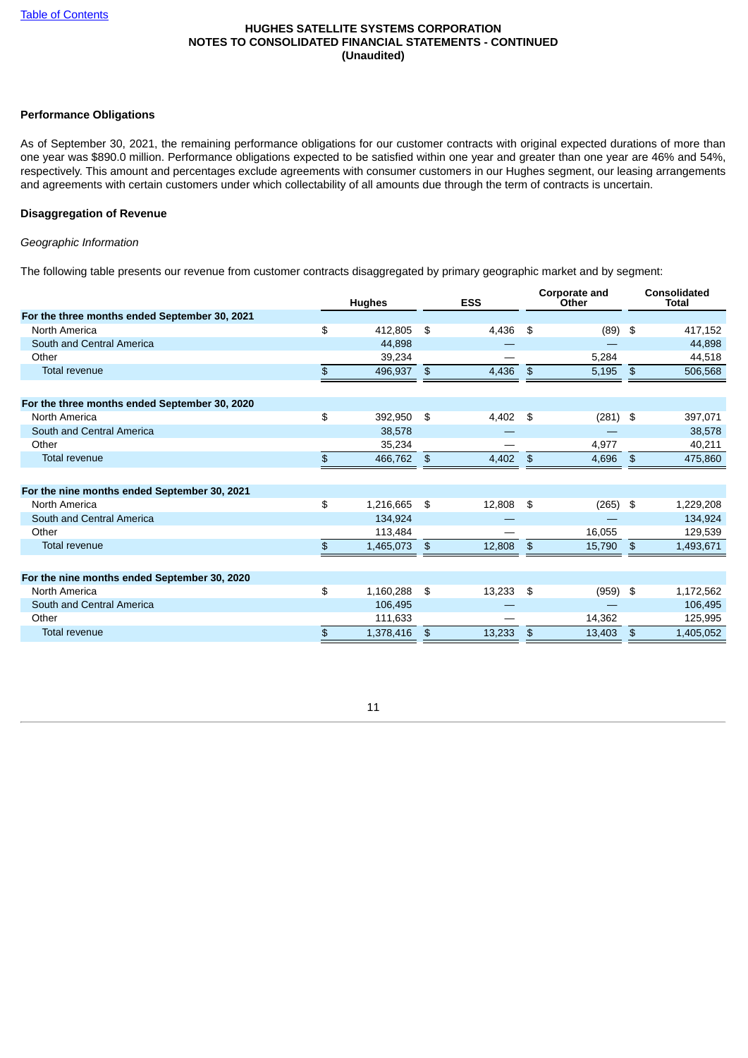# **Performance Obligations**

As of September 30, 2021, the remaining performance obligations for our customer contracts with original expected durations of more than one year was \$890.0 million. Performance obligations expected to be satisfied within one year and greater than one year are 46% and 54%, respectively. This amount and percentages exclude agreements with consumer customers in our Hughes segment, our leasing arrangements and agreements with certain customers under which collectability of all amounts due through the term of contracts is uncertain.

# **Disaggregation of Revenue**

## *Geographic Information*

The following table presents our revenue from customer contracts disaggregated by primary geographic market and by segment:

|                                               |               | <b>Hughes</b> |               | <b>ESS</b> |                | Corporate and<br>Other |               | Consolidated<br><b>Total</b> |  |
|-----------------------------------------------|---------------|---------------|---------------|------------|----------------|------------------------|---------------|------------------------------|--|
| For the three months ended September 30, 2021 |               |               |               |            |                |                        |               |                              |  |
| North America                                 | \$            | 412,805       | \$            | 4,436      | \$             | (89)                   | \$            | 417,152                      |  |
| South and Central America                     |               | 44,898        |               |            |                |                        |               | 44,898                       |  |
| Other                                         |               | 39,234        |               |            |                | 5,284                  |               | 44,518                       |  |
| <b>Total revenue</b>                          | \$            | 496,937       | \$            | 4,436      | $\mathfrak{L}$ | 5,195                  | $\frac{1}{2}$ | 506,568                      |  |
| For the three months ended September 30, 2020 |               |               |               |            |                |                        |               |                              |  |
| North America                                 | \$            | 392,950       | \$            | 4,402      | \$             | (281)                  | \$            | 397,071                      |  |
| South and Central America                     |               | 38,578        |               |            |                |                        |               | 38,578                       |  |
| Other                                         |               | 35.234        |               |            |                | 4.977                  |               | 40,211                       |  |
| <b>Total revenue</b>                          | $\frac{1}{2}$ | 466,762       | $\frac{2}{3}$ | 4,402      | \$             | 4,696                  | $\frac{2}{3}$ | 475,860                      |  |
|                                               |               |               |               |            |                |                        |               |                              |  |
| For the nine months ended September 30, 2021  |               |               |               |            |                |                        |               |                              |  |
| North America                                 | \$            | 1,216,665     | \$            | 12,808     | \$             | $(265)$ \$             |               | 1,229,208                    |  |
| South and Central America                     |               | 134,924       |               |            |                |                        |               | 134,924                      |  |
| Other                                         |               | 113,484       |               |            |                | 16,055                 |               | 129,539                      |  |
| <b>Total revenue</b>                          | $\frac{1}{2}$ | 1,465,073     | $\frac{1}{2}$ | 12,808     | \$             | 15,790                 | \$            | 1,493,671                    |  |
|                                               |               |               |               |            |                |                        |               |                              |  |
| For the nine months ended September 30, 2020  |               |               |               |            |                |                        |               |                              |  |
| North America                                 | \$            | 1,160,288     | \$            | 13,233     | \$             | $(959)$ \$             |               | 1,172,562                    |  |
| South and Central America                     |               | 106,495       |               |            |                |                        |               | 106,495                      |  |
| Other                                         |               | 111,633       |               |            |                | 14,362                 |               | 125,995                      |  |
| <b>Total revenue</b>                          | \$            | 1,378,416     | \$            | 13,233     | \$             | 13,403                 | \$            | 1,405,052                    |  |

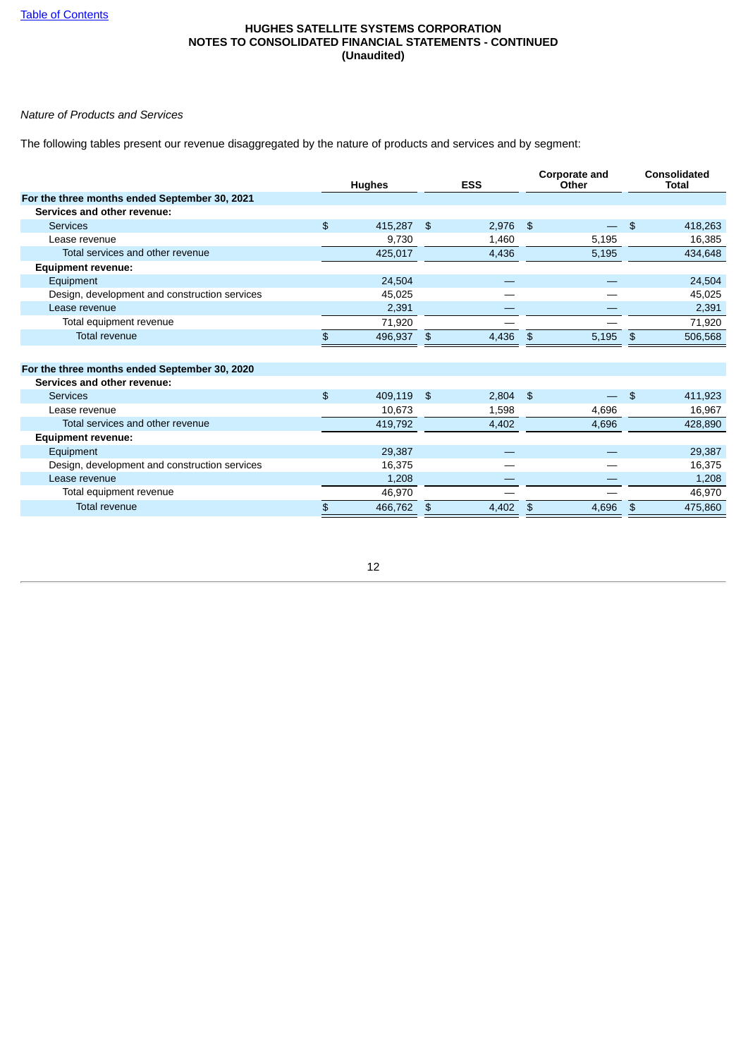# *Nature of Products and Services*

The following tables present our revenue disaggregated by the nature of products and services and by segment:

|                                               |               | <b>Hughes</b> | <b>ESS</b>     |            | Corporate and<br>Other  | <b>Consolidated</b><br><b>Total</b> |
|-----------------------------------------------|---------------|---------------|----------------|------------|-------------------------|-------------------------------------|
| For the three months ended September 30, 2021 |               |               |                |            |                         |                                     |
| Services and other revenue:                   |               |               |                |            |                         |                                     |
| <b>Services</b>                               | $\frac{2}{3}$ | 415,287       | \$             | 2,976      | $\mathbf{\hat{S}}$      | \$<br>418,263                       |
| Lease revenue                                 |               | 9,730         |                | 1,460      | 5,195                   | 16,385                              |
| Total services and other revenue              |               | 425,017       |                | 4,436      | 5,195                   | 434,648                             |
| <b>Equipment revenue:</b>                     |               |               |                |            |                         |                                     |
| Equipment                                     |               | 24,504        |                |            |                         | 24,504                              |
| Design, development and construction services |               | 45,025        |                |            |                         | 45,025                              |
| Lease revenue                                 |               | 2,391         |                |            |                         | 2,391                               |
| Total equipment revenue                       |               | 71,920        |                |            |                         | 71,920                              |
| <b>Total revenue</b>                          | \$            | 496,937       | \$             | 4,436      | 5,195<br>\$             | \$<br>506,568                       |
| For the three months ended September 30, 2020 |               |               |                |            |                         |                                     |
| Services and other revenue:                   |               |               |                |            |                         |                                     |
| <b>Services</b>                               | \$            | 409,119       | $\mathfrak{S}$ | $2,804$ \$ |                         | \$<br>411,923                       |
| Lease revenue                                 |               | 10,673        |                | 1,598      | 4,696                   | 16,967                              |
| Total services and other revenue              |               | 419,792       |                | 4,402      | 4,696                   | 428,890                             |
| <b>Equipment revenue:</b>                     |               |               |                |            |                         |                                     |
| Equipment                                     |               | 29,387        |                |            |                         | 29,387                              |
| Design, development and construction services |               | 16,375        |                |            |                         | 16,375                              |
| Lease revenue                                 |               | 1,208         |                |            |                         | 1,208                               |
| Total equipment revenue                       |               | 46,970        |                | __         |                         | 46,970                              |
| <b>Total revenue</b>                          | \$            | 466,762       | \$             | 4,402      | 4,696<br>$\mathfrak{L}$ | \$<br>475,860                       |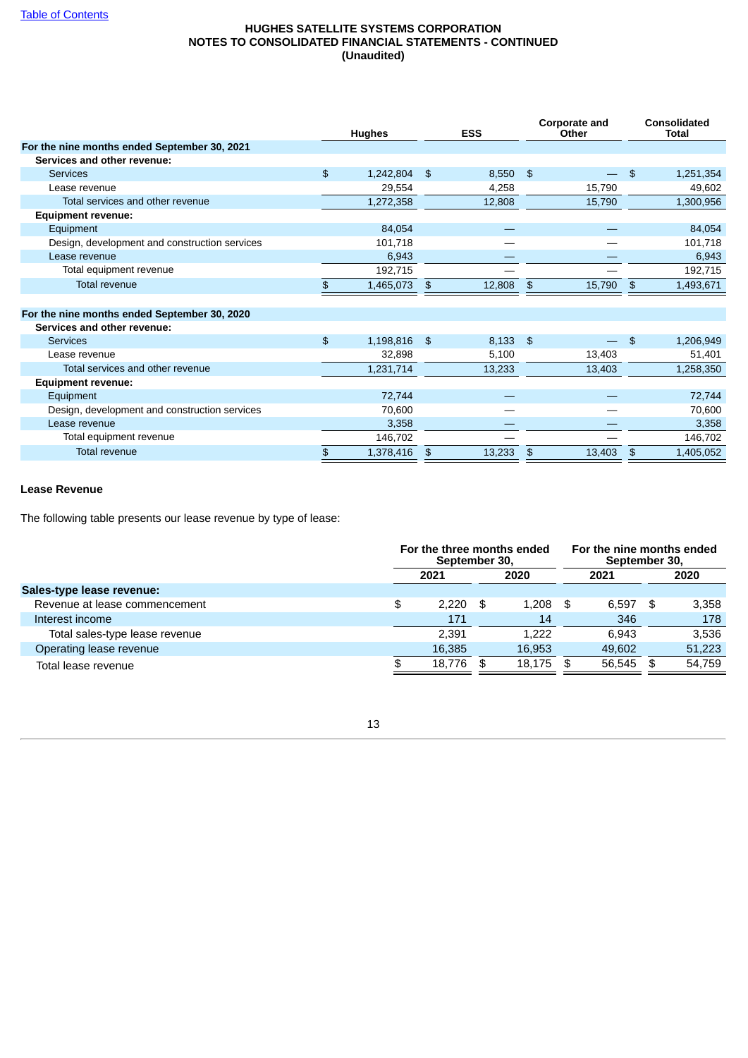|                                               | <b>Hughes</b>   | <b>ESS</b>    |        | <b>Corporate and</b><br>Other |        |     | Consolidated<br><b>Total</b> |
|-----------------------------------------------|-----------------|---------------|--------|-------------------------------|--------|-----|------------------------------|
| For the nine months ended September 30, 2021  |                 |               |        |                               |        |     |                              |
| Services and other revenue:                   |                 |               |        |                               |        |     |                              |
| <b>Services</b>                               | \$<br>1,242,804 | $\frac{3}{2}$ | 8,550  | \$                            |        | \$  | 1,251,354                    |
| Lease revenue                                 | 29,554          |               | 4,258  |                               | 15,790 |     | 49,602                       |
| Total services and other revenue              | 1,272,358       |               | 12,808 |                               | 15,790 |     | 1,300,956                    |
| <b>Equipment revenue:</b>                     |                 |               |        |                               |        |     |                              |
| Equipment                                     | 84,054          |               |        |                               |        |     | 84,054                       |
| Design, development and construction services | 101,718         |               |        |                               |        |     | 101,718                      |
| Lease revenue                                 | 6,943           |               |        |                               |        |     | 6,943                        |
| Total equipment revenue                       | 192,715         |               |        |                               |        |     | 192,715                      |
| <b>Total revenue</b>                          | \$<br>1,465,073 | \$            | 12,808 | \$                            | 15,790 | \$  | 1,493,671                    |
| For the nine months ended September 30, 2020  |                 |               |        |                               |        |     |                              |
| Services and other revenue:                   |                 |               |        |                               |        |     |                              |
| <b>Services</b>                               | \$<br>1,198,816 | \$            | 8,133  | -\$                           |        | \$  | 1,206,949                    |
| Lease revenue                                 | 32,898          |               | 5,100  |                               | 13,403 |     | 51,401                       |
| Total services and other revenue              | 1,231,714       |               | 13,233 |                               | 13,403 |     | 1,258,350                    |
| <b>Equipment revenue:</b>                     |                 |               |        |                               |        |     |                              |
| Equipment                                     | 72,744          |               |        |                               |        |     | 72,744                       |
| Design, development and construction services | 70,600          |               |        |                               |        |     | 70,600                       |
| Lease revenue                                 | 3,358           |               |        |                               |        |     | 3,358                        |
| Total equipment revenue                       | 146,702         |               |        |                               |        |     | 146,702                      |
| <b>Total revenue</b>                          | \$<br>1,378,416 | \$            | 13,233 | \$                            | 13,403 | \$. | 1,405,052                    |

# **Lease Revenue**

The following table presents our lease revenue by type of lease:

|                                | For the three months ended<br>September 30, |        |      |        |     | September 30, | For the nine months ended |        |
|--------------------------------|---------------------------------------------|--------|------|--------|-----|---------------|---------------------------|--------|
|                                |                                             | 2021   |      | 2020   |     | 2021          |                           | 2020   |
| Sales-type lease revenue:      |                                             |        |      |        |     |               |                           |        |
| Revenue at lease commencement  | \$                                          | 2.220  | - SS | 1,208  | \$. | 6.597         | \$                        | 3,358  |
| Interest income                |                                             | 171    |      | 14     |     | 346           |                           | 178    |
| Total sales-type lease revenue |                                             | 2.391  |      | 1.222  |     | 6.943         |                           | 3.536  |
| Operating lease revenue        |                                             | 16,385 |      | 16,953 |     | 49.602        |                           | 51,223 |
| Total lease revenue            |                                             | 18.776 |      | 18.175 | £.  | 56.545        |                           | 54.759 |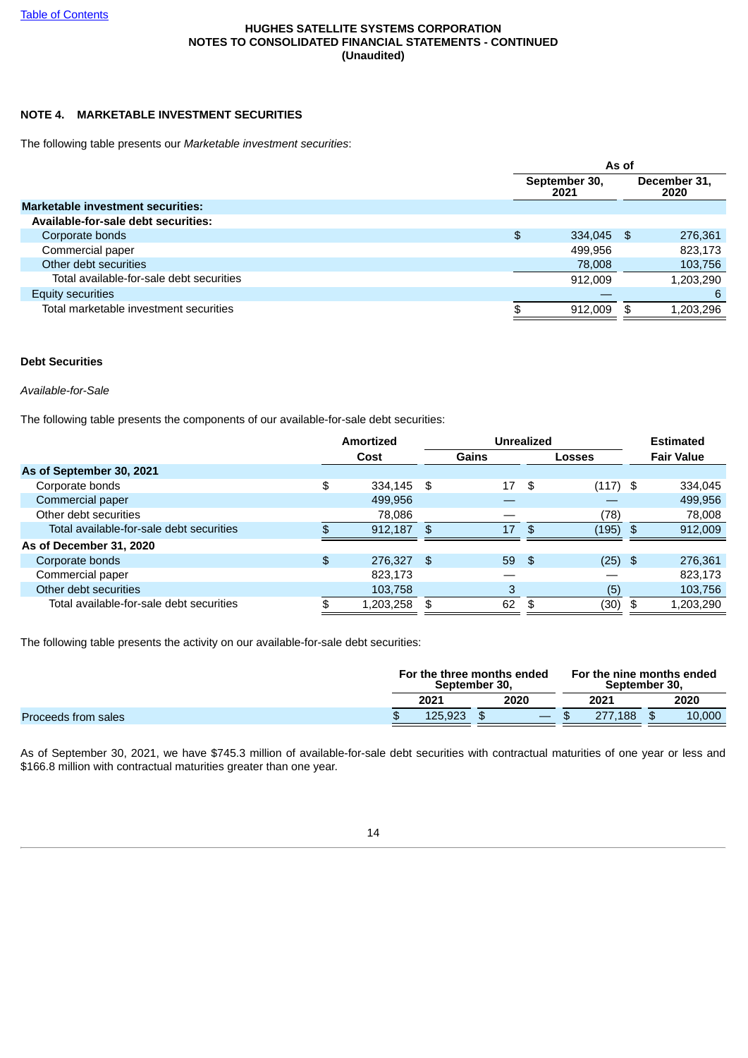# **NOTE 4. MARKETABLE INVESTMENT SECURITIES**

The following table presents our *Marketable investment securities*:

|                                          | As of                 |      |                      |  |
|------------------------------------------|-----------------------|------|----------------------|--|
|                                          | September 30,<br>2021 |      | December 31,<br>2020 |  |
| <b>Marketable investment securities:</b> |                       |      |                      |  |
| Available-for-sale debt securities:      |                       |      |                      |  |
| Corporate bonds                          | \$<br>334,045         | - \$ | 276,361              |  |
| Commercial paper                         | 499.956               |      | 823,173              |  |
| Other debt securities                    | 78,008                |      | 103,756              |  |
| Total available-for-sale debt securities | 912,009               |      | 1,203,290            |  |
| <b>Equity securities</b>                 |                       |      | 6                    |  |
| Total marketable investment securities   | 912.009               | \$.  | 1,203,296            |  |
|                                          |                       |      |                      |  |

## **Debt Securities**

### *Available-for-Sale*

The following table presents the components of our available-for-sale debt securities:

|                                          | Amortized |            |    | <b>Unrealized</b> | <b>Estimated</b> |               |                   |
|------------------------------------------|-----------|------------|----|-------------------|------------------|---------------|-------------------|
|                                          |           | Cost       |    | Gains             |                  | <b>Losses</b> | <b>Fair Value</b> |
| As of September 30, 2021                 |           |            |    |                   |                  |               |                   |
| Corporate bonds                          | \$        | 334.145 \$ |    | 17                | -\$              | $(117)$ \$    | 334,045           |
| Commercial paper                         |           | 499,956    |    |                   |                  |               | 499,956           |
| Other debt securities                    |           | 78,086     |    |                   |                  | (78)          | 78,008            |
| Total available-for-sale debt securities | \$.       | 912.187    | \$ | 17                | \$               | (195)         | \$<br>912,009     |
| As of December 31, 2020                  |           |            |    |                   |                  |               |                   |
| Corporate bonds                          | \$        | 276,327    | \$ | 59                | - \$             | $(25)$ \$     | 276,361           |
| Commercial paper                         |           | 823.173    |    |                   |                  |               | 823.173           |
| Other debt securities                    |           | 103,758    |    | 3                 |                  | (5)           | 103,756           |
| Total available-for-sale debt securities | \$.       | 1,203,258  | \$ | 62                | \$               | (30)          | \$<br>1,203,290   |

The following table presents the activity on our available-for-sale debt securities:

|                     | For the three months ended<br>September 30. |  |      | For the nine months ended<br>September 30. |         |  |        |  |
|---------------------|---------------------------------------------|--|------|--------------------------------------------|---------|--|--------|--|
|                     | 2021                                        |  | 2020 |                                            | 2021    |  | 2020   |  |
| Proceeds from sales | 125.923                                     |  |      |                                            | 277.188 |  | 10,000 |  |
|                     |                                             |  |      |                                            |         |  |        |  |

As of September 30, 2021, we have \$745.3 million of available-for-sale debt securities with contractual maturities of one year or less and \$166.8 million with contractual maturities greater than one year.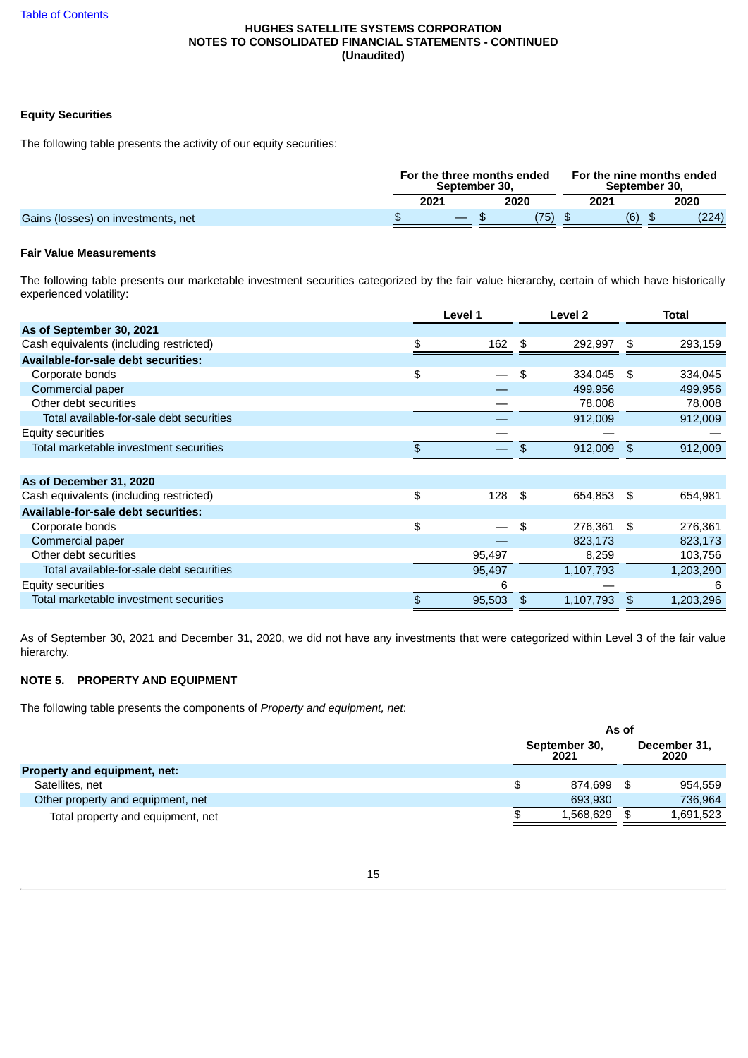# **Equity Securities**

The following table presents the activity of our equity securities:

|                                    | For the three months ended<br>September 30. |                          |  |      | For the nine months ended<br>September 30. |      |  |       |  |
|------------------------------------|---------------------------------------------|--------------------------|--|------|--------------------------------------------|------|--|-------|--|
|                                    |                                             | 2021                     |  | 2020 |                                            | 2021 |  | 2020  |  |
| Gains (losses) on investments, net |                                             | $\overline{\phantom{0}}$ |  | 75)  |                                            | (6)  |  | (224) |  |

#### **Fair Value Measurements**

The following table presents our marketable investment securities categorized by the fair value hierarchy, certain of which have historically experienced volatility:

|                                          | Level 1      |    | Level 2   | Total |           |  |
|------------------------------------------|--------------|----|-----------|-------|-----------|--|
| As of September 30, 2021                 |              |    |           |       |           |  |
| Cash equivalents (including restricted)  | \$<br>162    | \$ | 292,997   | \$    | 293,159   |  |
| Available-for-sale debt securities:      |              |    |           |       |           |  |
| Corporate bonds                          | \$           | \$ | 334,045   | \$    | 334,045   |  |
| Commercial paper                         |              |    | 499,956   |       | 499,956   |  |
| Other debt securities                    |              |    | 78,008    |       | 78,008    |  |
| Total available-for-sale debt securities |              |    | 912,009   |       | 912,009   |  |
| Equity securities                        |              |    |           |       |           |  |
| Total marketable investment securities   | \$           |    | 912,009   | \$    | 912,009   |  |
|                                          |              |    |           |       |           |  |
| As of December 31, 2020                  |              |    |           |       |           |  |
| Cash equivalents (including restricted)  | \$<br>128    | \$ | 654,853   | \$    | 654,981   |  |
| Available-for-sale debt securities:      |              |    |           |       |           |  |
| Corporate bonds                          | \$           | \$ | 276,361   | \$    | 276,361   |  |
| Commercial paper                         |              |    | 823,173   |       | 823,173   |  |
| Other debt securities                    | 95,497       |    | 8,259     |       | 103,756   |  |
| Total available-for-sale debt securities | 95,497       |    | 1,107,793 |       | 1,203,290 |  |
| Equity securities                        | 6            |    |           |       | 6         |  |
| Total marketable investment securities   | \$<br>95,503 | \$ | 1,107,793 | \$    | 1,203,296 |  |

As of September 30, 2021 and December 31, 2020, we did not have any investments that were categorized within Level 3 of the fair value hierarchy.

### **NOTE 5. PROPERTY AND EQUIPMENT**

The following table presents the components of *Property and equipment, net*:

|                                   | As of                 |           |  |                      |  |
|-----------------------------------|-----------------------|-----------|--|----------------------|--|
|                                   | September 30,<br>2021 |           |  | December 31,<br>2020 |  |
| Property and equipment, net:      |                       |           |  |                      |  |
| Satellites, net                   | \$                    | 874.699   |  | 954.559              |  |
| Other property and equipment, net |                       | 693.930   |  | 736.964              |  |
| Total property and equipment, net |                       | 1,568,629 |  | 1,691,523            |  |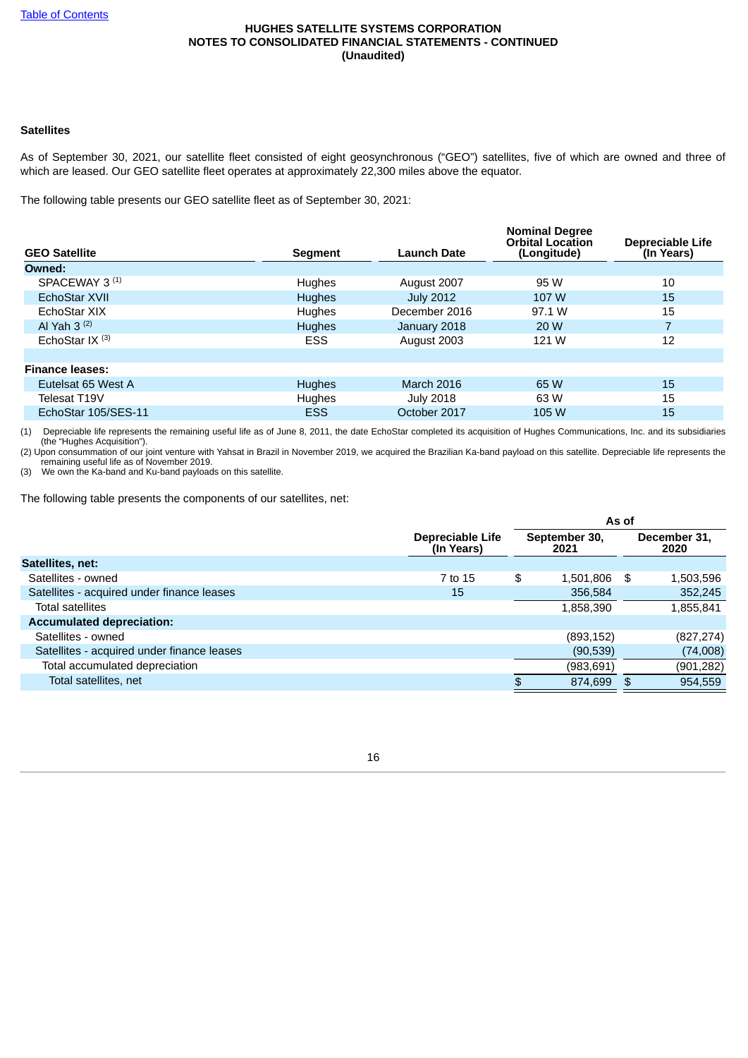## **Satellites**

As of September 30, 2021, our satellite fleet consisted of eight geosynchronous ("GEO") satellites, five of which are owned and three of which are leased. Our GEO satellite fleet operates at approximately 22,300 miles above the equator.

The following table presents our GEO satellite fleet as of September 30, 2021:

| <b>GEO Satellite</b>      | <b>Segment</b> | <b>Launch Date</b> | <b>Nominal Degree</b><br><b>Orbital Location</b><br>(Longitude) | Depreciable Life<br>(In Years) |
|---------------------------|----------------|--------------------|-----------------------------------------------------------------|--------------------------------|
| Owned:                    |                |                    |                                                                 |                                |
| SPACEWAY 3 <sup>(1)</sup> | Hughes         | August 2007        | 95 W                                                            | 10                             |
| EchoStar XVII             | <b>Hughes</b>  | <b>July 2012</b>   | 107 W                                                           | 15                             |
| EchoStar XIX              | <b>Hughes</b>  | December 2016      | 97.1 W                                                          | 15                             |
| Al Yah 3 $(2)$            | <b>Hughes</b>  | January 2018       | 20 W                                                            |                                |
| EchoStar IX $(3)$         | <b>ESS</b>     | August 2003        | 121 W                                                           | 12                             |
|                           |                |                    |                                                                 |                                |
| <b>Finance leases:</b>    |                |                    |                                                                 |                                |
| Eutelsat 65 West A        | <b>Hughes</b>  | March 2016         | 65 W                                                            | 15                             |
| Telesat T19V              | <b>Hughes</b>  | July 2018          | 63 W                                                            | 15                             |
| EchoStar 105/SES-11       | <b>ESS</b>     | October 2017       | 105 W                                                           | 15                             |

(1) Depreciable life represents the remaining useful life as of June 8, 2011, the date EchoStar completed its acquisition of Hughes Communications, Inc. and its subsidiaries (the "Hughes Acquisition").

(2) Upon consummation of our joint venture with Yahsat in Brazil in November 2019, we acquired the Brazilian Ka-band payload on this satellite. Depreciable life represents the remaining useful life as of November 2019.

(3) We own the Ka-band and Ku-band payloads on this satellite.

The following table presents the components of our satellites, net:

|                                            |                                |     |                       | As of |                      |  |  |
|--------------------------------------------|--------------------------------|-----|-----------------------|-------|----------------------|--|--|
|                                            | Depreciable Life<br>(In Years) |     | September 30,<br>2021 |       | December 31,<br>2020 |  |  |
| Satellites, net:                           |                                |     |                       |       |                      |  |  |
| Satellites - owned                         | 7 to 15                        | \$  | 1,501,806             | \$    | 1,503,596            |  |  |
| Satellites - acquired under finance leases | 15                             |     | 356,584               |       | 352,245              |  |  |
| <b>Total satellites</b>                    |                                |     | 1,858,390             |       | 1,855,841            |  |  |
| <b>Accumulated depreciation:</b>           |                                |     |                       |       |                      |  |  |
| Satellites - owned                         |                                |     | (893, 152)            |       | (827, 274)           |  |  |
| Satellites - acquired under finance leases |                                |     | (90, 539)             |       | (74,008)             |  |  |
| Total accumulated depreciation             |                                |     | (983, 691)            |       | (901,282)            |  |  |
| Total satellites, net                      |                                | \$. | 874,699               | \$.   | 954.559              |  |  |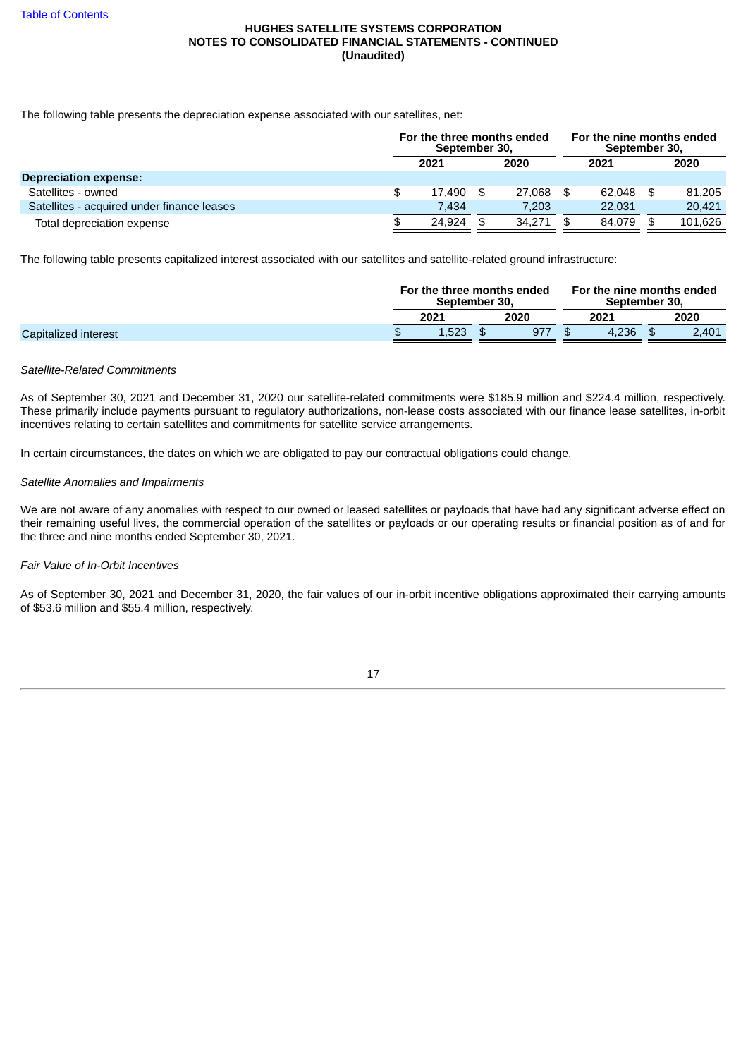The following table presents the depreciation expense associated with our satellites, net:

|                                            | For the three months ended<br>September 30, |        |      |        | For the nine months ended<br>September 30, |        |      |         |  |
|--------------------------------------------|---------------------------------------------|--------|------|--------|--------------------------------------------|--------|------|---------|--|
|                                            | 2021<br>2020                                |        | 2021 |        | 2020                                       |        |      |         |  |
| <b>Depreciation expense:</b>               |                                             |        |      |        |                                            |        |      |         |  |
| Satellites - owned                         | \$                                          | 17.490 |      | 27.068 | - \$                                       | 62.048 | - 36 | 81.205  |  |
| Satellites - acquired under finance leases |                                             | 7.434  |      | 7.203  |                                            | 22,031 |      | 20.421  |  |
| Total depreciation expense                 |                                             | 24.924 |      | 34,271 |                                            | 84.079 |      | 101.626 |  |

The following table presents capitalized interest associated with our satellites and satellite-related ground infrastructure:

|                      | For the three months ended<br>September 30. |       |  | For the nine months ended<br>September 30. |  |       |  |       |
|----------------------|---------------------------------------------|-------|--|--------------------------------------------|--|-------|--|-------|
|                      |                                             | 2021  |  | 2020                                       |  | 2021  |  | 2020  |
| Capitalized interest |                                             | 1.523 |  | 97.                                        |  | 4.236 |  | 2.401 |

### *Satellite-Related Commitments*

As of September 30, 2021 and December 31, 2020 our satellite-related commitments were \$185.9 million and \$224.4 million, respectively. These primarily include payments pursuant to regulatory authorizations, non-lease costs associated with our finance lease satellites, in-orbit incentives relating to certain satellites and commitments for satellite service arrangements.

In certain circumstances, the dates on which we are obligated to pay our contractual obligations could change.

### *Satellite Anomalies and Impairments*

We are not aware of any anomalies with respect to our owned or leased satellites or payloads that have had any significant adverse effect on their remaining useful lives, the commercial operation of the satellites or payloads or our operating results or financial position as of and for the three and nine months ended September 30, 2021.

### *Fair Value of In-Orbit Incentives*

As of September 30, 2021 and December 31, 2020, the fair values of our in-orbit incentive obligations approximated their carrying amounts of \$53.6 million and \$55.4 million, respectively.

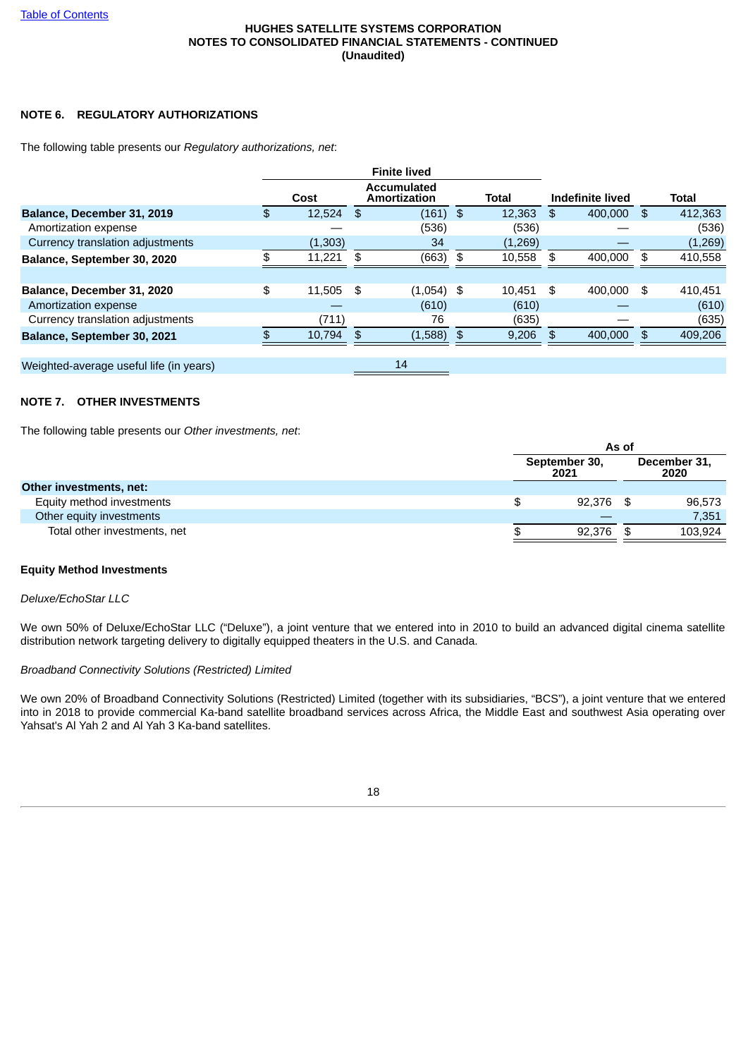# **NOTE 6. REGULATORY AUTHORIZATIONS**

The following table presents our *Regulatory authorizations, net*:

|                                         | <b>Finite lived</b> |          |      |                                             |    |         |                  |              |               |
|-----------------------------------------|---------------------|----------|------|---------------------------------------------|----|---------|------------------|--------------|---------------|
|                                         |                     | Cost     |      | <b>Accumulated</b><br>Amortization<br>Total |    |         | Indefinite lived | <b>Total</b> |               |
| Balance, December 31, 2019              | \$                  | 12,524   | \$   | $(161)$ \$                                  |    | 12,363  | \$               | 400,000      | \$<br>412,363 |
| Amortization expense                    |                     |          |      | (536)                                       |    | (536)   |                  |              | (536)         |
| Currency translation adjustments        |                     | (1, 303) |      | 34                                          |    | (1,269) |                  |              | (1,269)       |
| Balance, September 30, 2020             | \$.                 | 11,221   | \$   | (663)                                       | \$ | 10,558  | \$               | 400.000      | \$<br>410,558 |
|                                         |                     |          |      |                                             |    |         |                  |              |               |
| Balance, December 31, 2020              | \$                  | 11,505   | - \$ | $(1,054)$ \$                                |    | 10,451  | \$               | 400.000      | \$<br>410,451 |
| Amortization expense                    |                     |          |      | (610)                                       |    | (610)   |                  |              | (610)         |
| Currency translation adjustments        |                     | (711)    |      | 76                                          |    | (635)   |                  |              | (635)         |
| Balance, September 30, 2021             |                     | 10,794   | \$   | $(1,588)$ \$                                |    | 9,206   | \$               | 400,000      | \$<br>409,206 |
|                                         |                     |          |      |                                             |    |         |                  |              |               |
| Weighted-average useful life (in years) |                     |          |      | 14                                          |    |         |                  |              |               |

### **NOTE 7. OTHER INVESTMENTS**

The following table presents our *Other investments, net*:

|                              | As of                 |      |                      |  |  |
|------------------------------|-----------------------|------|----------------------|--|--|
|                              | September 30,<br>2021 |      | December 31,<br>2020 |  |  |
| Other investments, net:      |                       |      |                      |  |  |
| Equity method investments    | \$<br>92.376          | - SS | 96,573               |  |  |
| Other equity investments     |                       |      | 7,351                |  |  |
| Total other investments, net | 92.376                |      | 103.924              |  |  |

# **Equity Method Investments**

#### *Deluxe/EchoStar LLC*

We own 50% of Deluxe/EchoStar LLC ("Deluxe"), a joint venture that we entered into in 2010 to build an advanced digital cinema satellite distribution network targeting delivery to digitally equipped theaters in the U.S. and Canada.

## *Broadband Connectivity Solutions (Restricted) Limited*

We own 20% of Broadband Connectivity Solutions (Restricted) Limited (together with its subsidiaries, "BCS"), a joint venture that we entered into in 2018 to provide commercial Ka-band satellite broadband services across Africa, the Middle East and southwest Asia operating over Yahsat's Al Yah 2 and Al Yah 3 Ka-band satellites.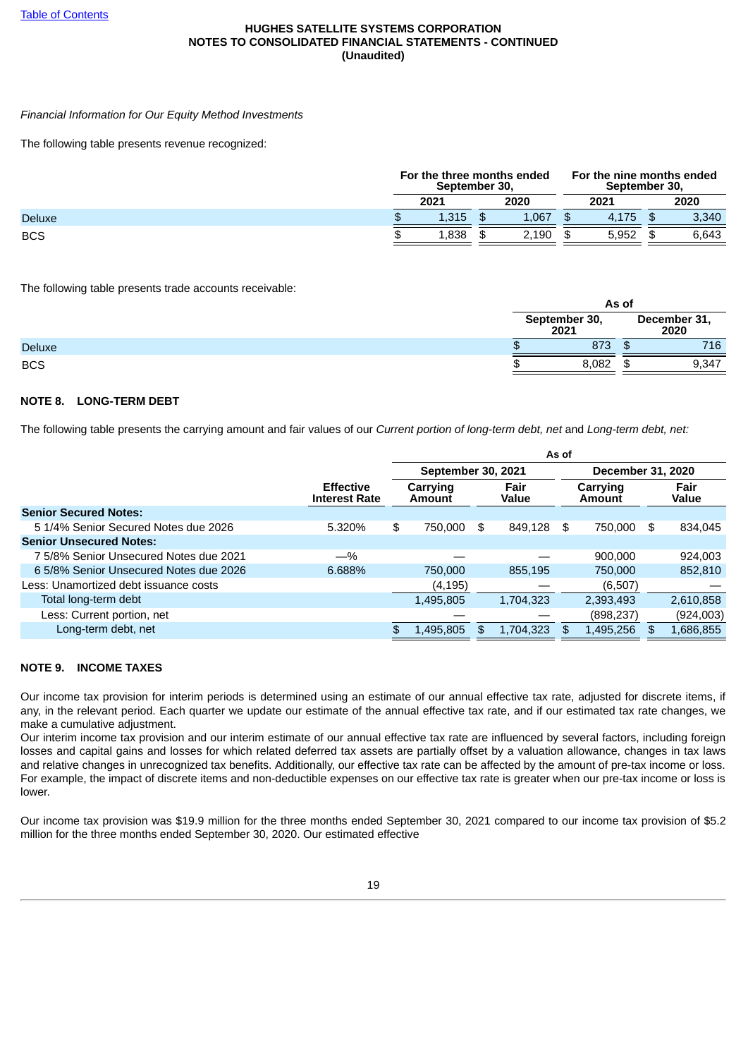## *Financial Information for Our Equity Method Investments*

The following table presents revenue recognized:

| For the three months ended<br>September 30, |      |       | For the nine months ended<br>September 30. |       |  |       |  |
|---------------------------------------------|------|-------|--------------------------------------------|-------|--|-------|--|
|                                             |      | 2020  |                                            | 2021  |  | 2020  |  |
| 1.315                                       |      | 1,067 |                                            | 4.175 |  | 3,340 |  |
| 1.838                                       |      | 2.190 |                                            | 5.952 |  | 6,643 |  |
|                                             | 2021 |       |                                            |       |  |       |  |

The following table presents trade accounts receivable:

|               |                       | As of |                      |
|---------------|-----------------------|-------|----------------------|
|               | September 30,<br>2021 |       | December 31,<br>2020 |
| <b>Deluxe</b> | 873                   |       | 716                  |
| <b>BCS</b>    | 8,082                 |       | 9,347                |

## **NOTE 8. LONG-TERM DEBT**

The following table presents the carrying amount and fair values of our *Current portion of long-term debt, net* and *Long-term debt, net:*

|                                        |                                                                | As of |                           |  |           |      |               |                   |                    |  |                      |
|----------------------------------------|----------------------------------------------------------------|-------|---------------------------|--|-----------|------|---------------|-------------------|--------------------|--|----------------------|
|                                        |                                                                |       | <b>September 30, 2021</b> |  |           |      |               | December 31, 2020 |                    |  |                      |
|                                        | <b>Effective</b><br>Carrying<br><b>Interest Rate</b><br>Amount |       |                           |  |           |      | Fair<br>Value |                   | Carrying<br>Amount |  | Fair<br><b>Value</b> |
| <b>Senior Secured Notes:</b>           |                                                                |       |                           |  |           |      |               |                   |                    |  |                      |
| 5 1/4% Senior Secured Notes due 2026   | 5.320%                                                         | \$    | 750,000 \$                |  | 849.128   | - \$ | 750,000 \$    |                   | 834.045            |  |                      |
| <b>Senior Unsecured Notes:</b>         |                                                                |       |                           |  |           |      |               |                   |                    |  |                      |
| 7 5/8% Senior Unsecured Notes due 2021 | $-$ %                                                          |       |                           |  |           |      | 900.000       |                   | 924.003            |  |                      |
| 6 5/8% Senior Unsecured Notes due 2026 | 6.688%                                                         |       | 750,000                   |  | 855.195   |      | 750,000       |                   | 852,810            |  |                      |
| Less: Unamortized debt issuance costs  |                                                                |       | (4, 195)                  |  |           |      | (6,507)       |                   |                    |  |                      |
| Total long-term debt                   |                                                                |       | 1,495,805                 |  | 1.704.323 |      | 2,393,493     |                   | 2,610,858          |  |                      |
| Less: Current portion, net             |                                                                |       |                           |  |           |      | (898, 237)    |                   | (924,003)          |  |                      |
| Long-term debt, net                    |                                                                |       | 1,495,805                 |  | 1,704,323 | \$.  | 1,495,256     | Æ.                | 1,686,855          |  |                      |

# **NOTE 9. INCOME TAXES**

Our income tax provision for interim periods is determined using an estimate of our annual effective tax rate, adjusted for discrete items, if any, in the relevant period. Each quarter we update our estimate of the annual effective tax rate, and if our estimated tax rate changes, we make a cumulative adjustment.

Our interim income tax provision and our interim estimate of our annual effective tax rate are influenced by several factors, including foreign losses and capital gains and losses for which related deferred tax assets are partially offset by a valuation allowance, changes in tax laws and relative changes in unrecognized tax benefits. Additionally, our effective tax rate can be affected by the amount of pre-tax income or loss. For example, the impact of discrete items and non-deductible expenses on our effective tax rate is greater when our pre-tax income or loss is lower.

Our income tax provision was \$19.9 million for the three months ended September 30, 2021 compared to our income tax provision of \$5.2 million for the three months ended September 30, 2020. Our estimated effective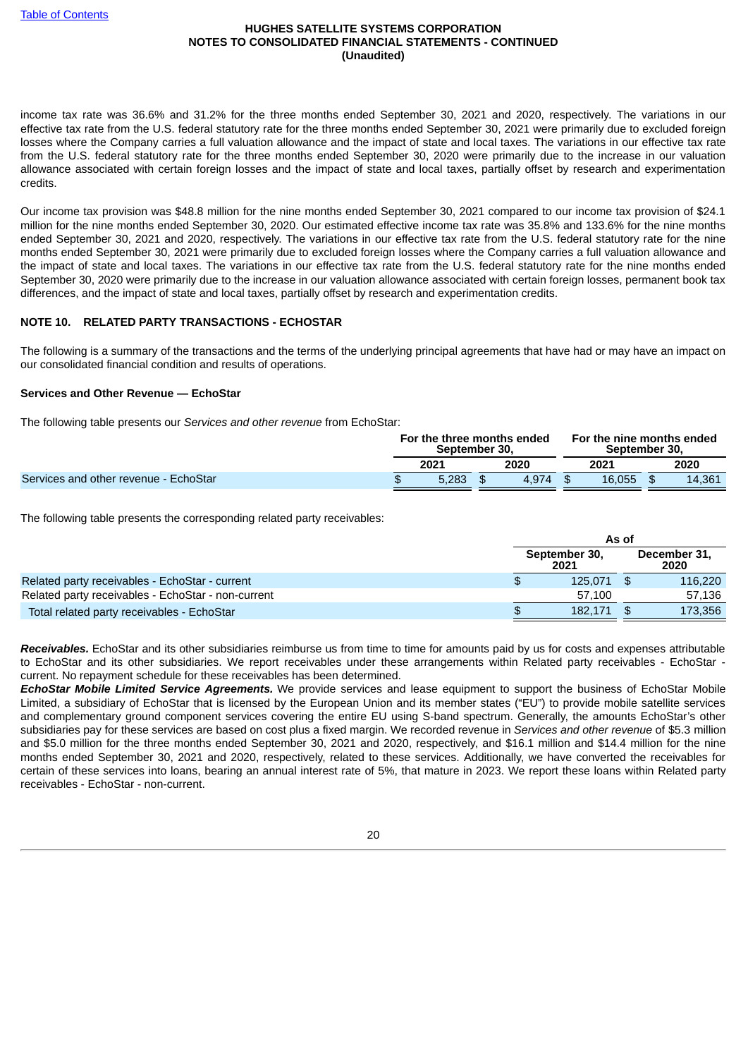income tax rate was 36.6% and 31.2% for the three months ended September 30, 2021 and 2020, respectively. The variations in our effective tax rate from the U.S. federal statutory rate for the three months ended September 30, 2021 were primarily due to excluded foreign losses where the Company carries a full valuation allowance and the impact of state and local taxes. The variations in our effective tax rate from the U.S. federal statutory rate for the three months ended September 30, 2020 were primarily due to the increase in our valuation allowance associated with certain foreign losses and the impact of state and local taxes, partially offset by research and experimentation credits.

Our income tax provision was \$48.8 million for the nine months ended September 30, 2021 compared to our income tax provision of \$24.1 million for the nine months ended September 30, 2020. Our estimated effective income tax rate was 35.8% and 133.6% for the nine months ended September 30, 2021 and 2020, respectively. The variations in our effective tax rate from the U.S. federal statutory rate for the nine months ended September 30, 2021 were primarily due to excluded foreign losses where the Company carries a full valuation allowance and the impact of state and local taxes. The variations in our effective tax rate from the U.S. federal statutory rate for the nine months ended September 30, 2020 were primarily due to the increase in our valuation allowance associated with certain foreign losses, permanent book tax differences, and the impact of state and local taxes, partially offset by research and experimentation credits.

# **NOTE 10. RELATED PARTY TRANSACTIONS - ECHOSTAR**

The following is a summary of the transactions and the terms of the underlying principal agreements that have had or may have an impact on our consolidated financial condition and results of operations.

## **Services and Other Revenue — EchoStar**

The following table presents our *Services and other revenue* from EchoStar:

|                                       | For the three months ended<br>September 30. |  |       | For the nine months ended<br>September 30. |        |  |        |  |
|---------------------------------------|---------------------------------------------|--|-------|--------------------------------------------|--------|--|--------|--|
|                                       | 2021                                        |  | 2020  |                                            | 2021   |  | 2020   |  |
| Services and other revenue - EchoStar | 5.283                                       |  | 4.974 |                                            | 16.055 |  | 14.361 |  |
|                                       |                                             |  |       |                                            |        |  |        |  |

The following table presents the corresponding related party receivables:

|                                                    |    | As of                 |  |                      |  |  |  |
|----------------------------------------------------|----|-----------------------|--|----------------------|--|--|--|
|                                                    |    | September 30,<br>2021 |  | December 31,<br>2020 |  |  |  |
| Related party receivables - EchoStar - current     |    | 125.071               |  | 116,220              |  |  |  |
| Related party receivables - EchoStar - non-current |    | 57.100                |  | 57.136               |  |  |  |
| Total related party receivables - EchoStar         | £. | 182.171               |  | 173.356              |  |  |  |

*Receivables.* EchoStar and its other subsidiaries reimburse us from time to time for amounts paid by us for costs and expenses attributable to EchoStar and its other subsidiaries. We report receivables under these arrangements within Related party receivables - EchoStar current. No repayment schedule for these receivables has been determined.

*EchoStar Mobile Limited Service Agreements.* We provide services and lease equipment to support the business of EchoStar Mobile Limited, a subsidiary of EchoStar that is licensed by the European Union and its member states ("EU") to provide mobile satellite services and complementary ground component services covering the entire EU using S-band spectrum. Generally, the amounts EchoStar's other subsidiaries pay for these services are based on cost plus a fixed margin. We recorded revenue in *Services and other revenue* of \$5.3 million and \$5.0 million for the three months ended September 30, 2021 and 2020, respectively, and \$16.1 million and \$14.4 million for the nine months ended September 30, 2021 and 2020, respectively, related to these services. Additionally, we have converted the receivables for certain of these services into loans, bearing an annual interest rate of 5%, that mature in 2023. We report these loans within Related party receivables - EchoStar - non-current.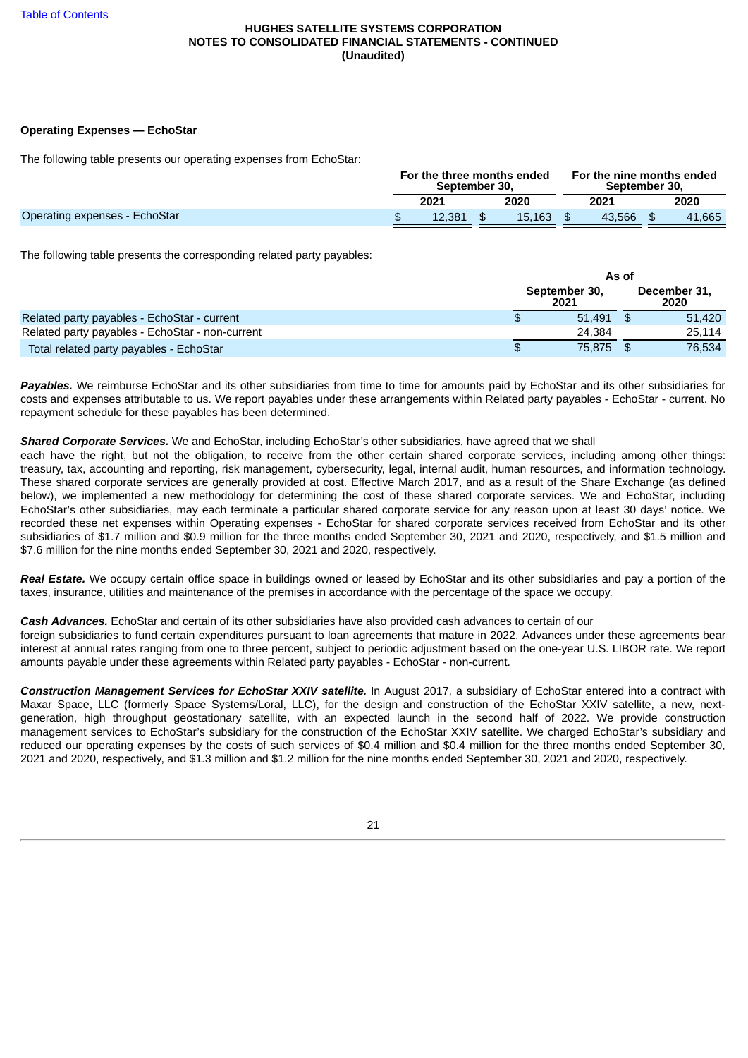## **Operating Expenses — EchoStar**

The following table presents our operating expenses from EchoStar:

|                               | For the three months ended<br>September 30. |  |        | For the nine months ended<br>September 30. |  |        |
|-------------------------------|---------------------------------------------|--|--------|--------------------------------------------|--|--------|
|                               | 2021                                        |  | 2020   | 2021                                       |  | 2020   |
| Operating expenses - EchoStar | 12.381                                      |  | 15.163 | 43.566                                     |  | 41.665 |
|                               |                                             |  |        |                                            |  |        |

The following table presents the corresponding related party payables:

|                                                 |    | As of                 |  |                      |  |  |  |
|-------------------------------------------------|----|-----------------------|--|----------------------|--|--|--|
|                                                 |    | September 30,<br>2021 |  | December 31,<br>2020 |  |  |  |
| Related party payables - EchoStar - current     | £. | 51.491                |  | 51.420               |  |  |  |
| Related party payables - EchoStar - non-current |    | 24.384                |  | 25.114               |  |  |  |
| Total related party payables - EchoStar         | £. | 75.875                |  | 76.534               |  |  |  |

Payables. We reimburse EchoStar and its other subsidiaries from time to time for amounts paid by EchoStar and its other subsidiaries for costs and expenses attributable to us. We report payables under these arrangements within Related party payables - EchoStar - current. No repayment schedule for these payables has been determined.

### *Shared Corporate Services.* We and EchoStar, including EchoStar's other subsidiaries, have agreed that we shall

each have the right, but not the obligation, to receive from the other certain shared corporate services, including among other things: treasury, tax, accounting and reporting, risk management, cybersecurity, legal, internal audit, human resources, and information technology. These shared corporate services are generally provided at cost. Effective March 2017, and as a result of the Share Exchange (as defined below), we implemented a new methodology for determining the cost of these shared corporate services. We and EchoStar, including EchoStar's other subsidiaries, may each terminate a particular shared corporate service for any reason upon at least 30 days' notice. We recorded these net expenses within Operating expenses - EchoStar for shared corporate services received from EchoStar and its other subsidiaries of \$1.7 million and \$0.9 million for the three months ended September 30, 2021 and 2020, respectively, and \$1.5 million and \$7.6 million for the nine months ended September 30, 2021 and 2020, respectively.

*Real Estate.* We occupy certain office space in buildings owned or leased by EchoStar and its other subsidiaries and pay a portion of the taxes, insurance, utilities and maintenance of the premises in accordance with the percentage of the space we occupy.

#### *Cash Advances.* EchoStar and certain of its other subsidiaries have also provided cash advances to certain of our

foreign subsidiaries to fund certain expenditures pursuant to loan agreements that mature in 2022. Advances under these agreements bear interest at annual rates ranging from one to three percent, subject to periodic adjustment based on the one-year U.S. LIBOR rate. We report amounts payable under these agreements within Related party payables - EchoStar - non-current.

*Construction Management Services for EchoStar XXIV satellite.* In August 2017, a subsidiary of EchoStar entered into a contract with Maxar Space, LLC (formerly Space Systems/Loral, LLC), for the design and construction of the EchoStar XXIV satellite, a new, nextgeneration, high throughput geostationary satellite, with an expected launch in the second half of 2022. We provide construction management services to EchoStar's subsidiary for the construction of the EchoStar XXIV satellite. We charged EchoStar's subsidiary and reduced our operating expenses by the costs of such services of \$0.4 million and \$0.4 million for the three months ended September 30, 2021 and 2020, respectively, and \$1.3 million and \$1.2 million for the nine months ended September 30, 2021 and 2020, respectively.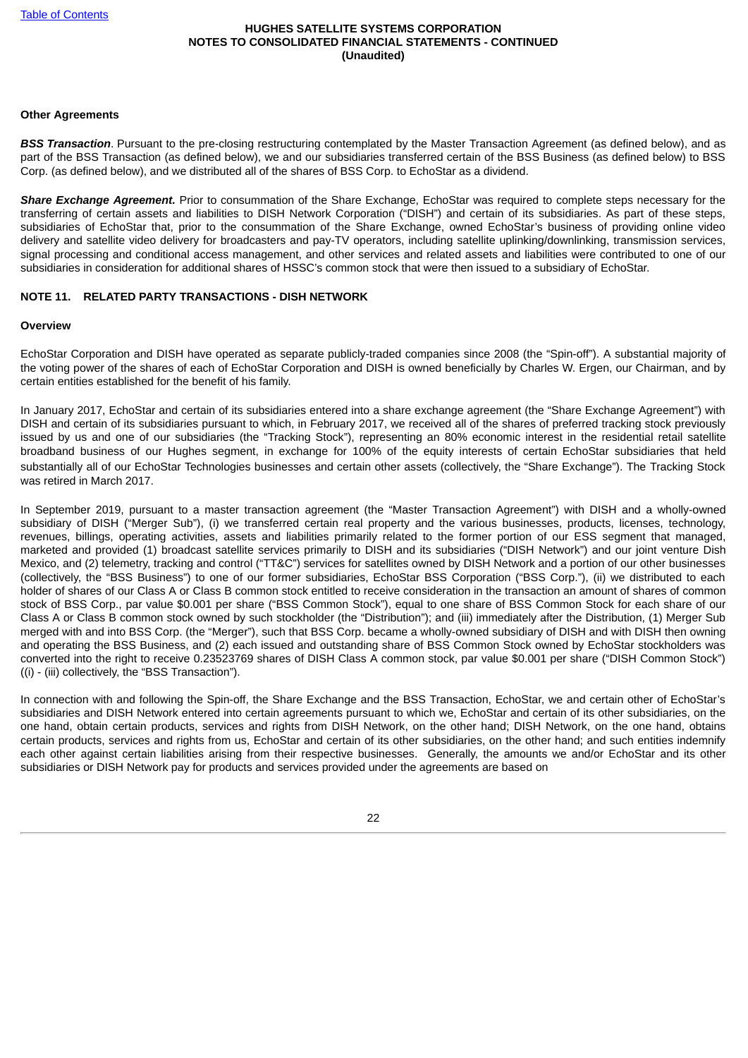#### **Other Agreements**

*BSS Transaction*. Pursuant to the pre-closing restructuring contemplated by the Master Transaction Agreement (as defined below), and as part of the BSS Transaction (as defined below), we and our subsidiaries transferred certain of the BSS Business (as defined below) to BSS Corp. (as defined below), and we distributed all of the shares of BSS Corp. to EchoStar as a dividend.

*Share Exchange Agreement.* Prior to consummation of the Share Exchange, EchoStar was required to complete steps necessary for the transferring of certain assets and liabilities to DISH Network Corporation ("DISH") and certain of its subsidiaries. As part of these steps, subsidiaries of EchoStar that, prior to the consummation of the Share Exchange, owned EchoStar's business of providing online video delivery and satellite video delivery for broadcasters and pay-TV operators, including satellite uplinking/downlinking, transmission services, signal processing and conditional access management, and other services and related assets and liabilities were contributed to one of our subsidiaries in consideration for additional shares of HSSC's common stock that were then issued to a subsidiary of EchoStar.

### **NOTE 11. RELATED PARTY TRANSACTIONS - DISH NETWORK**

#### **Overview**

EchoStar Corporation and DISH have operated as separate publicly-traded companies since 2008 (the "Spin-off"). A substantial majority of the voting power of the shares of each of EchoStar Corporation and DISH is owned beneficially by Charles W. Ergen, our Chairman, and by certain entities established for the benefit of his family.

In January 2017, EchoStar and certain of its subsidiaries entered into a share exchange agreement (the "Share Exchange Agreement") with DISH and certain of its subsidiaries pursuant to which, in February 2017, we received all of the shares of preferred tracking stock previously issued by us and one of our subsidiaries (the "Tracking Stock"), representing an 80% economic interest in the residential retail satellite broadband business of our Hughes segment, in exchange for 100% of the equity interests of certain EchoStar subsidiaries that held substantially all of our EchoStar Technologies businesses and certain other assets (collectively, the "Share Exchange"). The Tracking Stock was retired in March 2017.

In September 2019, pursuant to a master transaction agreement (the "Master Transaction Agreement") with DISH and a wholly-owned subsidiary of DISH ("Merger Sub"), (i) we transferred certain real property and the various businesses, products, licenses, technology, revenues, billings, operating activities, assets and liabilities primarily related to the former portion of our ESS segment that managed, marketed and provided (1) broadcast satellite services primarily to DISH and its subsidiaries ("DISH Network") and our joint venture Dish Mexico, and (2) telemetry, tracking and control ("TT&C") services for satellites owned by DISH Network and a portion of our other businesses (collectively, the "BSS Business") to one of our former subsidiaries, EchoStar BSS Corporation ("BSS Corp."), (ii) we distributed to each holder of shares of our Class A or Class B common stock entitled to receive consideration in the transaction an amount of shares of common stock of BSS Corp., par value \$0.001 per share ("BSS Common Stock"), equal to one share of BSS Common Stock for each share of our Class A or Class B common stock owned by such stockholder (the "Distribution"); and (iii) immediately after the Distribution, (1) Merger Sub merged with and into BSS Corp. (the "Merger"), such that BSS Corp. became a wholly-owned subsidiary of DISH and with DISH then owning and operating the BSS Business, and (2) each issued and outstanding share of BSS Common Stock owned by EchoStar stockholders was converted into the right to receive 0.23523769 shares of DISH Class A common stock, par value \$0.001 per share ("DISH Common Stock") ((i) - (iii) collectively, the "BSS Transaction").

In connection with and following the Spin-off, the Share Exchange and the BSS Transaction, EchoStar, we and certain other of EchoStar's subsidiaries and DISH Network entered into certain agreements pursuant to which we, EchoStar and certain of its other subsidiaries, on the one hand, obtain certain products, services and rights from DISH Network, on the other hand; DISH Network, on the one hand, obtains certain products, services and rights from us, EchoStar and certain of its other subsidiaries, on the other hand; and such entities indemnify each other against certain liabilities arising from their respective businesses. Generally, the amounts we and/or EchoStar and its other subsidiaries or DISH Network pay for products and services provided under the agreements are based on

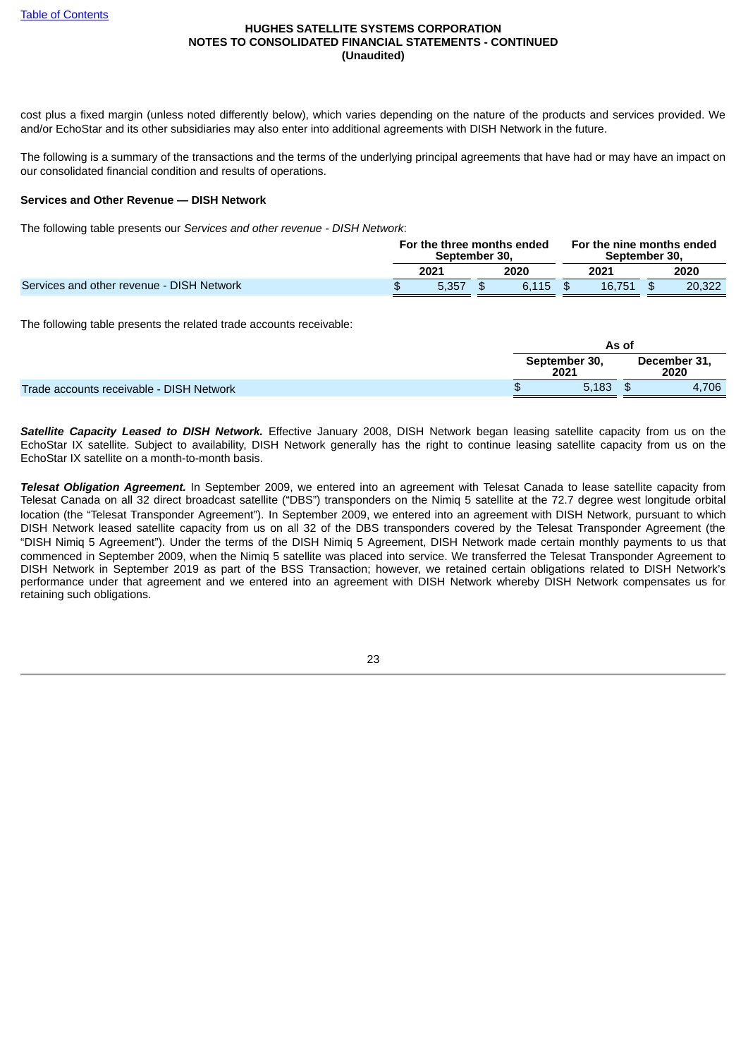cost plus a fixed margin (unless noted differently below), which varies depending on the nature of the products and services provided. We and/or EchoStar and its other subsidiaries may also enter into additional agreements with DISH Network in the future.

The following is a summary of the transactions and the terms of the underlying principal agreements that have had or may have an impact on our consolidated financial condition and results of operations.

#### **Services and Other Revenue — DISH Network**

The following table presents our *Services and other revenue - DISH Network*:

|                                           | For the three months ended<br>September 30. |  |       | For the nine months ended<br>September 30. |  |        |  |
|-------------------------------------------|---------------------------------------------|--|-------|--------------------------------------------|--|--------|--|
|                                           | 2021                                        |  | 2020  | 2021                                       |  | 2020   |  |
| Services and other revenue - DISH Network | 5.357                                       |  | 6.115 | 16.751                                     |  | 20.322 |  |

The following table presents the related trade accounts receivable:

|                                          | As of                 |  |                      |  |
|------------------------------------------|-----------------------|--|----------------------|--|
|                                          | September 30,<br>2021 |  | December 31,<br>2020 |  |
| Trade accounts receivable - DISH Network | 5.183                 |  | 4.706                |  |

*Satellite Capacity Leased to DISH Network.* Effective January 2008, DISH Network began leasing satellite capacity from us on the EchoStar IX satellite. Subject to availability, DISH Network generally has the right to continue leasing satellite capacity from us on the EchoStar IX satellite on a month-to-month basis.

*Telesat Obligation Agreement.* In September 2009, we entered into an agreement with Telesat Canada to lease satellite capacity from Telesat Canada on all 32 direct broadcast satellite ("DBS") transponders on the Nimiq 5 satellite at the 72.7 degree west longitude orbital location (the "Telesat Transponder Agreement"). In September 2009, we entered into an agreement with DISH Network, pursuant to which DISH Network leased satellite capacity from us on all 32 of the DBS transponders covered by the Telesat Transponder Agreement (the "DISH Nimiq 5 Agreement"). Under the terms of the DISH Nimiq 5 Agreement, DISH Network made certain monthly payments to us that commenced in September 2009, when the Nimiq 5 satellite was placed into service. We transferred the Telesat Transponder Agreement to DISH Network in September 2019 as part of the BSS Transaction; however, we retained certain obligations related to DISH Network's performance under that agreement and we entered into an agreement with DISH Network whereby DISH Network compensates us for retaining such obligations.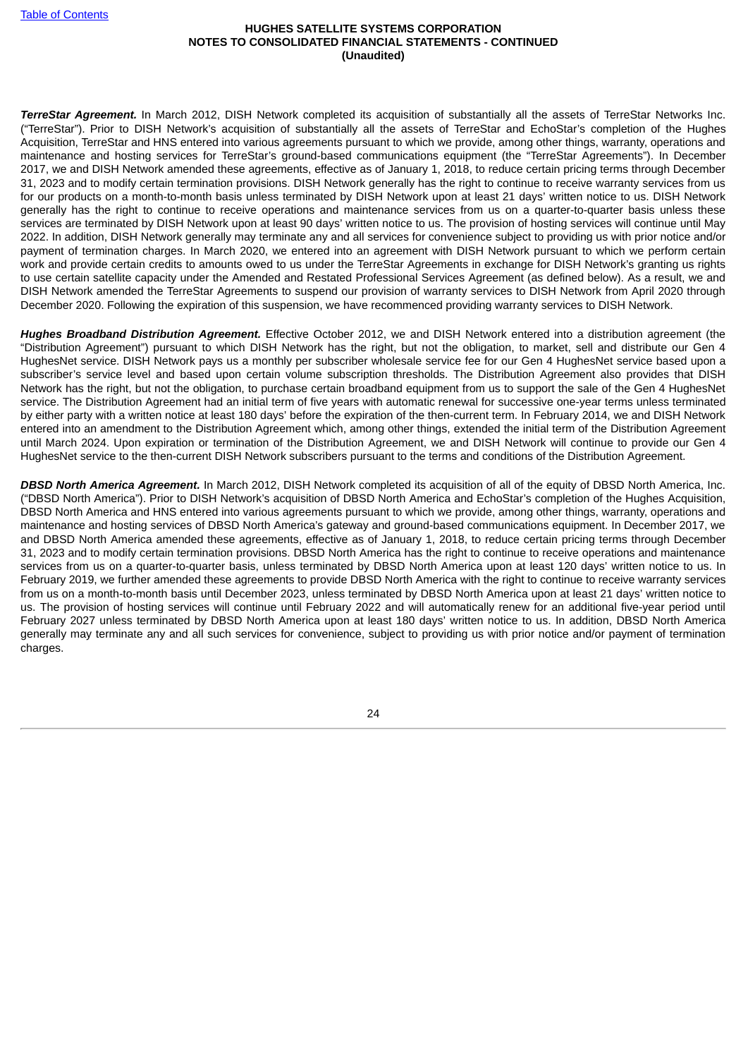*TerreStar Agreement.* In March 2012, DISH Network completed its acquisition of substantially all the assets of TerreStar Networks Inc. ("TerreStar"). Prior to DISH Network's acquisition of substantially all the assets of TerreStar and EchoStar's completion of the Hughes Acquisition, TerreStar and HNS entered into various agreements pursuant to which we provide, among other things, warranty, operations and maintenance and hosting services for TerreStar's ground-based communications equipment (the "TerreStar Agreements"). In December 2017, we and DISH Network amended these agreements, effective as of January 1, 2018, to reduce certain pricing terms through December 31, 2023 and to modify certain termination provisions. DISH Network generally has the right to continue to receive warranty services from us for our products on a month-to-month basis unless terminated by DISH Network upon at least 21 days' written notice to us. DISH Network generally has the right to continue to receive operations and maintenance services from us on a quarter-to-quarter basis unless these services are terminated by DISH Network upon at least 90 days' written notice to us. The provision of hosting services will continue until May 2022. In addition, DISH Network generally may terminate any and all services for convenience subject to providing us with prior notice and/or payment of termination charges. In March 2020, we entered into an agreement with DISH Network pursuant to which we perform certain work and provide certain credits to amounts owed to us under the TerreStar Agreements in exchange for DISH Network's granting us rights to use certain satellite capacity under the Amended and Restated Professional Services Agreement (as defined below). As a result, we and DISH Network amended the TerreStar Agreements to suspend our provision of warranty services to DISH Network from April 2020 through December 2020. Following the expiration of this suspension, we have recommenced providing warranty services to DISH Network.

*Hughes Broadband Distribution Agreement.* Effective October 2012, we and DISH Network entered into a distribution agreement (the "Distribution Agreement") pursuant to which DISH Network has the right, but not the obligation, to market, sell and distribute our Gen 4 HughesNet service. DISH Network pays us a monthly per subscriber wholesale service fee for our Gen 4 HughesNet service based upon a subscriber's service level and based upon certain volume subscription thresholds. The Distribution Agreement also provides that DISH Network has the right, but not the obligation, to purchase certain broadband equipment from us to support the sale of the Gen 4 HughesNet service. The Distribution Agreement had an initial term of five years with automatic renewal for successive one-year terms unless terminated by either party with a written notice at least 180 days' before the expiration of the then-current term. In February 2014, we and DISH Network entered into an amendment to the Distribution Agreement which, among other things, extended the initial term of the Distribution Agreement until March 2024. Upon expiration or termination of the Distribution Agreement, we and DISH Network will continue to provide our Gen 4 HughesNet service to the then-current DISH Network subscribers pursuant to the terms and conditions of the Distribution Agreement.

*DBSD North America Agreement.* In March 2012, DISH Network completed its acquisition of all of the equity of DBSD North America, Inc. ("DBSD North America"). Prior to DISH Network's acquisition of DBSD North America and EchoStar's completion of the Hughes Acquisition, DBSD North America and HNS entered into various agreements pursuant to which we provide, among other things, warranty, operations and maintenance and hosting services of DBSD North America's gateway and ground-based communications equipment. In December 2017, we and DBSD North America amended these agreements, effective as of January 1, 2018, to reduce certain pricing terms through December 31, 2023 and to modify certain termination provisions. DBSD North America has the right to continue to receive operations and maintenance services from us on a quarter-to-quarter basis, unless terminated by DBSD North America upon at least 120 days' written notice to us. In February 2019, we further amended these agreements to provide DBSD North America with the right to continue to receive warranty services from us on a month-to-month basis until December 2023, unless terminated by DBSD North America upon at least 21 days' written notice to us. The provision of hosting services will continue until February 2022 and will automatically renew for an additional five-year period until February 2027 unless terminated by DBSD North America upon at least 180 days' written notice to us. In addition, DBSD North America generally may terminate any and all such services for convenience, subject to providing us with prior notice and/or payment of termination charges.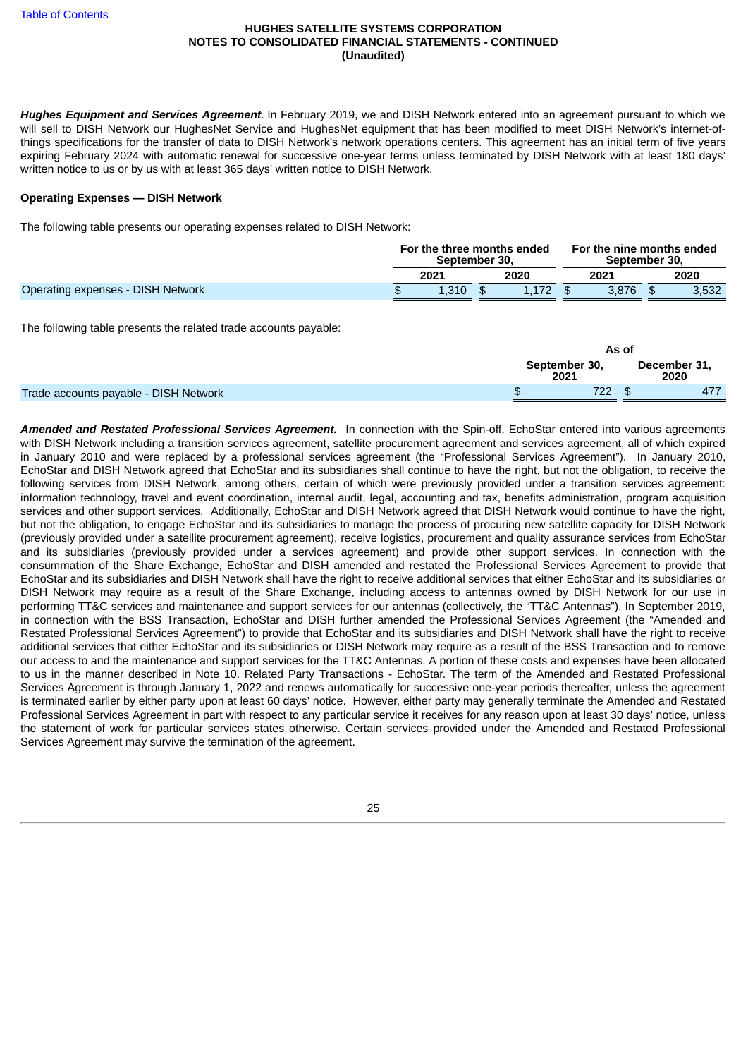*Hughes Equipment and Services Agreement*. In February 2019, we and DISH Network entered into an agreement pursuant to which we will sell to DISH Network our HughesNet Service and HughesNet equipment that has been modified to meet DISH Network's internet-ofthings specifications for the transfer of data to DISH Network's network operations centers. This agreement has an initial term of five years expiring February 2024 with automatic renewal for successive one-year terms unless terminated by DISH Network with at least 180 days' written notice to us or by us with at least 365 days' written notice to DISH Network.

## **Operating Expenses — DISH Network**

The following table presents our operating expenses related to DISH Network:

|                                   | For the three months ended<br>September 30. |  |      | For the nine months ended<br>September 30. |       |  |       |
|-----------------------------------|---------------------------------------------|--|------|--------------------------------------------|-------|--|-------|
|                                   | 2021                                        |  | 2020 |                                            | 2021  |  | 2020  |
| Operating expenses - DISH Network | 1,310                                       |  |      |                                            | 3.876 |  | 3,532 |

The following table presents the related trade accounts payable:

|                                       |                       | As of |                             |    |  |
|---------------------------------------|-----------------------|-------|-----------------------------|----|--|
|                                       | September 30,<br>2021 |       | <b>December 31.</b><br>2020 |    |  |
| Trade accounts payable - DISH Network |                       | 722   |                             | 47 |  |

*Amended and Restated Professional Services Agreement.* In connection with the Spin-off, EchoStar entered into various agreements with DISH Network including a transition services agreement, satellite procurement agreement and services agreement, all of which expired in January 2010 and were replaced by a professional services agreement (the "Professional Services Agreement"). In January 2010, EchoStar and DISH Network agreed that EchoStar and its subsidiaries shall continue to have the right, but not the obligation, to receive the following services from DISH Network, among others, certain of which were previously provided under a transition services agreement: information technology, travel and event coordination, internal audit, legal, accounting and tax, benefits administration, program acquisition services and other support services. Additionally, EchoStar and DISH Network agreed that DISH Network would continue to have the right, but not the obligation, to engage EchoStar and its subsidiaries to manage the process of procuring new satellite capacity for DISH Network (previously provided under a satellite procurement agreement), receive logistics, procurement and quality assurance services from EchoStar and its subsidiaries (previously provided under a services agreement) and provide other support services. In connection with the consummation of the Share Exchange, EchoStar and DISH amended and restated the Professional Services Agreement to provide that EchoStar and its subsidiaries and DISH Network shall have the right to receive additional services that either EchoStar and its subsidiaries or DISH Network may require as a result of the Share Exchange, including access to antennas owned by DISH Network for our use in performing TT&C services and maintenance and support services for our antennas (collectively, the "TT&C Antennas"). In September 2019, in connection with the BSS Transaction, EchoStar and DISH further amended the Professional Services Agreement (the "Amended and Restated Professional Services Agreement") to provide that EchoStar and its subsidiaries and DISH Network shall have the right to receive additional services that either EchoStar and its subsidiaries or DISH Network may require as a result of the BSS Transaction and to remove our access to and the maintenance and support services for the TT&C Antennas. A portion of these costs and expenses have been allocated to us in the manner described in Note 10. Related Party Transactions - EchoStar. The term of the Amended and Restated Professional Services Agreement is through January 1, 2022 and renews automatically for successive one-year periods thereafter, unless the agreement is terminated earlier by either party upon at least 60 days' notice. However, either party may generally terminate the Amended and Restated Professional Services Agreement in part with respect to any particular service it receives for any reason upon at least 30 days' notice, unless the statement of work for particular services states otherwise. Certain services provided under the Amended and Restated Professional Services Agreement may survive the termination of the agreement.

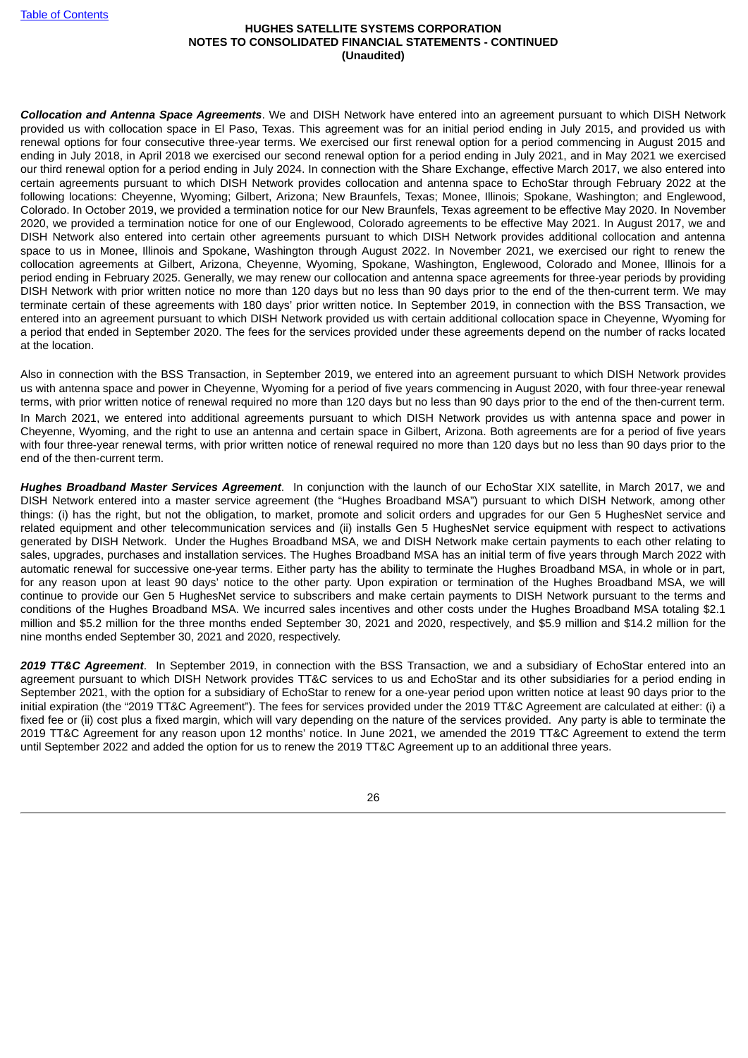*Collocation and Antenna Space Agreements*. We and DISH Network have entered into an agreement pursuant to which DISH Network provided us with collocation space in El Paso, Texas. This agreement was for an initial period ending in July 2015, and provided us with renewal options for four consecutive three-year terms. We exercised our first renewal option for a period commencing in August 2015 and ending in July 2018, in April 2018 we exercised our second renewal option for a period ending in July 2021, and in May 2021 we exercised our third renewal option for a period ending in July 2024. In connection with the Share Exchange, effective March 2017, we also entered into certain agreements pursuant to which DISH Network provides collocation and antenna space to EchoStar through February 2022 at the following locations: Cheyenne, Wyoming; Gilbert, Arizona; New Braunfels, Texas; Monee, Illinois; Spokane, Washington; and Englewood, Colorado. In October 2019, we provided a termination notice for our New Braunfels, Texas agreement to be effective May 2020. In November 2020, we provided a termination notice for one of our Englewood, Colorado agreements to be effective May 2021. In August 2017, we and DISH Network also entered into certain other agreements pursuant to which DISH Network provides additional collocation and antenna space to us in Monee, Illinois and Spokane, Washington through August 2022. In November 2021, we exercised our right to renew the collocation agreements at Gilbert, Arizona, Cheyenne, Wyoming, Spokane, Washington, Englewood, Colorado and Monee, Illinois for a period ending in February 2025. Generally, we may renew our collocation and antenna space agreements for three-year periods by providing DISH Network with prior written notice no more than 120 days but no less than 90 days prior to the end of the then-current term. We may terminate certain of these agreements with 180 days' prior written notice. In September 2019, in connection with the BSS Transaction, we entered into an agreement pursuant to which DISH Network provided us with certain additional collocation space in Cheyenne, Wyoming for a period that ended in September 2020. The fees for the services provided under these agreements depend on the number of racks located at the location.

Also in connection with the BSS Transaction, in September 2019, we entered into an agreement pursuant to which DISH Network provides us with antenna space and power in Cheyenne, Wyoming for a period of five years commencing in August 2020, with four three-year renewal terms, with prior written notice of renewal required no more than 120 days but no less than 90 days prior to the end of the then-current term. In March 2021, we entered into additional agreements pursuant to which DISH Network provides us with antenna space and power in Cheyenne, Wyoming, and the right to use an antenna and certain space in Gilbert, Arizona. Both agreements are for a period of five years with four three-year renewal terms, with prior written notice of renewal required no more than 120 days but no less than 90 days prior to the end of the then-current term.

*Hughes Broadband Master Services Agreement*. In conjunction with the launch of our EchoStar XIX satellite, in March 2017, we and DISH Network entered into a master service agreement (the "Hughes Broadband MSA") pursuant to which DISH Network, among other things: (i) has the right, but not the obligation, to market, promote and solicit orders and upgrades for our Gen 5 HughesNet service and related equipment and other telecommunication services and (ii) installs Gen 5 HughesNet service equipment with respect to activations generated by DISH Network. Under the Hughes Broadband MSA, we and DISH Network make certain payments to each other relating to sales, upgrades, purchases and installation services. The Hughes Broadband MSA has an initial term of five years through March 2022 with automatic renewal for successive one-year terms. Either party has the ability to terminate the Hughes Broadband MSA, in whole or in part, for any reason upon at least 90 days' notice to the other party. Upon expiration or termination of the Hughes Broadband MSA, we will continue to provide our Gen 5 HughesNet service to subscribers and make certain payments to DISH Network pursuant to the terms and conditions of the Hughes Broadband MSA. We incurred sales incentives and other costs under the Hughes Broadband MSA totaling \$2.1 million and \$5.2 million for the three months ended September 30, 2021 and 2020, respectively, and \$5.9 million and \$14.2 million for the nine months ended September 30, 2021 and 2020, respectively.

*2019 TT&C Agreement*. In September 2019, in connection with the BSS Transaction, we and a subsidiary of EchoStar entered into an agreement pursuant to which DISH Network provides TT&C services to us and EchoStar and its other subsidiaries for a period ending in September 2021, with the option for a subsidiary of EchoStar to renew for a one-year period upon written notice at least 90 days prior to the initial expiration (the "2019 TT&C Agreement"). The fees for services provided under the 2019 TT&C Agreement are calculated at either: (i) a fixed fee or (ii) cost plus a fixed margin, which will vary depending on the nature of the services provided. Any party is able to terminate the 2019 TT&C Agreement for any reason upon 12 months' notice. In June 2021, we amended the 2019 TT&C Agreement to extend the term until September 2022 and added the option for us to renew the 2019 TT&C Agreement up to an additional three years.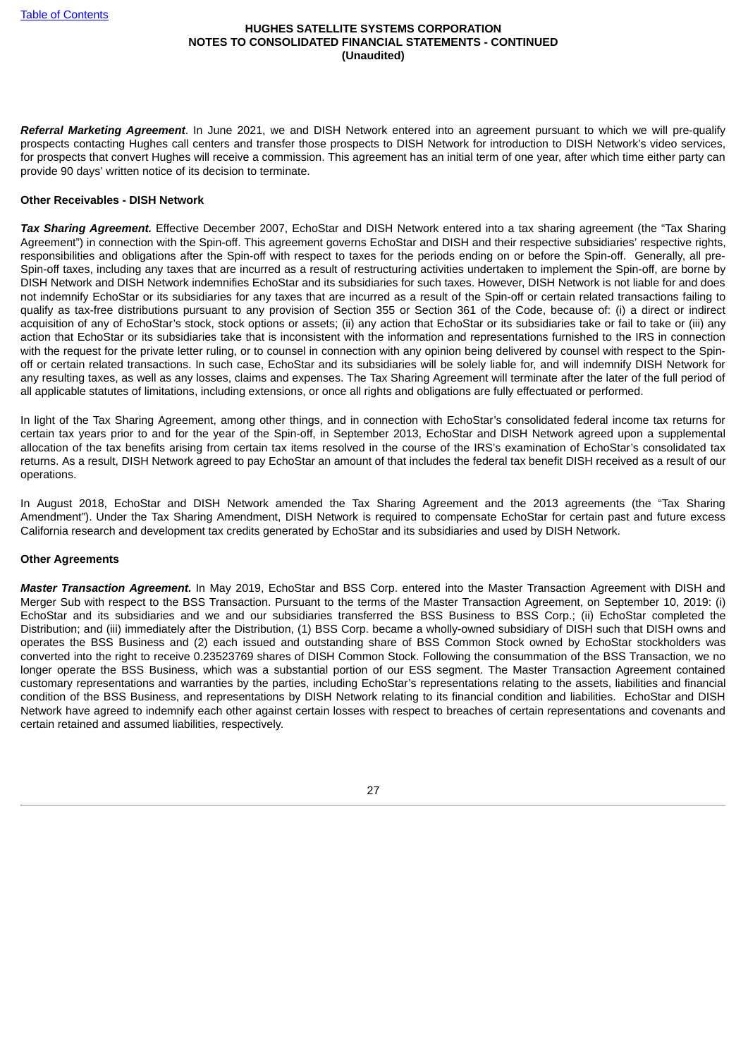*Referral Marketing Agreement*. In June 2021, we and DISH Network entered into an agreement pursuant to which we will pre-qualify prospects contacting Hughes call centers and transfer those prospects to DISH Network for introduction to DISH Network's video services, for prospects that convert Hughes will receive a commission. This agreement has an initial term of one year, after which time either party can provide 90 days' written notice of its decision to terminate.

## **Other Receivables - DISH Network**

*Tax Sharing Agreement.* Effective December 2007, EchoStar and DISH Network entered into a tax sharing agreement (the "Tax Sharing Agreement") in connection with the Spin-off. This agreement governs EchoStar and DISH and their respective subsidiaries' respective rights, responsibilities and obligations after the Spin-off with respect to taxes for the periods ending on or before the Spin-off. Generally, all pre-Spin-off taxes, including any taxes that are incurred as a result of restructuring activities undertaken to implement the Spin-off, are borne by DISH Network and DISH Network indemnifies EchoStar and its subsidiaries for such taxes. However, DISH Network is not liable for and does not indemnify EchoStar or its subsidiaries for any taxes that are incurred as a result of the Spin-off or certain related transactions failing to qualify as tax-free distributions pursuant to any provision of Section 355 or Section 361 of the Code, because of: (i) a direct or indirect acquisition of any of EchoStar's stock, stock options or assets; (ii) any action that EchoStar or its subsidiaries take or fail to take or (iii) any action that EchoStar or its subsidiaries take that is inconsistent with the information and representations furnished to the IRS in connection with the request for the private letter ruling, or to counsel in connection with any opinion being delivered by counsel with respect to the Spinoff or certain related transactions. In such case, EchoStar and its subsidiaries will be solely liable for, and will indemnify DISH Network for any resulting taxes, as well as any losses, claims and expenses. The Tax Sharing Agreement will terminate after the later of the full period of all applicable statutes of limitations, including extensions, or once all rights and obligations are fully effectuated or performed.

In light of the Tax Sharing Agreement, among other things, and in connection with EchoStar's consolidated federal income tax returns for certain tax years prior to and for the year of the Spin-off, in September 2013, EchoStar and DISH Network agreed upon a supplemental allocation of the tax benefits arising from certain tax items resolved in the course of the IRS's examination of EchoStar's consolidated tax returns. As a result, DISH Network agreed to pay EchoStar an amount of that includes the federal tax benefit DISH received as a result of our operations.

In August 2018, EchoStar and DISH Network amended the Tax Sharing Agreement and the 2013 agreements (the "Tax Sharing Amendment"). Under the Tax Sharing Amendment, DISH Network is required to compensate EchoStar for certain past and future excess California research and development tax credits generated by EchoStar and its subsidiaries and used by DISH Network.

### **Other Agreements**

*Master Transaction Agreement.* In May 2019, EchoStar and BSS Corp. entered into the Master Transaction Agreement with DISH and Merger Sub with respect to the BSS Transaction. Pursuant to the terms of the Master Transaction Agreement, on September 10, 2019: (i) EchoStar and its subsidiaries and we and our subsidiaries transferred the BSS Business to BSS Corp.; (ii) EchoStar completed the Distribution; and (iii) immediately after the Distribution, (1) BSS Corp. became a wholly-owned subsidiary of DISH such that DISH owns and operates the BSS Business and (2) each issued and outstanding share of BSS Common Stock owned by EchoStar stockholders was converted into the right to receive 0.23523769 shares of DISH Common Stock. Following the consummation of the BSS Transaction, we no longer operate the BSS Business, which was a substantial portion of our ESS segment. The Master Transaction Agreement contained customary representations and warranties by the parties, including EchoStar's representations relating to the assets, liabilities and financial condition of the BSS Business, and representations by DISH Network relating to its financial condition and liabilities. EchoStar and DISH Network have agreed to indemnify each other against certain losses with respect to breaches of certain representations and covenants and certain retained and assumed liabilities, respectively.

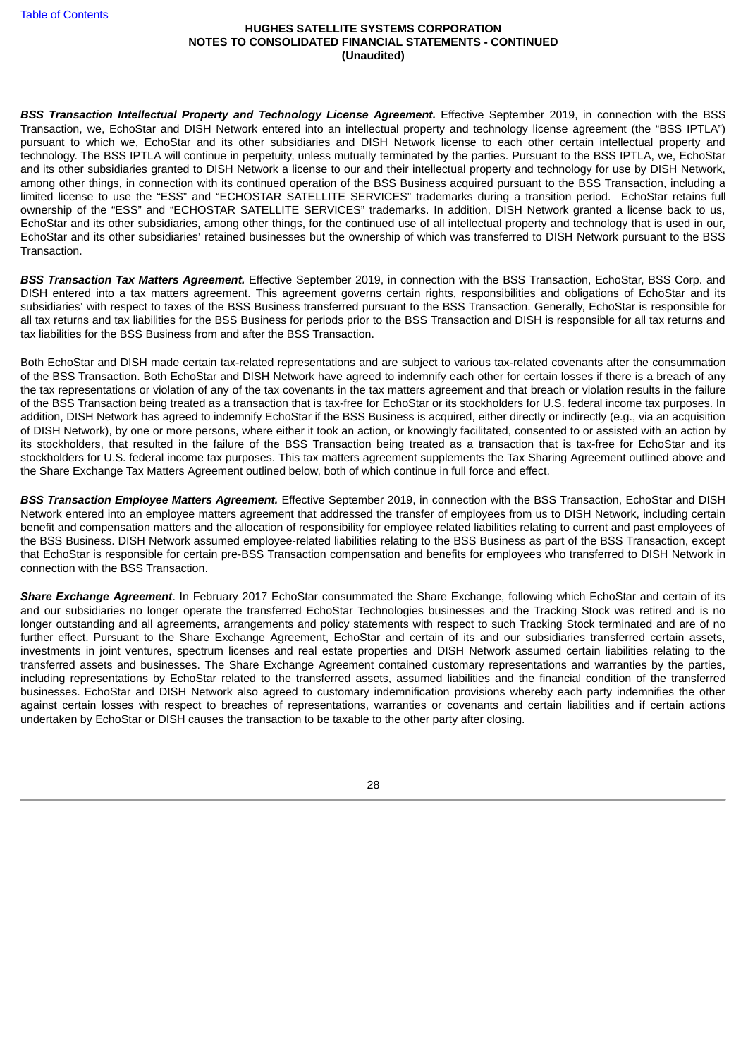*BSS Transaction Intellectual Property and Technology License Agreement.* Effective September 2019, in connection with the BSS Transaction, we, EchoStar and DISH Network entered into an intellectual property and technology license agreement (the "BSS IPTLA") pursuant to which we, EchoStar and its other subsidiaries and DISH Network license to each other certain intellectual property and technology. The BSS IPTLA will continue in perpetuity, unless mutually terminated by the parties. Pursuant to the BSS IPTLA, we, EchoStar and its other subsidiaries granted to DISH Network a license to our and their intellectual property and technology for use by DISH Network, among other things, in connection with its continued operation of the BSS Business acquired pursuant to the BSS Transaction, including a limited license to use the "ESS" and "ECHOSTAR SATELLITE SERVICES" trademarks during a transition period. EchoStar retains full ownership of the "ESS" and "ECHOSTAR SATELLITE SERVICES" trademarks. In addition, DISH Network granted a license back to us, EchoStar and its other subsidiaries, among other things, for the continued use of all intellectual property and technology that is used in our, EchoStar and its other subsidiaries' retained businesses but the ownership of which was transferred to DISH Network pursuant to the BSS **Transaction** 

*BSS Transaction Tax Matters Agreement.* Effective September 2019, in connection with the BSS Transaction, EchoStar, BSS Corp. and DISH entered into a tax matters agreement. This agreement governs certain rights, responsibilities and obligations of EchoStar and its subsidiaries' with respect to taxes of the BSS Business transferred pursuant to the BSS Transaction. Generally, EchoStar is responsible for all tax returns and tax liabilities for the BSS Business for periods prior to the BSS Transaction and DISH is responsible for all tax returns and tax liabilities for the BSS Business from and after the BSS Transaction.

Both EchoStar and DISH made certain tax-related representations and are subject to various tax-related covenants after the consummation of the BSS Transaction. Both EchoStar and DISH Network have agreed to indemnify each other for certain losses if there is a breach of any the tax representations or violation of any of the tax covenants in the tax matters agreement and that breach or violation results in the failure of the BSS Transaction being treated as a transaction that is tax-free for EchoStar or its stockholders for U.S. federal income tax purposes. In addition, DISH Network has agreed to indemnify EchoStar if the BSS Business is acquired, either directly or indirectly (e.g., via an acquisition of DISH Network), by one or more persons, where either it took an action, or knowingly facilitated, consented to or assisted with an action by its stockholders, that resulted in the failure of the BSS Transaction being treated as a transaction that is tax-free for EchoStar and its stockholders for U.S. federal income tax purposes. This tax matters agreement supplements the Tax Sharing Agreement outlined above and the Share Exchange Tax Matters Agreement outlined below, both of which continue in full force and effect.

*BSS Transaction Employee Matters Agreement.* Effective September 2019, in connection with the BSS Transaction, EchoStar and DISH Network entered into an employee matters agreement that addressed the transfer of employees from us to DISH Network, including certain benefit and compensation matters and the allocation of responsibility for employee related liabilities relating to current and past employees of the BSS Business. DISH Network assumed employee-related liabilities relating to the BSS Business as part of the BSS Transaction, except that EchoStar is responsible for certain pre-BSS Transaction compensation and benefits for employees who transferred to DISH Network in connection with the BSS Transaction.

*Share Exchange Agreement*. In February 2017 EchoStar consummated the Share Exchange, following which EchoStar and certain of its and our subsidiaries no longer operate the transferred EchoStar Technologies businesses and the Tracking Stock was retired and is no longer outstanding and all agreements, arrangements and policy statements with respect to such Tracking Stock terminated and are of no further effect. Pursuant to the Share Exchange Agreement, EchoStar and certain of its and our subsidiaries transferred certain assets, investments in joint ventures, spectrum licenses and real estate properties and DISH Network assumed certain liabilities relating to the transferred assets and businesses. The Share Exchange Agreement contained customary representations and warranties by the parties, including representations by EchoStar related to the transferred assets, assumed liabilities and the financial condition of the transferred businesses. EchoStar and DISH Network also agreed to customary indemnification provisions whereby each party indemnifies the other against certain losses with respect to breaches of representations, warranties or covenants and certain liabilities and if certain actions undertaken by EchoStar or DISH causes the transaction to be taxable to the other party after closing.

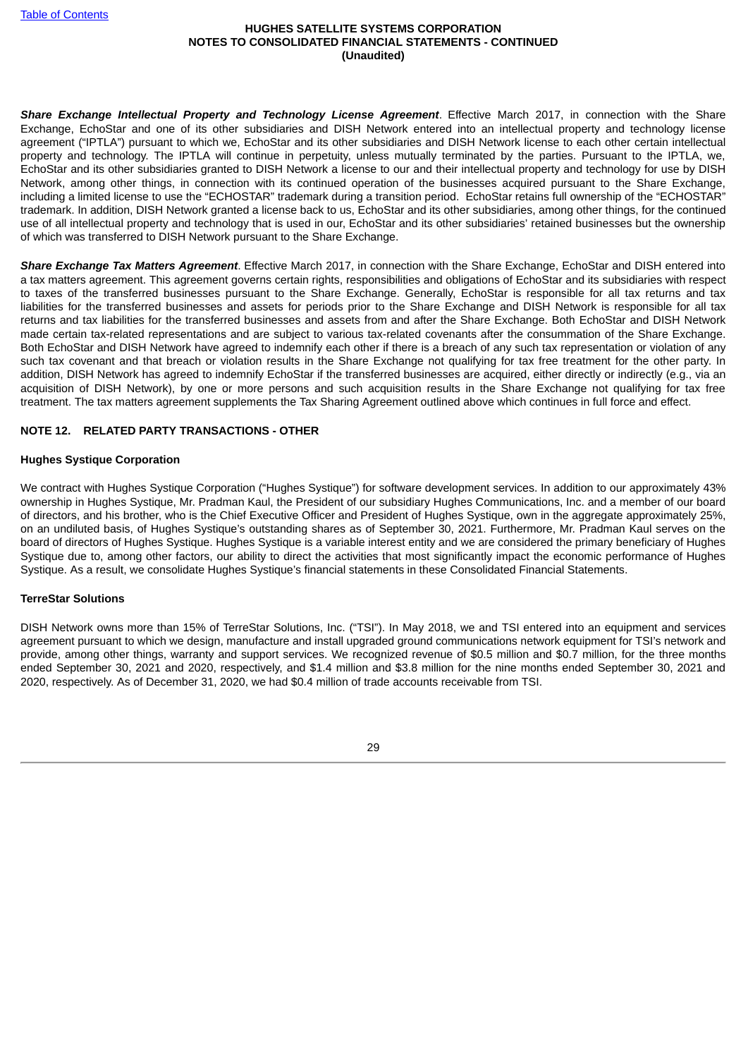*Share Exchange Intellectual Property and Technology License Agreement*. Effective March 2017, in connection with the Share Exchange, EchoStar and one of its other subsidiaries and DISH Network entered into an intellectual property and technology license agreement ("IPTLA") pursuant to which we, EchoStar and its other subsidiaries and DISH Network license to each other certain intellectual property and technology. The IPTLA will continue in perpetuity, unless mutually terminated by the parties. Pursuant to the IPTLA, we, EchoStar and its other subsidiaries granted to DISH Network a license to our and their intellectual property and technology for use by DISH Network, among other things, in connection with its continued operation of the businesses acquired pursuant to the Share Exchange, including a limited license to use the "ECHOSTAR" trademark during a transition period. EchoStar retains full ownership of the "ECHOSTAR" trademark. In addition, DISH Network granted a license back to us, EchoStar and its other subsidiaries, among other things, for the continued use of all intellectual property and technology that is used in our, EchoStar and its other subsidiaries' retained businesses but the ownership of which was transferred to DISH Network pursuant to the Share Exchange.

*Share Exchange Tax Matters Agreement*. Effective March 2017, in connection with the Share Exchange, EchoStar and DISH entered into a tax matters agreement. This agreement governs certain rights, responsibilities and obligations of EchoStar and its subsidiaries with respect to taxes of the transferred businesses pursuant to the Share Exchange. Generally, EchoStar is responsible for all tax returns and tax liabilities for the transferred businesses and assets for periods prior to the Share Exchange and DISH Network is responsible for all tax returns and tax liabilities for the transferred businesses and assets from and after the Share Exchange. Both EchoStar and DISH Network made certain tax-related representations and are subject to various tax-related covenants after the consummation of the Share Exchange. Both EchoStar and DISH Network have agreed to indemnify each other if there is a breach of any such tax representation or violation of any such tax covenant and that breach or violation results in the Share Exchange not qualifying for tax free treatment for the other party. In addition, DISH Network has agreed to indemnify EchoStar if the transferred businesses are acquired, either directly or indirectly (e.g., via an acquisition of DISH Network), by one or more persons and such acquisition results in the Share Exchange not qualifying for tax free treatment. The tax matters agreement supplements the Tax Sharing Agreement outlined above which continues in full force and effect.

# **NOTE 12. RELATED PARTY TRANSACTIONS - OTHER**

### **Hughes Systique Corporation**

We contract with Hughes Systique Corporation ("Hughes Systique") for software development services. In addition to our approximately 43% ownership in Hughes Systique, Mr. Pradman Kaul, the President of our subsidiary Hughes Communications, Inc. and a member of our board of directors, and his brother, who is the Chief Executive Officer and President of Hughes Systique, own in the aggregate approximately 25%, on an undiluted basis, of Hughes Systique's outstanding shares as of September 30, 2021. Furthermore, Mr. Pradman Kaul serves on the board of directors of Hughes Systique. Hughes Systique is a variable interest entity and we are considered the primary beneficiary of Hughes Systique due to, among other factors, our ability to direct the activities that most significantly impact the economic performance of Hughes Systique. As a result, we consolidate Hughes Systique's financial statements in these Consolidated Financial Statements.

### **TerreStar Solutions**

DISH Network owns more than 15% of TerreStar Solutions, Inc. ("TSI"). In May 2018, we and TSI entered into an equipment and services agreement pursuant to which we design, manufacture and install upgraded ground communications network equipment for TSI's network and provide, among other things, warranty and support services. We recognized revenue of \$0.5 million and \$0.7 million, for the three months ended September 30, 2021 and 2020, respectively, and \$1.4 million and \$3.8 million for the nine months ended September 30, 2021 and 2020, respectively. As of December 31, 2020, we had \$0.4 million of trade accounts receivable from TSI.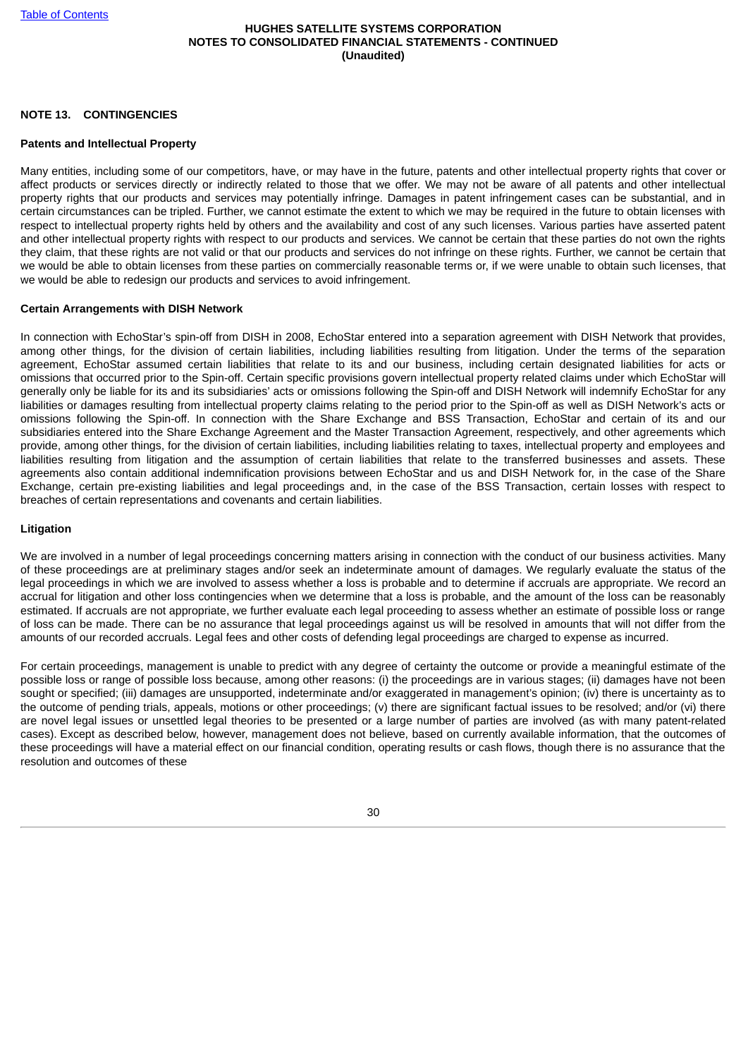#### **NOTE 13. CONTINGENCIES**

#### **Patents and Intellectual Property**

Many entities, including some of our competitors, have, or may have in the future, patents and other intellectual property rights that cover or affect products or services directly or indirectly related to those that we offer. We may not be aware of all patents and other intellectual property rights that our products and services may potentially infringe. Damages in patent infringement cases can be substantial, and in certain circumstances can be tripled. Further, we cannot estimate the extent to which we may be required in the future to obtain licenses with respect to intellectual property rights held by others and the availability and cost of any such licenses. Various parties have asserted patent and other intellectual property rights with respect to our products and services. We cannot be certain that these parties do not own the rights they claim, that these rights are not valid or that our products and services do not infringe on these rights. Further, we cannot be certain that we would be able to obtain licenses from these parties on commercially reasonable terms or, if we were unable to obtain such licenses, that we would be able to redesign our products and services to avoid infringement.

#### **Certain Arrangements with DISH Network**

In connection with EchoStar's spin-off from DISH in 2008, EchoStar entered into a separation agreement with DISH Network that provides, among other things, for the division of certain liabilities, including liabilities resulting from litigation. Under the terms of the separation agreement, EchoStar assumed certain liabilities that relate to its and our business, including certain designated liabilities for acts or omissions that occurred prior to the Spin-off. Certain specific provisions govern intellectual property related claims under which EchoStar will generally only be liable for its and its subsidiaries' acts or omissions following the Spin-off and DISH Network will indemnify EchoStar for any liabilities or damages resulting from intellectual property claims relating to the period prior to the Spin-off as well as DISH Network's acts or omissions following the Spin-off. In connection with the Share Exchange and BSS Transaction, EchoStar and certain of its and our subsidiaries entered into the Share Exchange Agreement and the Master Transaction Agreement, respectively, and other agreements which provide, among other things, for the division of certain liabilities, including liabilities relating to taxes, intellectual property and employees and liabilities resulting from litigation and the assumption of certain liabilities that relate to the transferred businesses and assets. These agreements also contain additional indemnification provisions between EchoStar and us and DISH Network for, in the case of the Share Exchange, certain pre-existing liabilities and legal proceedings and, in the case of the BSS Transaction, certain losses with respect to breaches of certain representations and covenants and certain liabilities.

#### **Litigation**

We are involved in a number of legal proceedings concerning matters arising in connection with the conduct of our business activities. Many of these proceedings are at preliminary stages and/or seek an indeterminate amount of damages. We regularly evaluate the status of the legal proceedings in which we are involved to assess whether a loss is probable and to determine if accruals are appropriate. We record an accrual for litigation and other loss contingencies when we determine that a loss is probable, and the amount of the loss can be reasonably estimated. If accruals are not appropriate, we further evaluate each legal proceeding to assess whether an estimate of possible loss or range of loss can be made. There can be no assurance that legal proceedings against us will be resolved in amounts that will not differ from the amounts of our recorded accruals. Legal fees and other costs of defending legal proceedings are charged to expense as incurred.

For certain proceedings, management is unable to predict with any degree of certainty the outcome or provide a meaningful estimate of the possible loss or range of possible loss because, among other reasons: (i) the proceedings are in various stages; (ii) damages have not been sought or specified; (iii) damages are unsupported, indeterminate and/or exaggerated in management's opinion; (iv) there is uncertainty as to the outcome of pending trials, appeals, motions or other proceedings; (v) there are significant factual issues to be resolved; and/or (vi) there are novel legal issues or unsettled legal theories to be presented or a large number of parties are involved (as with many patent-related cases). Except as described below, however, management does not believe, based on currently available information, that the outcomes of these proceedings will have a material effect on our financial condition, operating results or cash flows, though there is no assurance that the resolution and outcomes of these

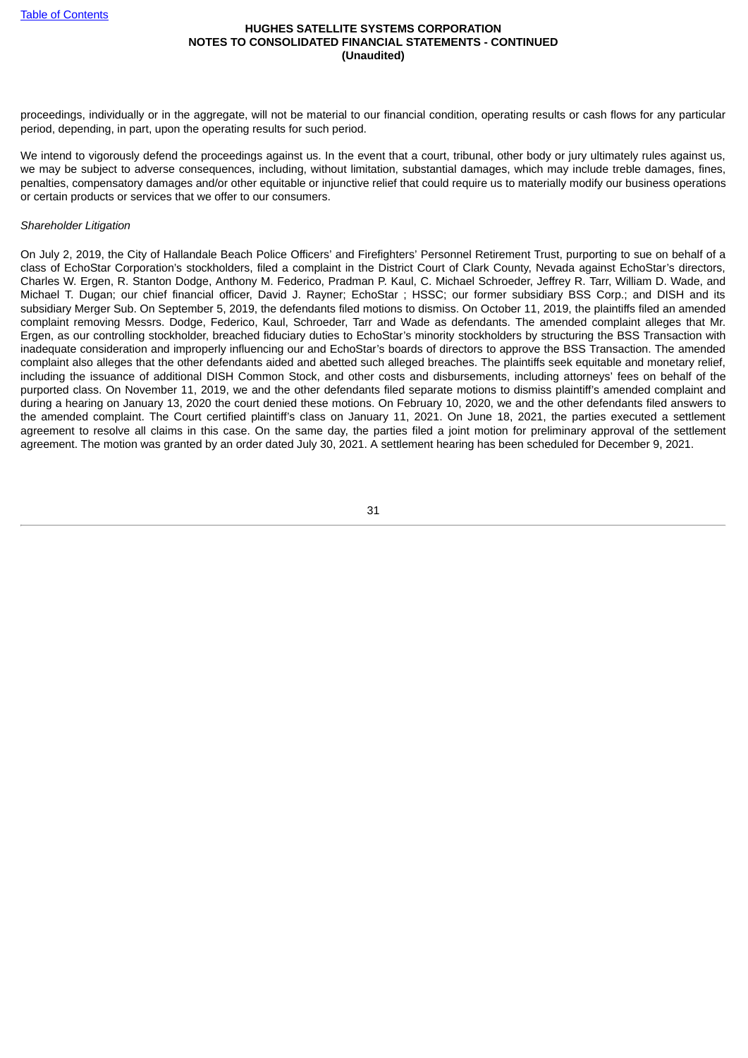proceedings, individually or in the aggregate, will not be material to our financial condition, operating results or cash flows for any particular period, depending, in part, upon the operating results for such period.

We intend to vigorously defend the proceedings against us. In the event that a court, tribunal, other body or jury ultimately rules against us, we may be subject to adverse consequences, including, without limitation, substantial damages, which may include treble damages, fines, penalties, compensatory damages and/or other equitable or injunctive relief that could require us to materially modify our business operations or certain products or services that we offer to our consumers.

#### *Shareholder Litigation*

On July 2, 2019, the City of Hallandale Beach Police Officers' and Firefighters' Personnel Retirement Trust, purporting to sue on behalf of a class of EchoStar Corporation's stockholders, filed a complaint in the District Court of Clark County, Nevada against EchoStar's directors, Charles W. Ergen, R. Stanton Dodge, Anthony M. Federico, Pradman P. Kaul, C. Michael Schroeder, Jeffrey R. Tarr, William D. Wade, and Michael T. Dugan; our chief financial officer, David J. Rayner; EchoStar ; HSSC; our former subsidiary BSS Corp.; and DISH and its subsidiary Merger Sub. On September 5, 2019, the defendants filed motions to dismiss. On October 11, 2019, the plaintiffs filed an amended complaint removing Messrs. Dodge, Federico, Kaul, Schroeder, Tarr and Wade as defendants. The amended complaint alleges that Mr. Ergen, as our controlling stockholder, breached fiduciary duties to EchoStar's minority stockholders by structuring the BSS Transaction with inadequate consideration and improperly influencing our and EchoStar's boards of directors to approve the BSS Transaction. The amended complaint also alleges that the other defendants aided and abetted such alleged breaches. The plaintiffs seek equitable and monetary relief, including the issuance of additional DISH Common Stock, and other costs and disbursements, including attorneys' fees on behalf of the purported class. On November 11, 2019, we and the other defendants filed separate motions to dismiss plaintiff's amended complaint and during a hearing on January 13, 2020 the court denied these motions. On February 10, 2020, we and the other defendants filed answers to the amended complaint. The Court certified plaintiff's class on January 11, 2021. On June 18, 2021, the parties executed a settlement agreement to resolve all claims in this case. On the same day, the parties filed a joint motion for preliminary approval of the settlement agreement. The motion was granted by an order dated July 30, 2021. A settlement hearing has been scheduled for December 9, 2021.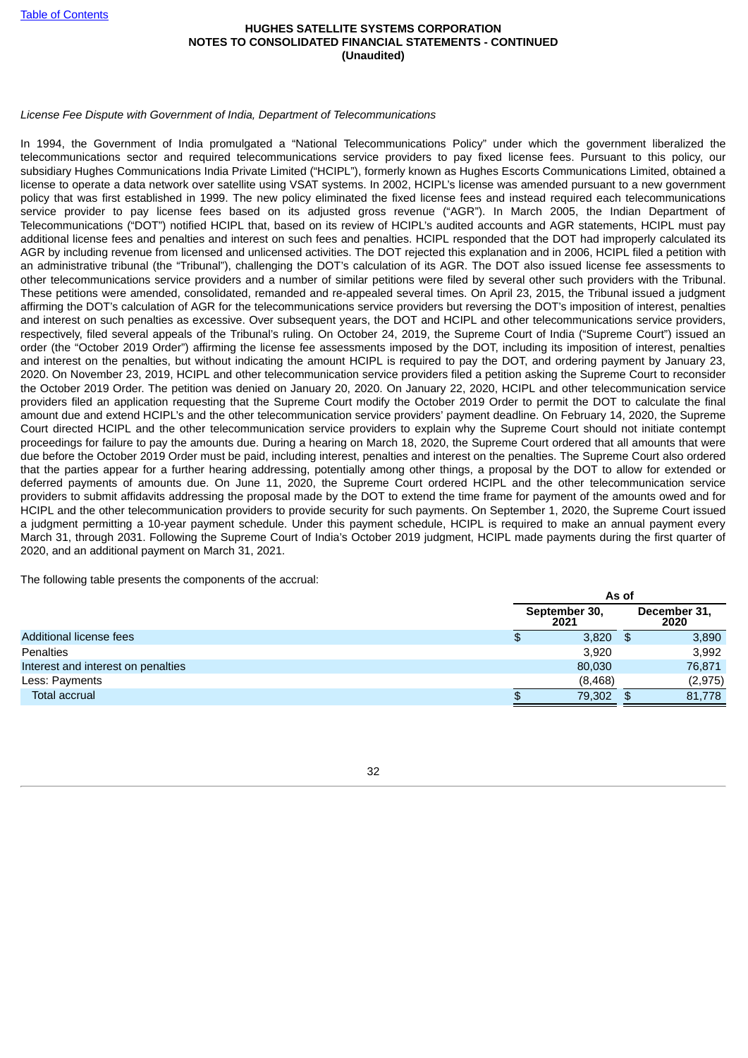#### *License Fee Dispute with Government of India, Department of Telecommunications*

In 1994, the Government of India promulgated a "National Telecommunications Policy" under which the government liberalized the telecommunications sector and required telecommunications service providers to pay fixed license fees. Pursuant to this policy, our subsidiary Hughes Communications India Private Limited ("HCIPL"), formerly known as Hughes Escorts Communications Limited, obtained a license to operate a data network over satellite using VSAT systems. In 2002, HCIPL's license was amended pursuant to a new government policy that was first established in 1999. The new policy eliminated the fixed license fees and instead required each telecommunications service provider to pay license fees based on its adjusted gross revenue ("AGR"). In March 2005, the Indian Department of Telecommunications ("DOT") notified HCIPL that, based on its review of HCIPL's audited accounts and AGR statements, HCIPL must pay additional license fees and penalties and interest on such fees and penalties. HCIPL responded that the DOT had improperly calculated its AGR by including revenue from licensed and unlicensed activities. The DOT rejected this explanation and in 2006, HCIPL filed a petition with an administrative tribunal (the "Tribunal"), challenging the DOT's calculation of its AGR. The DOT also issued license fee assessments to other telecommunications service providers and a number of similar petitions were filed by several other such providers with the Tribunal. These petitions were amended, consolidated, remanded and re-appealed several times. On April 23, 2015, the Tribunal issued a judgment affirming the DOT's calculation of AGR for the telecommunications service providers but reversing the DOT's imposition of interest, penalties and interest on such penalties as excessive. Over subsequent years, the DOT and HCIPL and other telecommunications service providers, respectively, filed several appeals of the Tribunal's ruling. On October 24, 2019, the Supreme Court of India ("Supreme Court") issued an order (the "October 2019 Order") affirming the license fee assessments imposed by the DOT, including its imposition of interest, penalties and interest on the penalties, but without indicating the amount HCIPL is required to pay the DOT, and ordering payment by January 23, 2020. On November 23, 2019, HCIPL and other telecommunication service providers filed a petition asking the Supreme Court to reconsider the October 2019 Order. The petition was denied on January 20, 2020. On January 22, 2020, HCIPL and other telecommunication service providers filed an application requesting that the Supreme Court modify the October 2019 Order to permit the DOT to calculate the final amount due and extend HCIPL's and the other telecommunication service providers' payment deadline. On February 14, 2020, the Supreme Court directed HCIPL and the other telecommunication service providers to explain why the Supreme Court should not initiate contempt proceedings for failure to pay the amounts due. During a hearing on March 18, 2020, the Supreme Court ordered that all amounts that were due before the October 2019 Order must be paid, including interest, penalties and interest on the penalties. The Supreme Court also ordered that the parties appear for a further hearing addressing, potentially among other things, a proposal by the DOT to allow for extended or deferred payments of amounts due. On June 11, 2020, the Supreme Court ordered HCIPL and the other telecommunication service providers to submit affidavits addressing the proposal made by the DOT to extend the time frame for payment of the amounts owed and for HCIPL and the other telecommunication providers to provide security for such payments. On September 1, 2020, the Supreme Court issued a judgment permitting a 10-year payment schedule. Under this payment schedule, HCIPL is required to make an annual payment every March 31, through 2031. Following the Supreme Court of India's October 2019 judgment, HCIPL made payments during the first quarter of 2020, and an additional payment on March 31, 2021.

The following table presents the components of the accrual:

|    | 2021     | December 31,<br>2020 |          |  |
|----|----------|----------------------|----------|--|
| \$ | 3,820    |                      | 3,890    |  |
|    | 3.920    |                      | 3,992    |  |
|    | 80,030   |                      | 76,871   |  |
|    | (8, 468) |                      | (2, 975) |  |
| £. | 79,302   |                      | 81,778   |  |
|    |          | September 30,        | AS VI    |  |

**As of**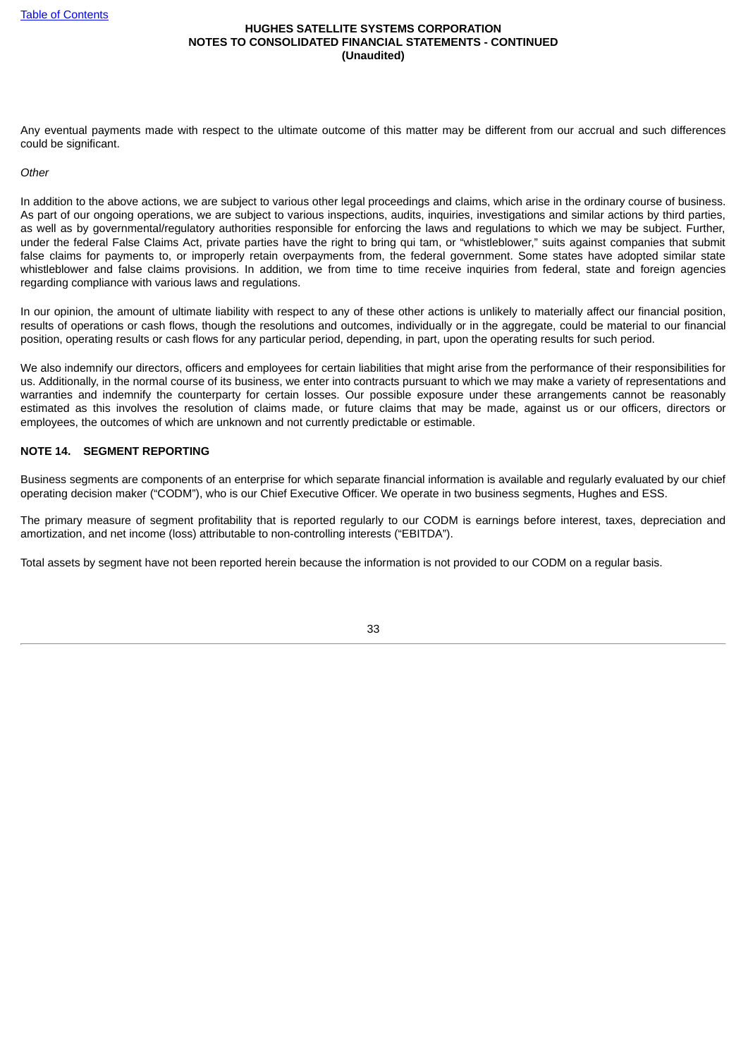Any eventual payments made with respect to the ultimate outcome of this matter may be different from our accrual and such differences could be significant.

*Other*

In addition to the above actions, we are subject to various other legal proceedings and claims, which arise in the ordinary course of business. As part of our ongoing operations, we are subject to various inspections, audits, inquiries, investigations and similar actions by third parties, as well as by governmental/regulatory authorities responsible for enforcing the laws and regulations to which we may be subject. Further, under the federal False Claims Act, private parties have the right to bring qui tam, or "whistleblower," suits against companies that submit false claims for payments to, or improperly retain overpayments from, the federal government. Some states have adopted similar state whistleblower and false claims provisions. In addition, we from time to time receive inquiries from federal, state and foreign agencies regarding compliance with various laws and regulations.

In our opinion, the amount of ultimate liability with respect to any of these other actions is unlikely to materially affect our financial position, results of operations or cash flows, though the resolutions and outcomes, individually or in the aggregate, could be material to our financial position, operating results or cash flows for any particular period, depending, in part, upon the operating results for such period.

We also indemnify our directors, officers and employees for certain liabilities that might arise from the performance of their responsibilities for us. Additionally, in the normal course of its business, we enter into contracts pursuant to which we may make a variety of representations and warranties and indemnify the counterparty for certain losses. Our possible exposure under these arrangements cannot be reasonably estimated as this involves the resolution of claims made, or future claims that may be made, against us or our officers, directors or employees, the outcomes of which are unknown and not currently predictable or estimable.

# **NOTE 14. SEGMENT REPORTING**

Business segments are components of an enterprise for which separate financial information is available and regularly evaluated by our chief operating decision maker ("CODM"), who is our Chief Executive Officer. We operate in two business segments, Hughes and ESS.

The primary measure of segment profitability that is reported regularly to our CODM is earnings before interest, taxes, depreciation and amortization, and net income (loss) attributable to non-controlling interests ("EBITDA").

Total assets by segment have not been reported herein because the information is not provided to our CODM on a regular basis.

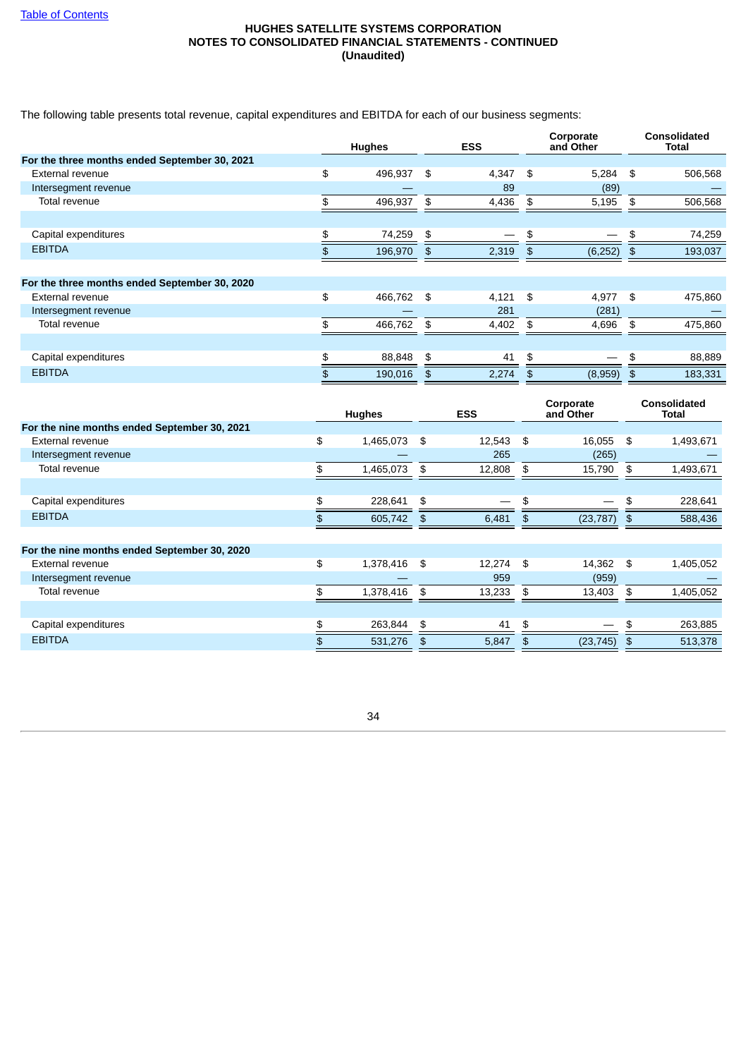The following table presents total revenue, capital expenditures and EBITDA for each of our business segments:

|                                               |     | <b>Hughes</b> |     | <b>ESS</b> | Corporate<br>and Other |          |                | <b>Consolidated</b><br>Total |  |  |
|-----------------------------------------------|-----|---------------|-----|------------|------------------------|----------|----------------|------------------------------|--|--|
| For the three months ended September 30, 2021 |     |               |     |            |                        |          |                |                              |  |  |
| External revenue                              | \$  | 496,937       | \$  | 4,347      | \$                     | 5,284    | \$             | 506,568                      |  |  |
| Intersegment revenue                          |     |               |     | 89         |                        | (89)     |                |                              |  |  |
| Total revenue                                 | \$. | 496,937       | \$  | 4,436      | \$                     | 5,195    | \$             | 506,568                      |  |  |
|                                               |     |               |     |            |                        |          |                |                              |  |  |
| Capital expenditures                          | \$  | 74,259        | \$  |            | \$                     |          | \$             | 74,259                       |  |  |
| <b>EBITDA</b>                                 | ж   | 196,970       | \$  | 2,319      | \$                     | (6, 252) | \$             | 193,037                      |  |  |
|                                               |     |               |     |            |                        |          |                |                              |  |  |
| For the three months ended September 30, 2020 |     |               |     |            |                        |          |                |                              |  |  |
| External revenue                              | \$  | 466,762       | -\$ | $4,121$ \$ |                        | 4,977    | \$             | 475,860                      |  |  |
| Intersegment revenue                          |     |               |     | 281        |                        | (281)    |                |                              |  |  |
| Total revenue                                 | \$. | 466,762       | \$  | 4,402      | \$                     | 4,696    | \$             | 475,860                      |  |  |
|                                               |     |               |     |            |                        |          |                |                              |  |  |
| Capital expenditures                          | \$  | 88,848        | \$  | 41         | \$                     |          | \$             | 88,889                       |  |  |
| <b>EBITDA</b>                                 | \$  | 190,016       | \$  | 2,274      | \$                     | (8,959)  | $\mathfrak{L}$ | 183,331                      |  |  |

|                                              | <b>Hughes</b>   | <b>ESS</b>   | Corporate<br>and Other | <b>Consolidated</b><br>Total |
|----------------------------------------------|-----------------|--------------|------------------------|------------------------------|
| For the nine months ended September 30, 2021 |                 |              |                        |                              |
| External revenue                             | \$<br>1,465,073 | \$<br>12,543 | \$<br>16,055           | \$<br>1,493,671              |
| Intersegment revenue                         |                 | 265          | (265)                  |                              |
| Total revenue                                | \$<br>1,465,073 | \$<br>12,808 | \$<br>15,790           | \$<br>1,493,671              |
|                                              |                 |              |                        |                              |
| Capital expenditures                         | \$<br>228,641   | \$           | \$                     | \$<br>228,641                |
| <b>EBITDA</b>                                | 605,742         | \$<br>6,481  | \$<br>(23, 787)        | \$<br>588,436                |
|                                              |                 |              |                        |                              |
| For the nine months ended September 30, 2020 |                 |              |                        |                              |
| External revenue                             | \$<br>1,378,416 | \$<br>12,274 | \$<br>14,362           | \$<br>1,405,052              |
| Intersegment revenue                         |                 | 959          | (959)                  |                              |
| Total revenue                                | \$<br>1,378,416 | \$<br>13,233 | \$<br>13,403           | \$<br>1,405,052              |
|                                              |                 |              |                        |                              |
| Capital expenditures                         | \$<br>263,844   | \$<br>41     | \$                     | \$<br>263,885                |
| <b>EBITDA</b>                                | 531,276         | \$<br>5,847  | \$<br>(23, 745)        | \$<br>513,378                |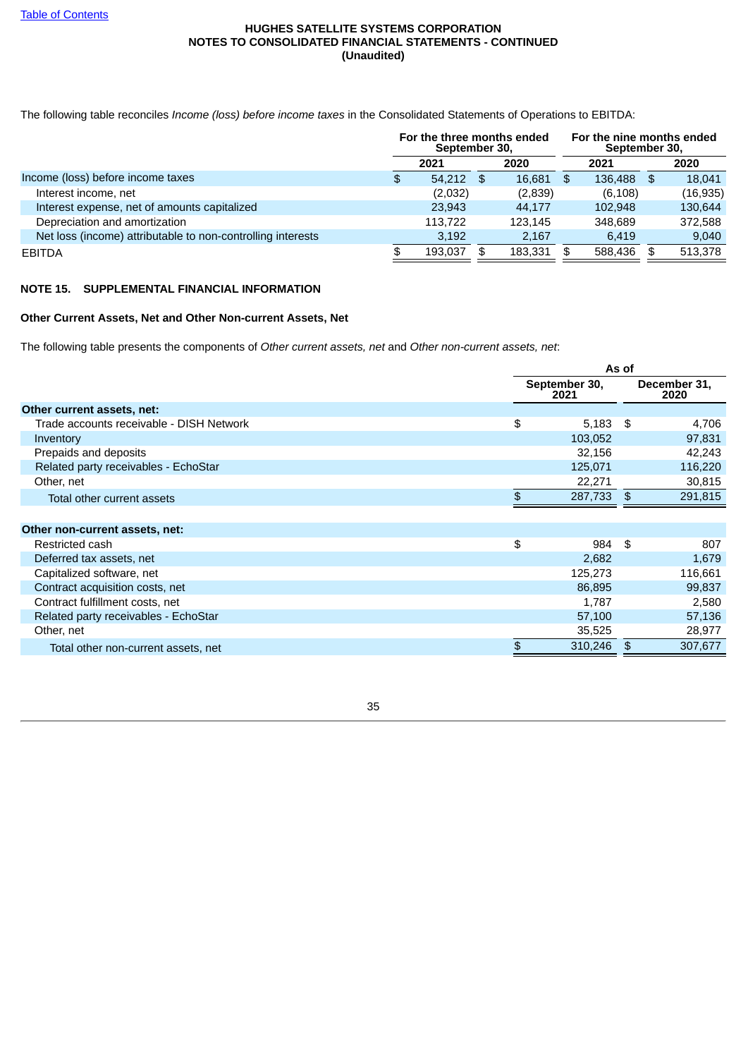The following table reconciles *Income (loss) before income taxes* in the Consolidated Statements of Operations to EBITDA:

|                                                             |                | For the three months ended<br>September 30, |      |         |     | September 30, |      | For the nine months ended |  |
|-------------------------------------------------------------|----------------|---------------------------------------------|------|---------|-----|---------------|------|---------------------------|--|
|                                                             |                | 2021                                        |      | 2020    |     | 2021          |      | 2020                      |  |
| Income (loss) before income taxes                           | $\mathfrak{L}$ | 54,212                                      | - SS | 16.681  | -\$ | 136,488       | - SS | 18.041                    |  |
| Interest income, net                                        |                | (2,032)                                     |      | (2,839) |     | (6, 108)      |      | (16, 935)                 |  |
| Interest expense, net of amounts capitalized                |                | 23,943                                      |      | 44.177  |     | 102.948       |      | 130.644                   |  |
| Depreciation and amortization                               |                | 113.722                                     |      | 123.145 |     | 348.689       |      | 372.588                   |  |
| Net loss (income) attributable to non-controlling interests |                | 3.192                                       |      | 2.167   |     | 6,419         |      | 9,040                     |  |
| <b>EBITDA</b>                                               |                | 193.037                                     |      | 183.331 | \$  | 588.436       | £.   | 513,378                   |  |

## **NOTE 15. SUPPLEMENTAL FINANCIAL INFORMATION**

## **Other Current Assets, Net and Other Non-current Assets, Net**

The following table presents the components of *Other current assets, net* and *Other non-current assets, net*:

|                                          |                    |                       | As of |                      |
|------------------------------------------|--------------------|-----------------------|-------|----------------------|
|                                          |                    | September 30,<br>2021 |       | December 31,<br>2020 |
| Other current assets, net:               |                    |                       |       |                      |
| Trade accounts receivable - DISH Network | \$                 | 5,183                 | \$    | 4,706                |
| Inventory                                |                    | 103,052               |       | 97,831               |
| Prepaids and deposits                    |                    | 32,156                |       | 42,243               |
| Related party receivables - EchoStar     |                    | 125,071               |       | 116,220              |
| Other, net                               |                    | 22,271                |       | 30,815               |
| Total other current assets               | $\mathbf{\hat{z}}$ | 287,733               | \$    | 291,815              |
|                                          |                    |                       |       |                      |
| Other non-current assets, net:           |                    |                       |       |                      |
| Restricted cash                          | \$                 | 984                   | \$    | 807                  |
| Deferred tax assets, net                 |                    | 2,682                 |       | 1,679                |
| Capitalized software, net                |                    | 125,273               |       | 116,661              |
| Contract acquisition costs, net          |                    | 86,895                |       | 99,837               |
| Contract fulfillment costs, net          |                    | 1,787                 |       | 2,580                |
| Related party receivables - EchoStar     |                    | 57,100                |       | 57,136               |
| Other, net                               |                    | 35,525                |       | 28,977               |
| Total other non-current assets, net      | \$                 | 310,246               | \$.   | 307,677              |
|                                          |                    |                       |       |                      |

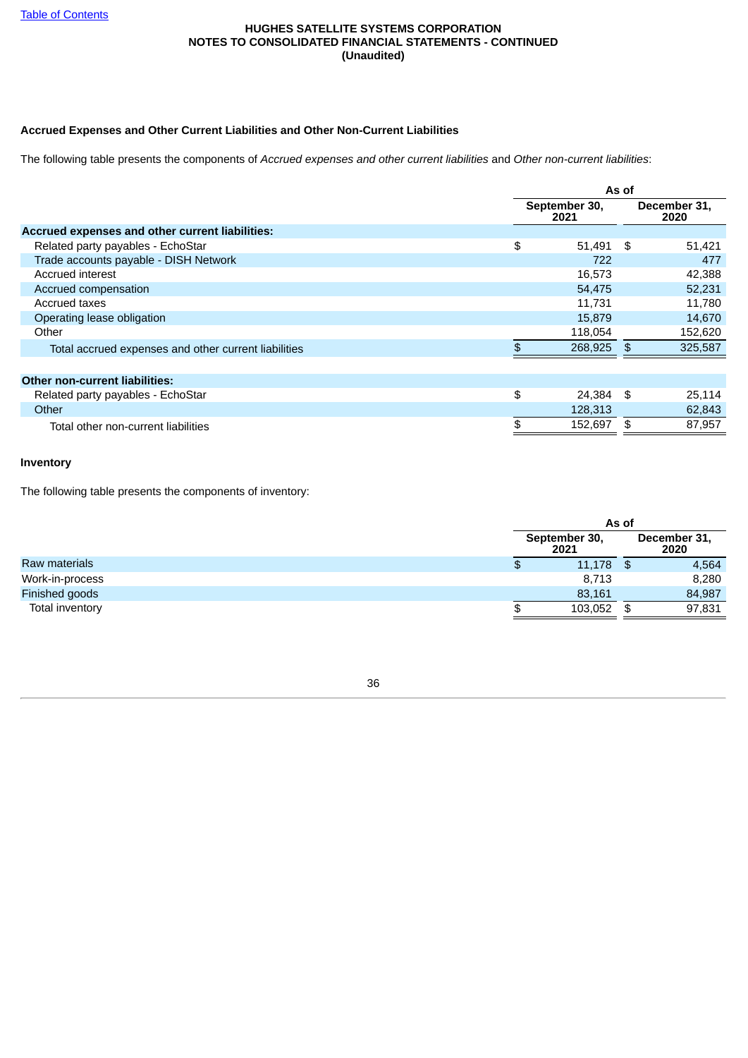# **Accrued Expenses and Other Current Liabilities and Other Non-Current Liabilities**

The following table presents the components of *Accrued expenses and other current liabilities* and *Other non-current liabilities*:

|                                                      | As of                 |    |                      |  |  |  |
|------------------------------------------------------|-----------------------|----|----------------------|--|--|--|
|                                                      | September 30,<br>2021 |    | December 31,<br>2020 |  |  |  |
| Accrued expenses and other current liabilities:      |                       |    |                      |  |  |  |
| Related party payables - EchoStar                    | \$<br>51,491 \$       |    | 51,421               |  |  |  |
| Trade accounts payable - DISH Network                | 722                   |    | 477                  |  |  |  |
| Accrued interest                                     | 16,573                |    | 42,388               |  |  |  |
| Accrued compensation                                 | 54,475                |    | 52,231               |  |  |  |
| Accrued taxes                                        | 11,731                |    | 11,780               |  |  |  |
| Operating lease obligation                           | 15,879                |    | 14,670               |  |  |  |
| Other                                                | 118,054               |    | 152,620              |  |  |  |
| Total accrued expenses and other current liabilities | 268,925               | \$ | 325,587              |  |  |  |
|                                                      |                       |    |                      |  |  |  |
| <b>Other non-current liabilities:</b>                |                       |    |                      |  |  |  |
| Related party payables - EchoStar                    | \$<br>24.384 \$       |    | 25,114               |  |  |  |
| Other                                                | 128,313               |    | 62,843               |  |  |  |
| Total other non-current liabilities                  | \$<br>152.697         | \$ | 87,957               |  |  |  |

# **Inventory**

The following table presents the components of inventory:

|                 |   | As of                 |  |                      |  |  |  |  |
|-----------------|---|-----------------------|--|----------------------|--|--|--|--|
|                 |   | September 30,<br>2021 |  | December 31,<br>2020 |  |  |  |  |
| Raw materials   | จ | 11,178                |  | 4,564                |  |  |  |  |
| Work-in-process |   | 8,713                 |  | 8,280                |  |  |  |  |
| Finished goods  |   | 83,161                |  | 84,987               |  |  |  |  |
| Total inventory |   | 103,052               |  | 97,831               |  |  |  |  |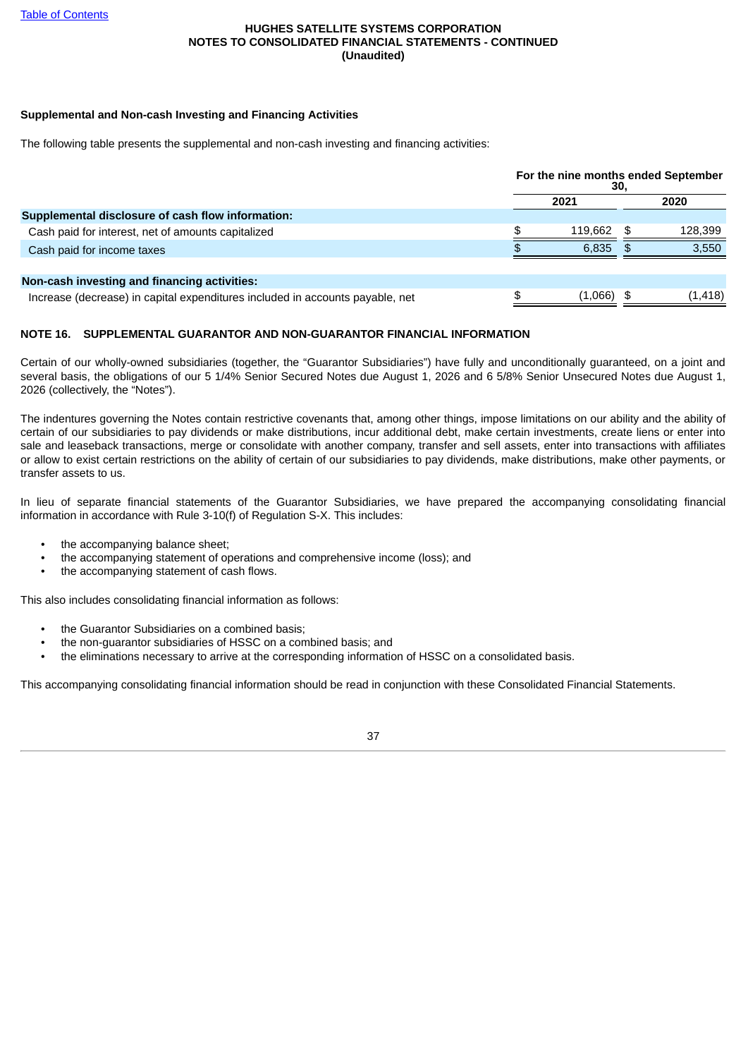## **Supplemental and Non-cash Investing and Financing Activities**

The following table presents the supplemental and non-cash investing and financing activities:

|                                                                               |         | 30. | For the nine months ended September |
|-------------------------------------------------------------------------------|---------|-----|-------------------------------------|
|                                                                               | 2021    |     | 2020                                |
| Supplemental disclosure of cash flow information:                             |         |     |                                     |
| Cash paid for interest, net of amounts capitalized                            | 119.662 | \$. | 128,399                             |
| Cash paid for income taxes                                                    | 6.835   | -S  | 3.550                               |
|                                                                               |         |     |                                     |
| Non-cash investing and financing activities:                                  |         |     |                                     |
| Increase (decrease) in capital expenditures included in accounts payable, net | (1,066) | \$  | (1, 418)                            |

## **NOTE 16. SUPPLEMENTAL GUARANTOR AND NON-GUARANTOR FINANCIAL INFORMATION**

Certain of our wholly-owned subsidiaries (together, the "Guarantor Subsidiaries") have fully and unconditionally guaranteed, on a joint and several basis, the obligations of our 5 1/4% Senior Secured Notes due August 1, 2026 and 6 5/8% Senior Unsecured Notes due August 1, 2026 (collectively, the "Notes").

The indentures governing the Notes contain restrictive covenants that, among other things, impose limitations on our ability and the ability of certain of our subsidiaries to pay dividends or make distributions, incur additional debt, make certain investments, create liens or enter into sale and leaseback transactions, merge or consolidate with another company, transfer and sell assets, enter into transactions with affiliates or allow to exist certain restrictions on the ability of certain of our subsidiaries to pay dividends, make distributions, make other payments, or transfer assets to us.

In lieu of separate financial statements of the Guarantor Subsidiaries, we have prepared the accompanying consolidating financial information in accordance with Rule 3-10(f) of Regulation S-X. This includes:

- the accompanying balance sheet;
- the accompanying statement of operations and comprehensive income (loss); and
- the accompanying statement of cash flows.

This also includes consolidating financial information as follows:

- the Guarantor Subsidiaries on a combined basis:
- the non-guarantor subsidiaries of HSSC on a combined basis; and
- the eliminations necessary to arrive at the corresponding information of HSSC on a consolidated basis.

This accompanying consolidating financial information should be read in conjunction with these Consolidated Financial Statements.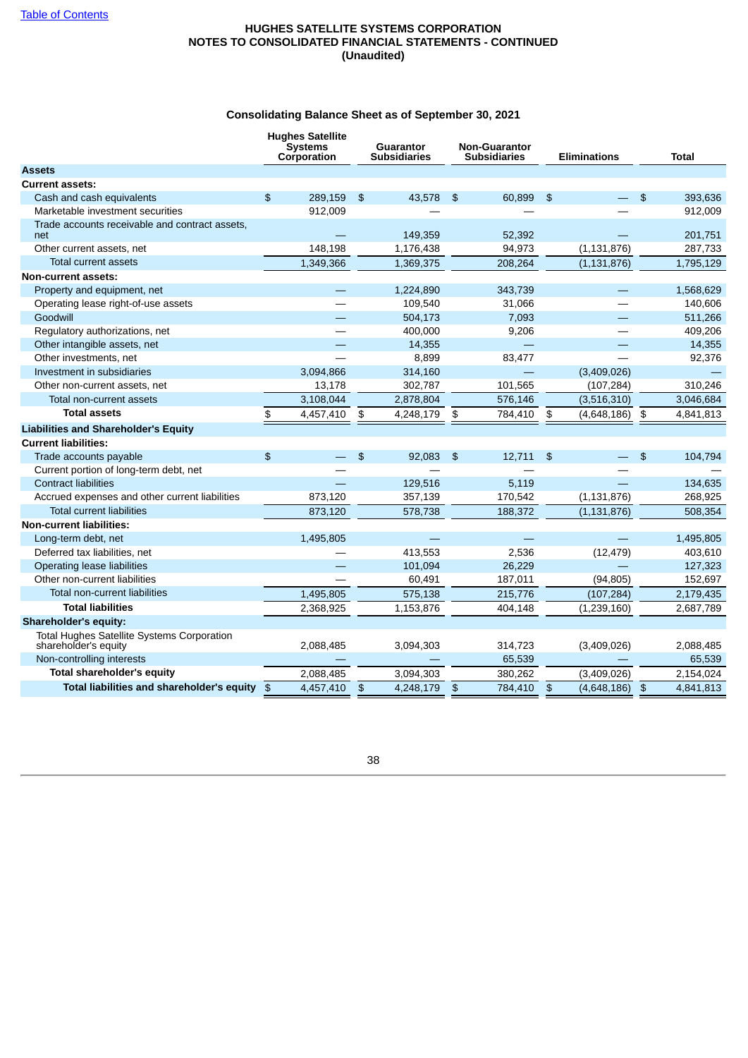# **Consolidating Balance Sheet as of September 30, 2021**

|                                                                    | <b>Hughes Satellite</b><br><b>Systems</b><br>Corporation |           |               | Guarantor<br><b>Subsidiaries</b> | <b>Non-Guarantor</b><br><b>Subsidiaries</b> |         |               | <b>Eliminations</b> |                | <b>Total</b> |
|--------------------------------------------------------------------|----------------------------------------------------------|-----------|---------------|----------------------------------|---------------------------------------------|---------|---------------|---------------------|----------------|--------------|
| <b>Assets</b>                                                      |                                                          |           |               |                                  |                                             |         |               |                     |                |              |
| <b>Current assets:</b>                                             |                                                          |           |               |                                  |                                             |         |               |                     |                |              |
| Cash and cash equivalents                                          | \$                                                       | 289,159   | $\frac{2}{3}$ | 43,578                           | $\frac{1}{2}$                               | 60,899  | $\frac{3}{2}$ |                     | \$             | 393,636      |
| Marketable investment securities                                   |                                                          | 912,009   |               |                                  |                                             |         |               |                     |                | 912,009      |
| Trade accounts receivable and contract assets.<br>net              |                                                          |           |               | 149,359                          |                                             | 52,392  |               |                     |                | 201,751      |
| Other current assets, net                                          |                                                          | 148,198   |               | 1,176,438                        |                                             | 94,973  |               | (1, 131, 876)       |                | 287,733      |
| <b>Total current assets</b>                                        |                                                          | 1,349,366 |               | 1,369,375                        |                                             | 208,264 |               | (1, 131, 876)       |                | 1,795,129    |
| Non-current assets:                                                |                                                          |           |               |                                  |                                             |         |               |                     |                |              |
| Property and equipment, net                                        |                                                          |           |               | 1,224,890                        |                                             | 343,739 |               |                     |                | 1,568,629    |
| Operating lease right-of-use assets                                |                                                          |           |               | 109,540                          |                                             | 31,066  |               |                     |                | 140,606      |
| Goodwill                                                           |                                                          |           |               | 504,173                          |                                             | 7,093   |               |                     |                | 511,266      |
| Regulatory authorizations, net                                     |                                                          |           |               | 400,000                          |                                             | 9,206   |               |                     |                | 409,206      |
| Other intangible assets, net                                       |                                                          |           |               | 14.355                           |                                             |         |               |                     |                | 14,355       |
| Other investments, net                                             |                                                          |           |               | 8,899                            |                                             | 83,477  |               |                     |                | 92,376       |
| Investment in subsidiaries                                         |                                                          | 3,094,866 |               | 314,160                          |                                             |         |               | (3,409,026)         |                |              |
| Other non-current assets, net                                      |                                                          | 13,178    |               | 302,787                          |                                             | 101,565 |               | (107, 284)          |                | 310,246      |
| Total non-current assets                                           |                                                          | 3,108,044 |               | 2,878,804                        |                                             | 576,146 |               | (3,516,310)         |                | 3,046,684    |
| <b>Total assets</b>                                                | \$                                                       | 4,457,410 | \$            | 4,248,179                        | \$                                          | 784,410 | \$            | (4,648,186)         | \$             | 4,841,813    |
| <b>Liabilities and Shareholder's Equity</b>                        |                                                          |           |               |                                  |                                             |         |               |                     |                |              |
| <b>Current liabilities:</b>                                        |                                                          |           |               |                                  |                                             |         |               |                     |                |              |
| Trade accounts payable                                             | \$                                                       |           | \$            | 92.083                           | $\mathfrak{F}$                              | 12.711  | \$            |                     | $\mathfrak{D}$ | 104,794      |
| Current portion of long-term debt, net                             |                                                          |           |               |                                  |                                             |         |               |                     |                |              |
| <b>Contract liabilities</b>                                        |                                                          |           |               | 129,516                          |                                             | 5,119   |               |                     |                | 134,635      |
| Accrued expenses and other current liabilities                     |                                                          | 873,120   |               | 357,139                          |                                             | 170,542 |               | (1, 131, 876)       |                | 268,925      |
| <b>Total current liabilities</b>                                   |                                                          | 873.120   |               | 578,738                          |                                             | 188,372 |               | (1, 131, 876)       |                | 508,354      |
| <b>Non-current liabilities:</b>                                    |                                                          |           |               |                                  |                                             |         |               |                     |                |              |
| Long-term debt, net                                                |                                                          | 1,495,805 |               |                                  |                                             |         |               |                     |                | 1,495,805    |
| Deferred tax liabilities, net                                      |                                                          |           |               | 413,553                          |                                             | 2,536   |               | (12, 479)           |                | 403,610      |
| Operating lease liabilities                                        |                                                          |           |               | 101,094                          |                                             | 26,229  |               |                     |                | 127,323      |
| Other non-current liabilities                                      |                                                          |           |               | 60,491                           |                                             | 187,011 |               | (94, 805)           |                | 152,697      |
| Total non-current liabilities                                      |                                                          | 1,495,805 |               | 575,138                          |                                             | 215,776 |               | (107, 284)          |                | 2,179,435    |
| <b>Total liabilities</b>                                           |                                                          | 2,368,925 |               | 1,153,876                        |                                             | 404,148 |               | (1,239,160)         |                | 2,687,789    |
| Shareholder's equity:                                              |                                                          |           |               |                                  |                                             |         |               |                     |                |              |
| Total Hughes Satellite Systems Corporation<br>shareholder's equity |                                                          | 2,088,485 |               | 3,094,303                        |                                             | 314,723 |               | (3,409,026)         |                | 2,088,485    |
| Non-controlling interests                                          |                                                          |           |               |                                  |                                             | 65,539  |               |                     |                | 65,539       |
| <b>Total shareholder's equity</b>                                  |                                                          | 2,088,485 |               | 3,094,303                        |                                             | 380,262 |               | (3,409,026)         |                | 2,154,024    |
| Total liabilities and shareholder's equity \$                      |                                                          | 4.457.410 | \$            | 4.248.179                        | \$                                          | 784.410 | \$            | $(4.648.186)$ \$    |                | 4.841.813    |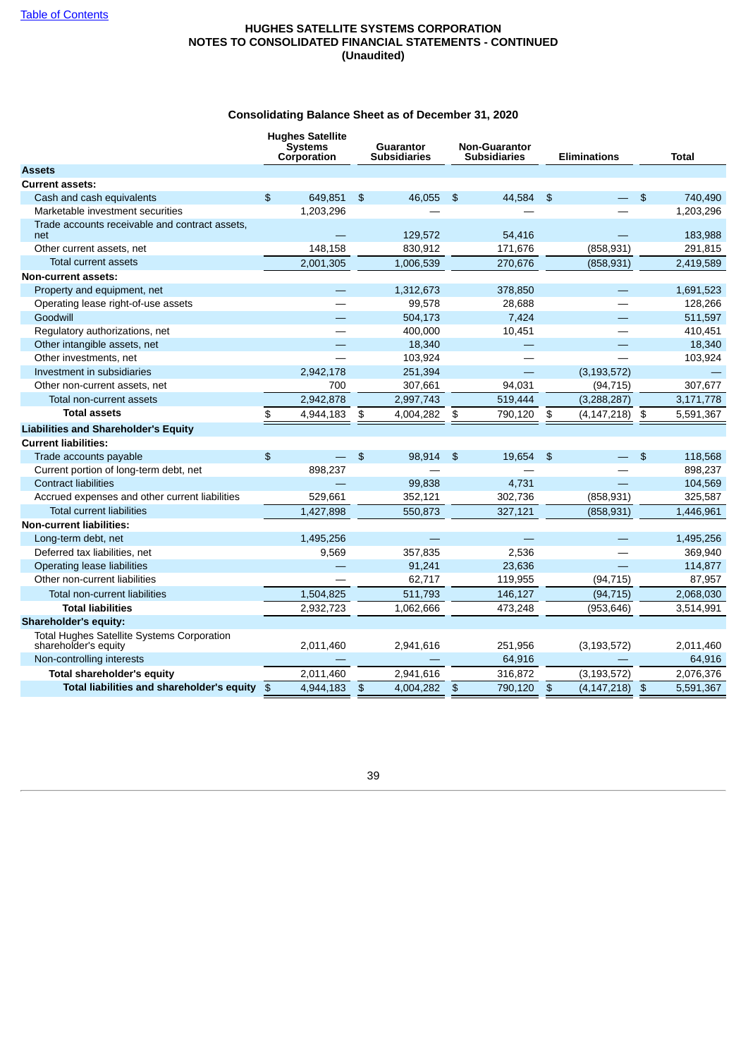# **Consolidating Balance Sheet as of December 31, 2020**

|                                                                    | <b>Hughes Satellite</b><br><b>Systems</b><br>Corporation |               | Guarantor<br><b>Subsidiaries</b> |                | <b>Non-Guarantor</b><br><b>Subsidiaries</b> |               | <b>Eliminations</b>      | <b>Total</b>    |
|--------------------------------------------------------------------|----------------------------------------------------------|---------------|----------------------------------|----------------|---------------------------------------------|---------------|--------------------------|-----------------|
| <b>Assets</b>                                                      |                                                          |               |                                  |                |                                             |               |                          |                 |
| <b>Current assets:</b>                                             |                                                          |               |                                  |                |                                             |               |                          |                 |
| Cash and cash equivalents                                          | \$<br>649,851                                            | $\frac{3}{2}$ | 46.055                           | $\frac{1}{2}$  | 44,584                                      | $\frac{1}{2}$ |                          | \$<br>740,490   |
| Marketable investment securities                                   | 1,203,296                                                |               |                                  |                |                                             |               |                          | 1,203,296       |
| Trade accounts receivable and contract assets.<br>net              |                                                          |               | 129,572                          |                | 54,416                                      |               |                          | 183,988         |
| Other current assets, net                                          | 148,158                                                  |               | 830,912                          |                | 171,676                                     |               | (858, 931)               | 291,815         |
| <b>Total current assets</b>                                        | 2,001,305                                                |               | 1,006,539                        |                | 270,676                                     |               | (858, 931)               | 2,419,589       |
| Non-current assets:                                                |                                                          |               |                                  |                |                                             |               |                          |                 |
| Property and equipment, net                                        |                                                          |               | 1,312,673                        |                | 378,850                                     |               |                          | 1,691,523       |
| Operating lease right-of-use assets                                |                                                          |               | 99,578                           |                | 28,688                                      |               |                          | 128,266         |
| Goodwill                                                           |                                                          |               | 504,173                          |                | 7,424                                       |               |                          | 511,597         |
| Regulatory authorizations, net                                     |                                                          |               | 400,000                          |                | 10,451                                      |               |                          | 410,451         |
| Other intangible assets, net                                       |                                                          |               | 18.340                           |                |                                             |               |                          | 18,340          |
| Other investments, net                                             |                                                          |               | 103,924                          |                |                                             |               |                          | 103,924         |
| Investment in subsidiaries                                         | 2,942,178                                                |               | 251,394                          |                |                                             |               | (3, 193, 572)            |                 |
| Other non-current assets, net                                      | 700                                                      |               | 307,661                          |                | 94,031                                      |               | (94, 715)                | 307,677         |
| Total non-current assets                                           | 2,942,878                                                |               | 2,997,743                        |                | 519.444                                     |               | (3, 288, 287)            | 3,171,778       |
| <b>Total assets</b>                                                | \$<br>4,944,183                                          | \$            | 4,004,282                        | \$             | 790,120                                     | \$            | (4, 147, 218)            | \$<br>5,591,367 |
| <b>Liabilities and Shareholder's Equity</b>                        |                                                          |               |                                  |                |                                             |               |                          |                 |
| <b>Current liabilities:</b>                                        |                                                          |               |                                  |                |                                             |               |                          |                 |
| Trade accounts payable                                             | \$<br>$\frac{1}{2}$                                      | \$            | 98.914                           | $\mathfrak{F}$ | 19.654                                      | \$            |                          | \$<br>118,568   |
| Current portion of long-term debt, net                             | 898,237                                                  |               |                                  |                |                                             |               |                          | 898,237         |
| <b>Contract liabilities</b>                                        |                                                          |               | 99,838                           |                | 4,731                                       |               |                          | 104,569         |
| Accrued expenses and other current liabilities                     | 529,661                                                  |               | 352,121                          |                | 302,736                                     |               | (858, 931)               | 325,587         |
| <b>Total current liabilities</b>                                   | 1,427,898                                                |               | 550.873                          |                | 327,121                                     |               | (858, 931)               | 1,446,961       |
| <b>Non-current liabilities:</b>                                    |                                                          |               |                                  |                |                                             |               |                          |                 |
| Long-term debt, net                                                | 1,495,256                                                |               |                                  |                |                                             |               |                          | 1,495,256       |
| Deferred tax liabilities, net                                      | 9,569                                                    |               | 357,835                          |                | 2,536                                       |               |                          | 369,940         |
| Operating lease liabilities                                        |                                                          |               | 91,241                           |                | 23,636                                      |               | $\overline{\phantom{a}}$ | 114,877         |
| Other non-current liabilities                                      |                                                          |               | 62,717                           |                | 119,955                                     |               | (94, 715)                | 87,957          |
| <b>Total non-current liabilities</b>                               | 1,504,825                                                |               | 511,793                          |                | 146,127                                     |               | (94, 715)                | 2,068,030       |
| <b>Total liabilities</b>                                           | 2,932,723                                                |               | 1,062,666                        |                | 473,248                                     |               | (953,646)                | 3,514,991       |
| Shareholder's equity:                                              |                                                          |               |                                  |                |                                             |               |                          |                 |
| Total Hughes Satellite Systems Corporation<br>shareholder's equity | 2,011,460                                                |               | 2,941,616                        |                | 251,956                                     |               | (3, 193, 572)            | 2,011,460       |
| Non-controlling interests                                          |                                                          |               |                                  |                | 64,916                                      |               |                          | 64,916          |
| <b>Total shareholder's equity</b>                                  | 2,011,460                                                |               | 2,941,616                        |                | 316,872                                     |               | (3, 193, 572)            | 2,076,376       |
| Total liabilities and shareholder's equity \$                      | 4.944.183                                                | \$            | 4.004.282                        | \$             | 790,120                                     | \$            | $(4, 147, 218)$ \$       | 5,591,367       |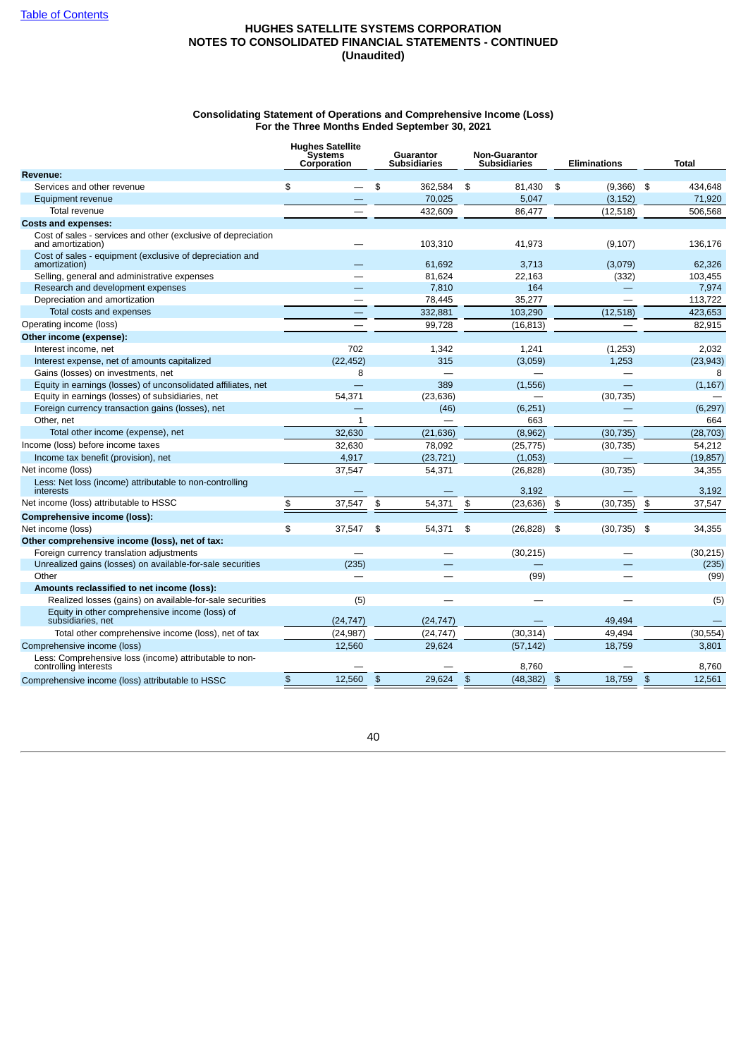#### **Consolidating Statement of Operations and Comprehensive Income (Loss) For the Three Months Ended September 30, 2021**

|                                                                                    | <b>Hughes Satellite</b><br>Systems<br>Corporation |              |                | Guarantor<br><b>Subsidiaries</b> |                | <b>Non-Guarantor</b><br><b>Subsidiaries</b> | <b>Eliminations</b> |                                   |                | <b>Total</b> |
|------------------------------------------------------------------------------------|---------------------------------------------------|--------------|----------------|----------------------------------|----------------|---------------------------------------------|---------------------|-----------------------------------|----------------|--------------|
| Revenue:                                                                           |                                                   |              |                |                                  |                |                                             |                     |                                   |                |              |
| Services and other revenue                                                         | \$                                                |              | \$             | 362,584                          | \$             | 81,430                                      | - \$                | (9,366)                           | \$             | 434,648      |
| Equipment revenue                                                                  |                                                   |              |                | 70,025                           |                | 5,047                                       |                     | (3, 152)                          |                | 71,920       |
| Total revenue                                                                      |                                                   |              |                | 432,609                          |                | 86,477                                      |                     | (12, 518)                         |                | 506,568      |
| <b>Costs and expenses:</b>                                                         |                                                   |              |                |                                  |                |                                             |                     |                                   |                |              |
| Cost of sales - services and other (exclusive of depreciation<br>and amortization) |                                                   |              |                | 103,310                          |                | 41,973                                      |                     | (9, 107)                          |                | 136,176      |
| Cost of sales - equipment (exclusive of depreciation and<br>amortization)          |                                                   |              |                | 61.692                           |                | 3.713                                       |                     | (3,079)                           |                | 62.326       |
| Selling, general and administrative expenses                                       |                                                   |              |                | 81.624                           |                | 22.163                                      |                     | (332)                             |                | 103.455      |
| Research and development expenses                                                  |                                                   |              |                | 7,810                            |                | 164                                         |                     |                                   |                | 7,974        |
| Depreciation and amortization                                                      |                                                   |              |                | 78,445                           |                | 35,277                                      |                     |                                   |                | 113,722      |
| Total costs and expenses                                                           |                                                   | –            |                | 332,881                          |                | 103.290                                     |                     | (12, 518)                         |                | 423.653      |
| Operating income (loss)                                                            |                                                   |              |                | 99,728                           |                | (16, 813)                                   |                     | $\overbrace{\phantom{123221111}}$ |                | 82,915       |
| Other income (expense):                                                            |                                                   |              |                |                                  |                |                                             |                     |                                   |                |              |
| Interest income, net                                                               |                                                   | 702          |                | 1.342                            |                | 1.241                                       |                     | (1,253)                           |                | 2.032        |
| Interest expense, net of amounts capitalized                                       |                                                   | (22, 452)    |                | 315                              |                | (3,059)                                     |                     | 1.253                             |                | (23, 943)    |
| Gains (losses) on investments, net                                                 |                                                   | 8            |                |                                  |                |                                             |                     |                                   |                | 8            |
| Equity in earnings (losses) of unconsolidated affiliates, net                      |                                                   |              |                | 389                              |                | (1,556)                                     |                     |                                   |                | (1, 167)     |
| Equity in earnings (losses) of subsidiaries, net                                   |                                                   | 54,371       |                | (23, 636)                        |                |                                             |                     | (30, 735)                         |                |              |
| Foreign currency transaction gains (losses), net                                   |                                                   |              |                | (46)                             |                | (6, 251)                                    |                     |                                   |                | (6, 297)     |
| Other, net                                                                         |                                                   | $\mathbf{1}$ |                |                                  |                | 663                                         |                     |                                   |                | 664          |
| Total other income (expense), net                                                  |                                                   | 32,630       |                | (21, 636)                        |                | (8,962)                                     |                     | (30, 735)                         |                | (28, 703)    |
| Income (loss) before income taxes                                                  |                                                   | 32.630       |                | 78,092                           |                | (25, 775)                                   |                     | (30, 735)                         |                | 54,212       |
| Income tax benefit (provision), net                                                |                                                   | 4,917        |                | (23, 721)                        |                | (1,053)                                     |                     |                                   |                | (19, 857)    |
| Net income (loss)                                                                  |                                                   | 37,547       |                | 54,371                           |                | (26, 828)                                   |                     | (30, 735)                         |                | 34,355       |
| Less: Net loss (income) attributable to non-controlling<br>interests               |                                                   |              |                |                                  |                | 3,192                                       |                     |                                   |                | 3,192        |
| Net income (loss) attributable to HSSC                                             | \$                                                | 37,547       | \$             | 54,371                           | \$             | (23, 636)                                   | \$                  | (30, 735)                         | \$             | 37,547       |
| Comprehensive income (loss):                                                       |                                                   |              |                |                                  |                |                                             |                     |                                   |                |              |
| Net income (loss)                                                                  | \$                                                | 37,547       | \$             | 54,371                           | \$             | $(26, 828)$ \$                              |                     | $(30, 735)$ \$                    |                | 34,355       |
| Other comprehensive income (loss), net of tax:                                     |                                                   |              |                |                                  |                |                                             |                     |                                   |                |              |
| Foreign currency translation adjustments                                           |                                                   |              |                |                                  |                | (30, 215)                                   |                     |                                   |                | (30, 215)    |
| Unrealized gains (losses) on available-for-sale securities                         |                                                   | (235)        |                |                                  |                |                                             |                     |                                   |                | (235)        |
| Other                                                                              |                                                   |              |                |                                  |                | (99)                                        |                     |                                   |                | (99)         |
| Amounts reclassified to net income (loss):                                         |                                                   |              |                |                                  |                |                                             |                     |                                   |                |              |
| Realized losses (gains) on available-for-sale securities                           |                                                   | (5)          |                | $\overline{\phantom{0}}$         |                |                                             |                     |                                   |                | (5)          |
| Equity in other comprehensive income (loss) of<br>subsidiaries, net                |                                                   | (24, 747)    |                | (24, 747)                        |                |                                             |                     | 49.494                            |                |              |
| Total other comprehensive income (loss), net of tax                                |                                                   | (24, 987)    |                | (24, 747)                        |                | (30, 314)                                   |                     | 49.494                            |                | (30, 554)    |
| Comprehensive income (loss)                                                        |                                                   | 12,560       |                | 29.624                           |                | (57, 142)                                   |                     | 18.759                            |                | 3.801        |
| Less: Comprehensive loss (income) attributable to non-<br>controlling interests    |                                                   |              |                |                                  |                | 8,760                                       |                     |                                   |                | 8,760        |
| Comprehensive income (loss) attributable to HSSC                                   | $\mathfrak{S}$                                    | 12,560       | $\mathfrak{s}$ | 29.624                           | $\mathfrak{S}$ | (48, 382)                                   | $\frac{1}{2}$       | 18,759                            | $\mathfrak{s}$ | 12,561       |

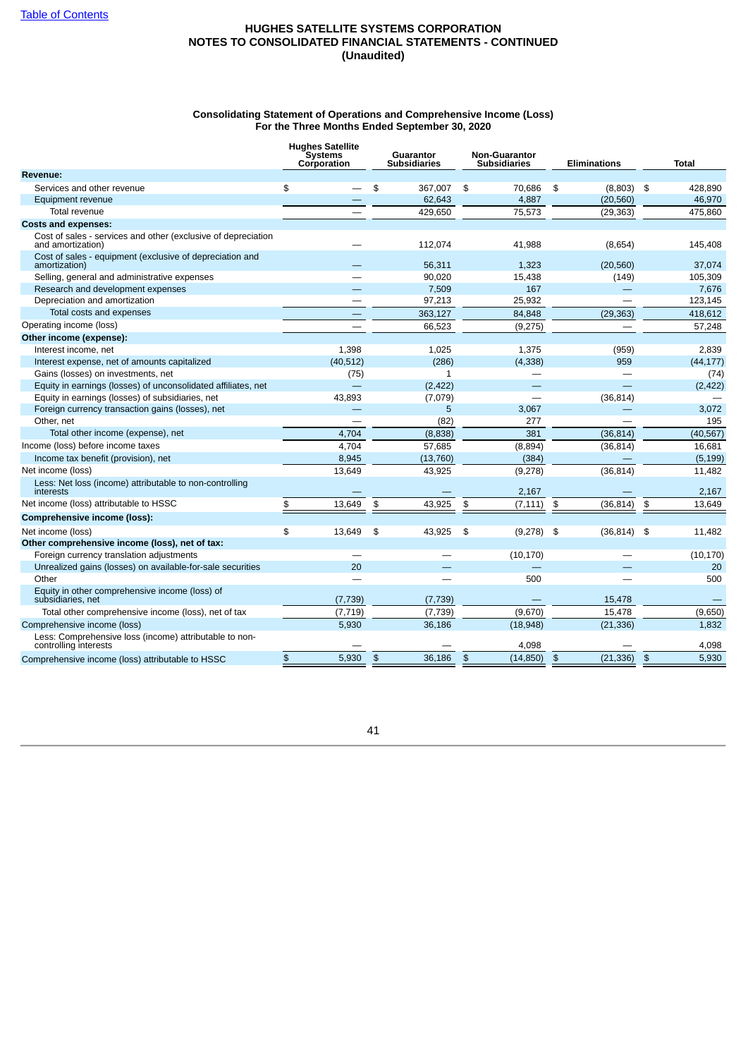#### **Consolidating Statement of Operations and Comprehensive Income (Loss) For the Three Months Ended September 30, 2020**

|                                                                                    | <b>Hughes Satellite</b><br><b>Systems</b><br>Corporation |                | Guarantor<br><b>Subsidiaries</b> |                | <b>Non-Guarantor</b><br><b>Subsidiaries</b> | <b>Eliminations</b>         |                | Total     |
|------------------------------------------------------------------------------------|----------------------------------------------------------|----------------|----------------------------------|----------------|---------------------------------------------|-----------------------------|----------------|-----------|
| Revenue:                                                                           |                                                          |                |                                  |                |                                             |                             |                |           |
| Services and other revenue                                                         | \$                                                       | $\mathfrak{S}$ | 367,007                          | \$             | 70,686                                      | $\mathfrak{S}$<br>(8,803)   | \$             | 428,890   |
| Equipment revenue                                                                  |                                                          |                | 62,643                           |                | 4,887                                       | (20, 560)                   |                | 46,970    |
| Total revenue                                                                      |                                                          |                | 429,650                          |                | 75,573                                      | (29, 363)                   |                | 475,860   |
| <b>Costs and expenses:</b>                                                         |                                                          |                |                                  |                |                                             |                             |                |           |
| Cost of sales - services and other (exclusive of depreciation<br>and amortization) |                                                          |                | 112.074                          |                | 41.988                                      | (8,654)                     |                | 145,408   |
| Cost of sales - equipment (exclusive of depreciation and<br>amortization)          |                                                          |                | 56,311                           |                | 1,323                                       | (20, 560)                   |                | 37,074    |
| Selling, general and administrative expenses                                       |                                                          |                | 90,020                           |                | 15,438                                      | (149)                       |                | 105,309   |
| Research and development expenses                                                  |                                                          |                | 7,509                            |                | 167                                         |                             |                | 7,676     |
| Depreciation and amortization                                                      |                                                          |                | 97,213                           |                | 25,932                                      |                             |                | 123,145   |
| Total costs and expenses                                                           |                                                          |                | 363,127                          |                | 84,848                                      | (29, 363)                   |                | 418.612   |
| Operating income (loss)                                                            |                                                          |                | 66,523                           |                | (9, 275)                                    |                             |                | 57,248    |
| Other income (expense):                                                            |                                                          |                |                                  |                |                                             |                             |                |           |
| Interest income, net                                                               | 1,398                                                    |                | 1,025                            |                | 1,375                                       | (959)                       |                | 2,839     |
| Interest expense, net of amounts capitalized                                       | (40, 512)                                                |                | (286)                            |                | (4, 338)                                    | 959                         |                | (44, 177) |
| Gains (losses) on investments, net                                                 | (75)                                                     |                | 1                                |                |                                             |                             |                | (74)      |
| Equity in earnings (losses) of unconsolidated affiliates, net                      |                                                          |                | (2, 422)                         |                |                                             |                             |                | (2, 422)  |
| Equity in earnings (losses) of subsidiaries, net                                   | 43,893                                                   |                | (7,079)                          |                |                                             | (36, 814)                   |                |           |
| Foreign currency transaction gains (losses), net                                   |                                                          |                | 5                                |                | 3,067                                       |                             |                | 3,072     |
| Other, net                                                                         |                                                          |                | (82)                             |                | 277                                         |                             |                | 195       |
| Total other income (expense), net                                                  | 4,704                                                    |                | (8,838)                          |                | 381                                         | (36, 814)                   |                | (40, 567) |
| Income (loss) before income taxes                                                  | 4,704                                                    |                | 57,685                           |                | (8,894)                                     | (36, 814)                   |                | 16,681    |
| Income tax benefit (provision), net                                                | 8,945                                                    |                | (13,760)                         |                | (384)                                       |                             |                | (5, 199)  |
| Net income (loss)                                                                  | 13,649                                                   |                | 43,925                           |                | (9, 278)                                    | (36, 814)                   |                | 11,482    |
| Less: Net loss (income) attributable to non-controlling<br>interests               |                                                          |                |                                  |                | 2,167                                       |                             |                | 2,167     |
| Net income (loss) attributable to HSSC                                             | \$<br>13,649                                             | \$             | 43,925                           | \$             | (7, 111)                                    | (36, 814)<br>\$             | \$             | 13,649    |
| Comprehensive income (loss):                                                       |                                                          |                |                                  |                |                                             |                             |                |           |
| Net income (loss)                                                                  | \$<br>13,649                                             | \$             | 43,925                           | \$             | (9,278)                                     | (36, 814)<br>\$             | \$             | 11,482    |
| Other comprehensive income (loss), net of tax:                                     |                                                          |                |                                  |                |                                             |                             |                |           |
| Foreign currency translation adjustments                                           |                                                          |                |                                  |                | (10, 170)                                   |                             |                | (10, 170) |
| Unrealized gains (losses) on available-for-sale securities                         | 20                                                       |                |                                  |                |                                             |                             |                | 20        |
| Other                                                                              |                                                          |                |                                  |                | 500                                         |                             |                | 500       |
| Equity in other comprehensive income (loss) of<br>subsidiaries, net                | (7, 739)                                                 |                | (7, 739)                         |                |                                             | 15,478                      |                |           |
| Total other comprehensive income (loss), net of tax                                | (7, 719)                                                 |                | (7, 739)                         |                | (9,670)                                     | 15,478                      |                | (9,650)   |
| Comprehensive income (loss)                                                        | 5,930                                                    |                | 36,186                           |                | (18, 948)                                   | (21, 336)                   |                | 1,832     |
| Less: Comprehensive loss (income) attributable to non-<br>controlling interests    |                                                          |                |                                  |                | 4,098                                       |                             |                | 4,098     |
| Comprehensive income (loss) attributable to HSSC                                   | $\mathfrak{S}$<br>5.930                                  | \$             | 36.186                           | $\mathfrak{S}$ | (14, 850)                                   | (21, 336)<br>$\mathfrak{s}$ | $\mathfrak{S}$ | 5,930     |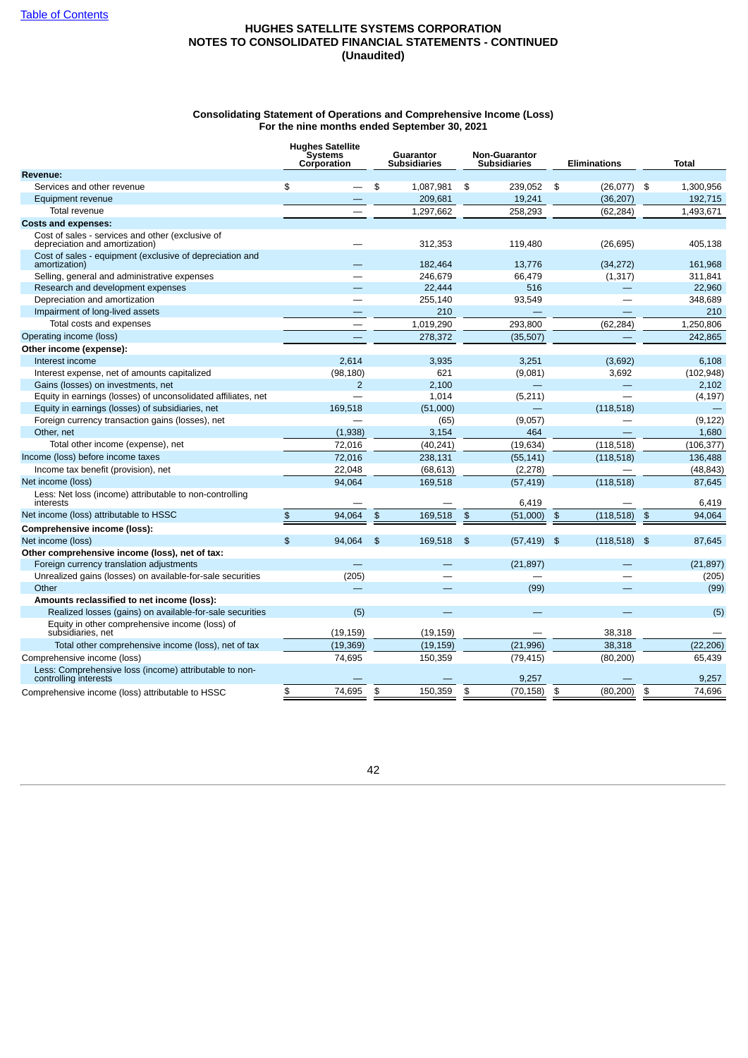#### **Consolidating Statement of Operations and Comprehensive Income (Loss) For the nine months ended September 30, 2021**

|                                                                                    |                | <b>Hughes Satellite</b><br><b>Systems</b><br>Corporation |                | Guarantor<br><b>Subsidiaries</b> |                       | <b>Non-Guarantor</b><br><b>Subsidiaries</b> |                | <b>Eliminations</b> | Total        |
|------------------------------------------------------------------------------------|----------------|----------------------------------------------------------|----------------|----------------------------------|-----------------------|---------------------------------------------|----------------|---------------------|--------------|
| Revenue:                                                                           |                |                                                          |                |                                  |                       |                                             |                |                     |              |
| Services and other revenue                                                         | \$             |                                                          | \$             | 1,087,981                        | \$                    | 239,052                                     | \$             | $(26,077)$ \$       | 1,300,956    |
| Equipment revenue                                                                  |                |                                                          |                | 209,681                          |                       | 19,241                                      |                | (36, 207)           | 192,715      |
| Total revenue                                                                      |                |                                                          |                | 1.297.662                        |                       | 258.293                                     |                | (62, 284)           | 1.493.671    |
| <b>Costs and expenses:</b>                                                         |                |                                                          |                |                                  |                       |                                             |                |                     |              |
| Cost of sales - services and other (exclusive of<br>depreciation and amortization) |                |                                                          |                | 312,353                          |                       | 119,480                                     |                | (26, 695)           | 405,138      |
| Cost of sales - equipment (exclusive of depreciation and<br>amortization)          |                |                                                          |                | 182,464                          |                       | 13,776                                      |                | (34, 272)           | 161,968      |
| Selling, general and administrative expenses                                       |                |                                                          |                | 246.679                          |                       | 66,479                                      |                | (1, 317)            | 311,841      |
| Research and development expenses                                                  |                |                                                          |                | 22,444                           |                       | 516                                         |                |                     | 22,960       |
| Depreciation and amortization                                                      |                |                                                          |                | 255,140                          |                       | 93,549                                      |                |                     | 348,689      |
| Impairment of long-lived assets                                                    |                |                                                          |                | 210                              |                       |                                             |                |                     | 210          |
| Total costs and expenses                                                           |                |                                                          |                | 1,019,290                        |                       | 293,800                                     |                | (62, 284)           | 1,250,806    |
| Operating income (loss)                                                            |                | _                                                        |                | 278,372                          |                       | (35, 507)                                   |                |                     | 242,865      |
| Other income (expense):                                                            |                |                                                          |                |                                  |                       |                                             |                |                     |              |
| Interest income                                                                    |                | 2.614                                                    |                | 3.935                            |                       | 3,251                                       |                | (3,692)             | 6,108        |
| Interest expense, net of amounts capitalized                                       |                | (98, 180)                                                |                | 621                              |                       | (9,081)                                     |                | 3,692               | (102, 948)   |
| Gains (losses) on investments, net                                                 |                | 2                                                        |                | 2.100                            |                       |                                             |                |                     | 2,102        |
| Equity in earnings (losses) of unconsolidated affiliates, net                      |                |                                                          |                | 1,014                            |                       | (5,211)                                     |                |                     | (4, 197)     |
| Equity in earnings (losses) of subsidiaries, net                                   |                | 169,518                                                  |                | (51,000)                         |                       |                                             |                | (118, 518)          |              |
| Foreign currency transaction gains (losses), net                                   |                |                                                          |                | (65)                             |                       | (9,057)                                     |                |                     | (9, 122)     |
| Other, net                                                                         |                | (1,938)                                                  |                | 3,154                            |                       | 464                                         |                |                     | 1,680        |
| Total other income (expense), net                                                  |                | 72,016                                                   |                | (40, 241)                        |                       | (19, 634)                                   |                | (118, 518)          | (106, 377)   |
| Income (loss) before income taxes                                                  |                | 72.016                                                   |                | 238.131                          |                       | (55, 141)                                   |                | (118.518)           | 136.488      |
| Income tax benefit (provision), net                                                |                | 22,048                                                   |                | (68, 613)                        |                       | (2, 278)                                    |                |                     | (48, 843)    |
| Net income (loss)                                                                  |                | 94,064                                                   |                | 169,518                          |                       | (57, 419)                                   |                | (118, 518)          | 87,645       |
| Less: Net loss (income) attributable to non-controlling<br>interests               |                |                                                          |                |                                  |                       | 6,419                                       |                |                     | 6,419        |
| Net income (loss) attributable to HSSC                                             | $\frac{1}{2}$  | 94,064                                                   | $\frac{2}{3}$  | 169,518                          | $\boldsymbol{\theta}$ | (51,000)                                    | $\mathfrak{P}$ | (118, 518)          | \$<br>94,064 |
| Comprehensive income (loss):                                                       |                |                                                          |                |                                  |                       |                                             |                |                     |              |
| Net income (loss)                                                                  | $\mathfrak{S}$ | 94,064                                                   | $\mathfrak{S}$ | 169,518                          | \$                    | (57, 419)                                   | - \$           | (118, 518)          | \$<br>87,645 |
| Other comprehensive income (loss), net of tax:                                     |                |                                                          |                |                                  |                       |                                             |                |                     |              |
| Foreign currency translation adjustments                                           |                |                                                          |                |                                  |                       | (21, 897)                                   |                |                     | (21, 897)    |
| Unrealized gains (losses) on available-for-sale securities                         |                | (205)                                                    |                |                                  |                       |                                             |                |                     | (205)        |
| Other                                                                              |                |                                                          |                |                                  |                       | (99)                                        |                |                     | (99)         |
| Amounts reclassified to net income (loss):                                         |                |                                                          |                |                                  |                       |                                             |                |                     |              |
| Realized losses (gains) on available-for-sale securities                           |                | (5)                                                      |                |                                  |                       |                                             |                |                     | (5)          |
| Equity in other comprehensive income (loss) of<br>subsidiaries, net                |                | (19, 159)                                                |                | (19, 159)                        |                       |                                             |                | 38,318              |              |
| Total other comprehensive income (loss), net of tax                                |                | (19, 369)                                                |                | (19, 159)                        |                       | (21,996)                                    |                | 38,318              | (22, 206)    |
| Comprehensive income (loss)                                                        |                | 74,695                                                   |                | 150,359                          |                       | (79, 415)                                   |                | (80, 200)           | 65,439       |
| Less: Comprehensive loss (income) attributable to non-                             |                |                                                          |                |                                  |                       |                                             |                |                     |              |
| controlling interests                                                              |                |                                                          |                |                                  |                       | 9,257                                       |                |                     | 9,257        |
| Comprehensive income (loss) attributable to HSSC                                   | \$             | 74,695                                                   | \$             | 150,359                          | \$                    | (70, 158)                                   | \$             | (80, 200)           | \$<br>74,696 |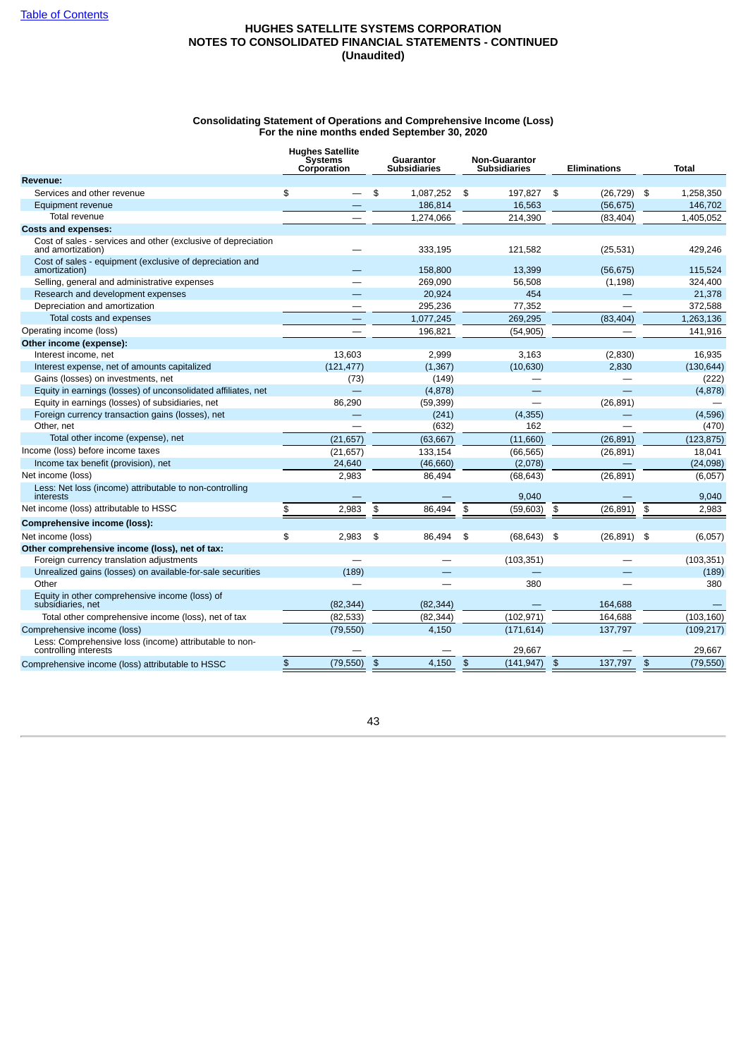#### **Consolidating Statement of Operations and Comprehensive Income (Loss) For the nine months ended September 30, 2020**

|                                                                                    | <b>Hughes Satellite</b><br><b>Systems</b><br>Corporation | Guarantor<br><b>Subsidiaries</b> |                | Non-Guarantor<br><b>Subsidiaries</b> |                | <b>Eliminations</b>      |                | <b>Total</b> |
|------------------------------------------------------------------------------------|----------------------------------------------------------|----------------------------------|----------------|--------------------------------------|----------------|--------------------------|----------------|--------------|
| Revenue:                                                                           |                                                          |                                  |                |                                      |                |                          |                |              |
| Services and other revenue                                                         | \$                                                       | \$<br>1,087,252                  | \$             | 197,827                              | \$             | (26, 729)                | \$             | 1.258.350    |
| Equipment revenue                                                                  |                                                          | 186.814                          |                | 16.563                               |                | (56, 675)                |                | 146.702      |
| Total revenue                                                                      |                                                          | 1,274,066                        |                | 214,390                              |                | (83, 404)                |                | 1,405,052    |
| <b>Costs and expenses:</b>                                                         |                                                          |                                  |                |                                      |                |                          |                |              |
| Cost of sales - services and other (exclusive of depreciation<br>and amortization) |                                                          | 333.195                          |                | 121.582                              |                | (25, 531)                |                | 429,246      |
| Cost of sales - equipment (exclusive of depreciation and<br>amortization)          |                                                          | 158,800                          |                | 13.399                               |                | (56, 675)                |                | 115.524      |
| Selling, general and administrative expenses                                       |                                                          | 269.090                          |                | 56,508                               |                | (1, 198)                 |                | 324,400      |
| Research and development expenses                                                  |                                                          | 20.924                           |                | 454                                  |                |                          |                | 21,378       |
| Depreciation and amortization                                                      |                                                          | 295,236                          |                | 77.352                               |                |                          |                | 372,588      |
| Total costs and expenses                                                           |                                                          | 1.077.245                        |                | 269.295                              |                | (83.404)                 |                | 1.263.136    |
| Operating income (loss)                                                            | $\overline{\phantom{0}}$                                 | 196.821                          |                | (54, 905)                            |                | $\overline{\phantom{0}}$ |                | 141.916      |
| Other income (expense):                                                            |                                                          |                                  |                |                                      |                |                          |                |              |
| Interest income, net                                                               | 13.603                                                   | 2.999                            |                | 3.163                                |                | (2,830)                  |                | 16.935       |
| Interest expense, net of amounts capitalized                                       | (121, 477)                                               | (1, 367)                         |                | (10, 630)                            |                | 2,830                    |                | (130, 644)   |
| Gains (losses) on investments, net                                                 | (73)                                                     | (149)                            |                |                                      |                |                          |                | (222)        |
| Equity in earnings (losses) of unconsolidated affiliates, net                      |                                                          | (4,878)                          |                |                                      |                |                          |                | (4,878)      |
| Equity in earnings (losses) of subsidiaries, net                                   | 86,290                                                   | (59, 399)                        |                |                                      |                | (26, 891)                |                |              |
| Foreign currency transaction gains (losses), net                                   |                                                          | (241)                            |                | (4,355)                              |                |                          |                | (4,596)      |
| Other, net                                                                         |                                                          | (632)                            |                | 162                                  |                |                          |                | (470)        |
| Total other income (expense), net                                                  | (21, 657)                                                | (63, 667)                        |                | (11,660)                             |                | (26, 891)                |                | (123, 875)   |
| Income (loss) before income taxes                                                  | (21, 657)                                                | 133.154                          |                | (66, 565)                            |                | (26, 891)                |                | 18.041       |
| Income tax benefit (provision), net                                                | 24,640                                                   | (46, 660)                        |                | (2,078)                              |                |                          |                | (24,098)     |
| Net income (loss)                                                                  | 2.983                                                    | 86.494                           |                | (68, 643)                            |                | (26, 891)                |                | (6,057)      |
| Less: Net loss (income) attributable to non-controlling<br>interests               |                                                          |                                  |                | 9,040                                |                |                          |                | 9,040        |
| Net income (loss) attributable to HSSC                                             | \$<br>2,983                                              | \$<br>86,494                     | \$             | (59,603)                             | \$             | (26, 891)                | \$             | 2,983        |
| Comprehensive income (loss):                                                       |                                                          |                                  |                |                                      |                |                          |                |              |
| Net income (loss)                                                                  | \$<br>2,983                                              | \$<br>86,494                     | \$             | (68, 643)                            | \$             | (26, 891)                | \$             | (6,057)      |
| Other comprehensive income (loss), net of tax:                                     |                                                          |                                  |                |                                      |                |                          |                |              |
| Foreign currency translation adjustments                                           |                                                          |                                  |                | (103, 351)                           |                |                          |                | (103, 351)   |
| Unrealized gains (losses) on available-for-sale securities                         | (189)                                                    |                                  |                |                                      |                |                          |                | (189)        |
| Other                                                                              |                                                          |                                  |                | 380                                  |                |                          |                | 380          |
| Equity in other comprehensive income (loss) of<br>subsidiaries, net                | (82, 344)                                                | (82, 344)                        |                |                                      |                | 164,688                  |                |              |
| Total other comprehensive income (loss), net of tax                                | (82, 533)                                                | (82, 344)                        |                | (102, 971)                           |                | 164,688                  |                | (103, 160)   |
| Comprehensive income (loss)                                                        | (79, 550)                                                | 4,150                            |                | (171, 614)                           |                | 137,797                  |                | (109, 217)   |
| Less: Comprehensive loss (income) attributable to non-<br>controlling interests    |                                                          |                                  |                | 29,667                               |                |                          |                | 29.667       |
| Comprehensive income (loss) attributable to HSSC                                   | \$<br>(79, 550)                                          | \$<br>4.150                      | $\mathfrak{S}$ | (141, 947)                           | $\mathfrak{S}$ | 137,797                  | $\mathfrak{L}$ | (79, 550)    |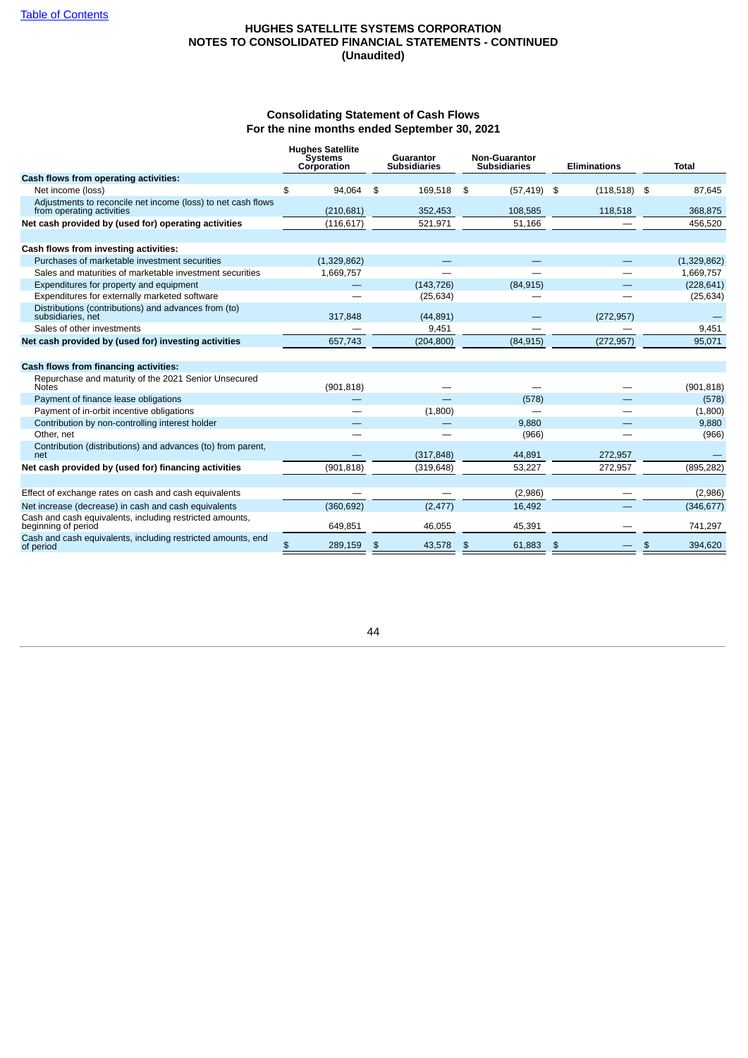# **Consolidating Statement of Cash Flows For the nine months ended September 30, 2021**

|                                                                                           | <b>Hughes Satellite</b><br>Systems<br>Corporation | Guarantor<br><b>Subsidiaries</b> | <b>Non-Guarantor</b><br><b>Subsidiaries</b> | <b>Eliminations</b> | <b>Total</b>  |
|-------------------------------------------------------------------------------------------|---------------------------------------------------|----------------------------------|---------------------------------------------|---------------------|---------------|
| Cash flows from operating activities:                                                     |                                                   |                                  |                                             |                     |               |
| Net income (loss)                                                                         | \$<br>94,064                                      | \$<br>169,518                    | \$<br>$(57, 419)$ \$                        | $(118,518)$ \$      | 87,645        |
| Adjustments to reconcile net income (loss) to net cash flows<br>from operating activities | (210, 681)                                        | 352,453                          | 108,585                                     | 118,518             | 368,875       |
| Net cash provided by (used for) operating activities                                      | (116, 617)                                        | 521.971                          | 51.166                                      |                     | 456.520       |
|                                                                                           |                                                   |                                  |                                             |                     |               |
| Cash flows from investing activities:                                                     |                                                   |                                  |                                             |                     |               |
| Purchases of marketable investment securities                                             | (1,329,862)                                       |                                  |                                             |                     | (1,329,862)   |
| Sales and maturities of marketable investment securities                                  | 1,669,757                                         |                                  |                                             |                     | 1,669,757     |
| Expenditures for property and equipment                                                   |                                                   | (143, 726)                       | (84, 915)                                   |                     | (228, 641)    |
| Expenditures for externally marketed software                                             |                                                   | (25, 634)                        |                                             |                     | (25, 634)     |
| Distributions (contributions) and advances from (to)<br>subsidiaries, net                 | 317,848                                           | (44, 891)                        |                                             | (272, 957)          |               |
| Sales of other investments                                                                |                                                   | 9,451                            |                                             |                     | 9.451         |
| Net cash provided by (used for) investing activities                                      | 657,743                                           | (204, 800)                       | (84, 915)                                   | (272, 957)          | 95.071        |
|                                                                                           |                                                   |                                  |                                             |                     |               |
| Cash flows from financing activities:                                                     |                                                   |                                  |                                             |                     |               |
| Repurchase and maturity of the 2021 Senior Unsecured<br><b>Notes</b>                      | (901, 818)                                        |                                  |                                             |                     | (901, 818)    |
| Payment of finance lease obligations                                                      |                                                   |                                  | (578)                                       |                     | (578)         |
| Payment of in-orbit incentive obligations                                                 |                                                   | (1,800)                          |                                             |                     | (1,800)       |
| Contribution by non-controlling interest holder                                           |                                                   |                                  | 9.880                                       |                     | 9,880         |
| Other, net                                                                                |                                                   |                                  | (966)                                       |                     | (966)         |
| Contribution (distributions) and advances (to) from parent,<br>net                        |                                                   | (317, 848)                       | 44,891                                      | 272,957             |               |
| Net cash provided by (used for) financing activities                                      | (901, 818)                                        | (319, 648)                       | 53,227                                      | 272,957             | (895, 282)    |
|                                                                                           |                                                   |                                  |                                             |                     |               |
| Effect of exchange rates on cash and cash equivalents                                     |                                                   |                                  | (2,986)                                     |                     | (2,986)       |
| Net increase (decrease) in cash and cash equivalents                                      | (360, 692)                                        | (2, 477)                         | 16,492                                      |                     | (346, 677)    |
| Cash and cash equivalents, including restricted amounts,<br>beginning of period           | 649,851                                           | 46,055                           | 45,391                                      |                     | 741,297       |
| Cash and cash equivalents, including restricted amounts, end<br>of period                 | \$<br>289,159                                     | \$<br>43,578                     | \$<br>61,883                                | \$                  | \$<br>394,620 |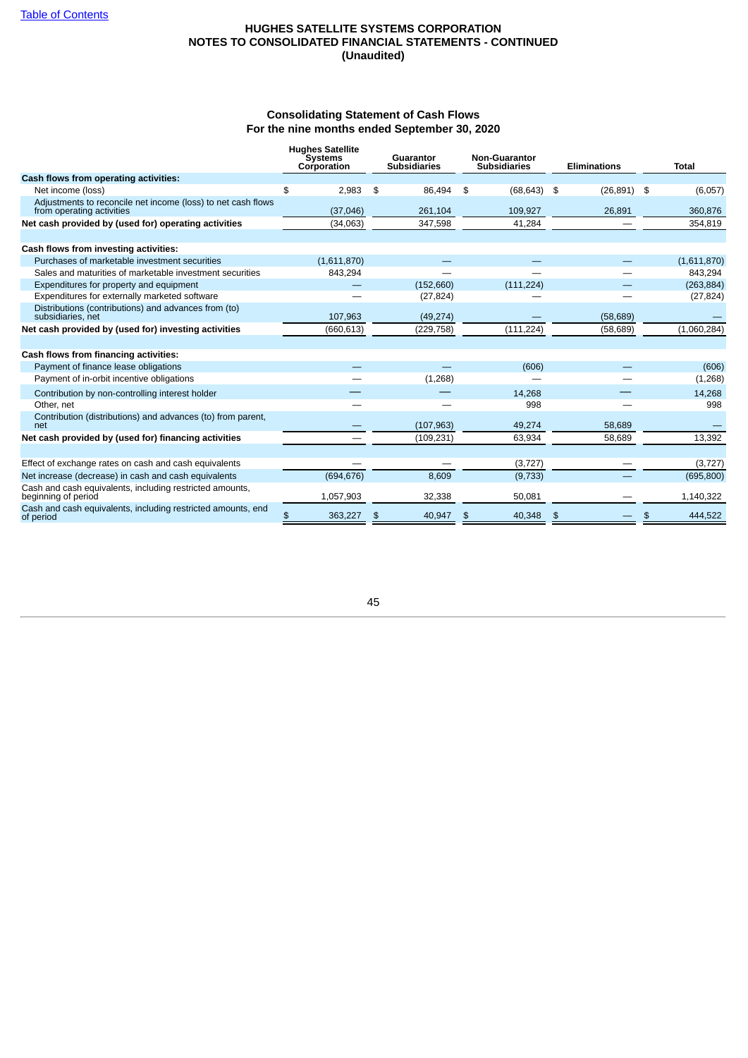# **Consolidating Statement of Cash Flows For the nine months ended September 30, 2020**

|                                                                                                           | <b>Hughes Satellite</b><br>Systems<br>Guarantor<br><b>Subsidiaries</b><br>Corporation |             | <b>Non-Guarantor</b><br><b>Subsidiaries</b> |    | <b>Eliminations</b> |    | <b>Total</b>  |               |
|-----------------------------------------------------------------------------------------------------------|---------------------------------------------------------------------------------------|-------------|---------------------------------------------|----|---------------------|----|---------------|---------------|
| Cash flows from operating activities:                                                                     |                                                                                       |             |                                             |    |                     |    |               |               |
| Net income (loss)                                                                                         | \$                                                                                    | 2,983       | \$<br>86,494                                | \$ | $(68, 643)$ \$      |    | $(26,891)$ \$ | (6,057)       |
| Adjustments to reconcile net income (loss) to net cash flows<br>from operating activities                 |                                                                                       | (37,046)    | 261,104                                     |    | 109.927             |    | 26,891        | 360.876       |
| Net cash provided by (used for) operating activities                                                      |                                                                                       | (34,063)    | 347,598                                     |    | 41,284              |    |               | 354,819       |
|                                                                                                           |                                                                                       |             |                                             |    |                     |    |               |               |
| Cash flows from investing activities:                                                                     |                                                                                       |             |                                             |    |                     |    |               |               |
| Purchases of marketable investment securities<br>Sales and maturities of marketable investment securities |                                                                                       | (1,611,870) |                                             |    |                     |    |               | (1,611,870)   |
|                                                                                                           |                                                                                       | 843,294     |                                             |    |                     |    |               | 843,294       |
| Expenditures for property and equipment                                                                   |                                                                                       |             | (152,660)                                   |    | (111, 224)          |    |               | (263, 884)    |
| Expenditures for externally marketed software                                                             |                                                                                       |             | (27, 824)                                   |    |                     |    |               | (27, 824)     |
| Distributions (contributions) and advances from (to)<br>subsidiaries, net                                 |                                                                                       | 107,963     | (49, 274)                                   |    |                     |    | (58, 689)     |               |
| Net cash provided by (used for) investing activities                                                      |                                                                                       | (660, 613)  | (229, 758)                                  |    | (111, 224)          |    | (58, 689)     | (1,060,284)   |
|                                                                                                           |                                                                                       |             |                                             |    |                     |    |               |               |
| Cash flows from financing activities:                                                                     |                                                                                       |             |                                             |    |                     |    |               |               |
| Payment of finance lease obligations                                                                      |                                                                                       |             |                                             |    | (606)               |    |               | (606)         |
| Payment of in-orbit incentive obligations                                                                 |                                                                                       |             | (1,268)                                     |    |                     |    |               | (1,268)       |
| Contribution by non-controlling interest holder                                                           |                                                                                       |             |                                             |    | 14.268              |    |               | 14,268        |
| Other, net                                                                                                |                                                                                       |             |                                             |    | 998                 |    |               | 998           |
| Contribution (distributions) and advances (to) from parent,<br>net                                        |                                                                                       |             | (107, 963)                                  |    | 49,274              |    | 58.689        |               |
| Net cash provided by (used for) financing activities                                                      |                                                                                       |             | (109, 231)                                  |    | 63,934              |    | 58,689        | 13,392        |
|                                                                                                           |                                                                                       |             |                                             |    |                     |    |               |               |
| Effect of exchange rates on cash and cash equivalents                                                     |                                                                                       |             |                                             |    | (3, 727)            |    |               | (3,727)       |
| Net increase (decrease) in cash and cash equivalents                                                      |                                                                                       | (694, 676)  | 8.609                                       |    | (9,733)             |    |               | (695, 800)    |
| Cash and cash equivalents, including restricted amounts,<br>beginning of period                           |                                                                                       | 1,057,903   | 32,338                                      |    | 50,081              |    |               | 1,140,322     |
| Cash and cash equivalents, including restricted amounts, end<br>of period                                 | \$                                                                                    | 363,227     | \$<br>40,947                                | \$ | 40,348              | \$ |               | \$<br>444,522 |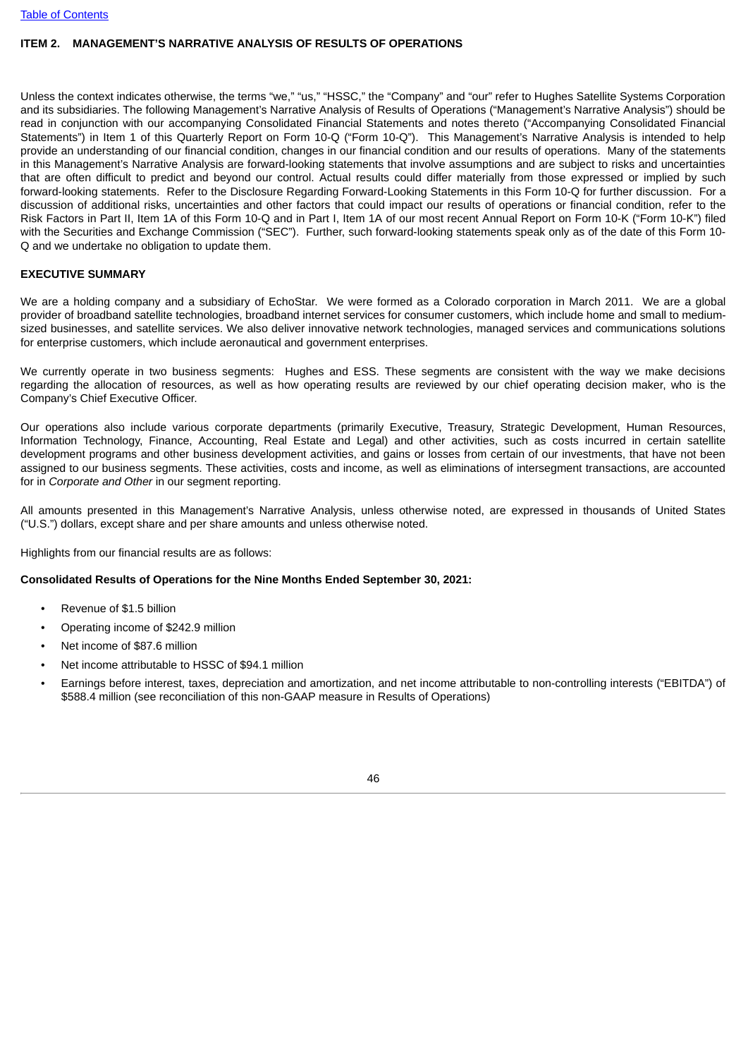## **ITEM 2. MANAGEMENT'S NARRATIVE ANALYSIS OF RESULTS OF OPERATIONS**

Unless the context indicates otherwise, the terms "we," "us," "HSSC," the "Company" and "our" refer to Hughes Satellite Systems Corporation and its subsidiaries. The following Management's Narrative Analysis of Results of Operations ("Management's Narrative Analysis") should be read in conjunction with our accompanying Consolidated Financial Statements and notes thereto ("Accompanying Consolidated Financial Statements") in Item 1 of this Quarterly Report on Form 10-Q ("Form 10-Q"). This Management's Narrative Analysis is intended to help provide an understanding of our financial condition, changes in our financial condition and our results of operations. Many of the statements in this Management's Narrative Analysis are forward-looking statements that involve assumptions and are subject to risks and uncertainties that are often difficult to predict and beyond our control. Actual results could differ materially from those expressed or implied by such forward-looking statements. Refer to the Disclosure Regarding Forward-Looking Statements in this Form 10-Q for further discussion. For a discussion of additional risks, uncertainties and other factors that could impact our results of operations or financial condition, refer to the Risk Factors in Part II, Item 1A of this Form 10-Q and in Part I, Item 1A of our most recent Annual Report on Form 10-K ("Form 10-K") filed with the Securities and Exchange Commission ("SEC"). Further, such forward-looking statements speak only as of the date of this Form 10- Q and we undertake no obligation to update them.

## **EXECUTIVE SUMMARY**

We are a holding company and a subsidiary of EchoStar. We were formed as a Colorado corporation in March 2011. We are a global provider of broadband satellite technologies, broadband internet services for consumer customers, which include home and small to mediumsized businesses, and satellite services. We also deliver innovative network technologies, managed services and communications solutions for enterprise customers, which include aeronautical and government enterprises.

We currently operate in two business segments: Hughes and ESS. These segments are consistent with the way we make decisions regarding the allocation of resources, as well as how operating results are reviewed by our chief operating decision maker, who is the Company's Chief Executive Officer.

Our operations also include various corporate departments (primarily Executive, Treasury, Strategic Development, Human Resources, Information Technology, Finance, Accounting, Real Estate and Legal) and other activities, such as costs incurred in certain satellite development programs and other business development activities, and gains or losses from certain of our investments, that have not been assigned to our business segments. These activities, costs and income, as well as eliminations of intersegment transactions, are accounted for in *Corporate and Other* in our segment reporting.

All amounts presented in this Management's Narrative Analysis, unless otherwise noted, are expressed in thousands of United States ("U.S.") dollars, except share and per share amounts and unless otherwise noted.

Highlights from our financial results are as follows:

## **Consolidated Results of Operations for the Nine Months Ended September 30, 2021:**

- Revenue of \$1.5 billion
- Operating income of \$242.9 million
- Net income of \$87.6 million
- Net income attributable to HSSC of \$94.1 million
- Earnings before interest, taxes, depreciation and amortization, and net income attributable to non-controlling interests ("EBITDA") of \$588.4 million (see reconciliation of this non-GAAP measure in Results of Operations)

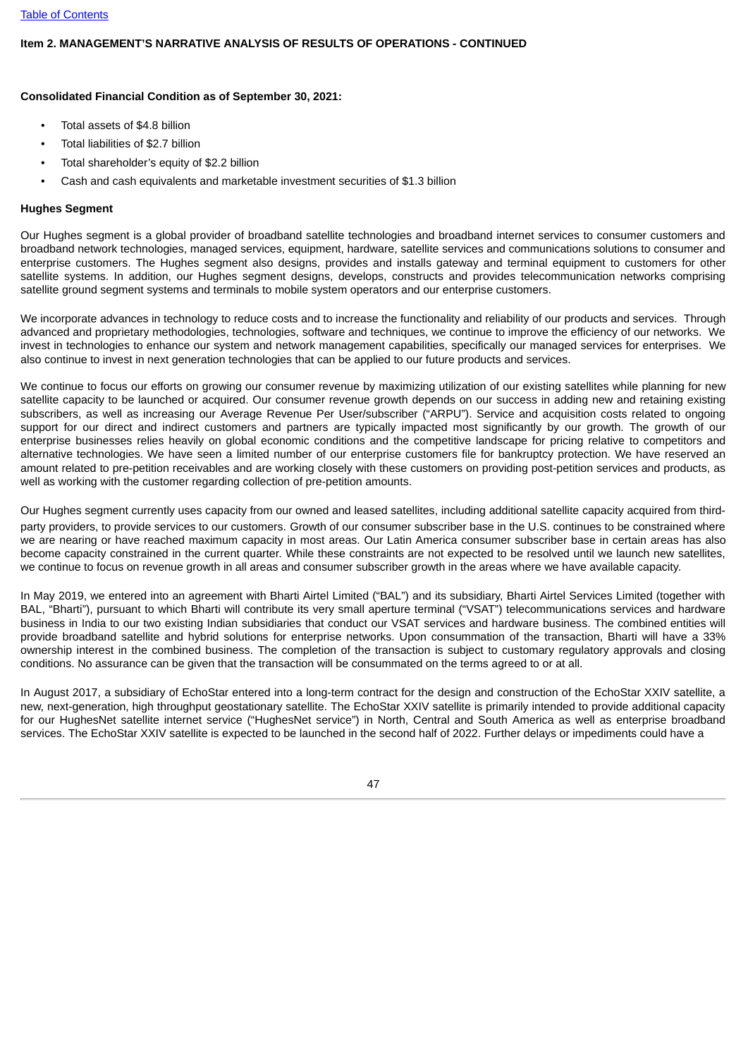#### **Consolidated Financial Condition as of September 30, 2021:**

- Total assets of \$4.8 billion
- Total liabilities of \$2.7 billion
- Total shareholder's equity of \$2.2 billion
- Cash and cash equivalents and marketable investment securities of \$1.3 billion

## **Hughes Segment**

Our Hughes segment is a global provider of broadband satellite technologies and broadband internet services to consumer customers and broadband network technologies, managed services, equipment, hardware, satellite services and communications solutions to consumer and enterprise customers. The Hughes segment also designs, provides and installs gateway and terminal equipment to customers for other satellite systems. In addition, our Hughes segment designs, develops, constructs and provides telecommunication networks comprising satellite ground segment systems and terminals to mobile system operators and our enterprise customers.

We incorporate advances in technology to reduce costs and to increase the functionality and reliability of our products and services. Through advanced and proprietary methodologies, technologies, software and techniques, we continue to improve the efficiency of our networks. We invest in technologies to enhance our system and network management capabilities, specifically our managed services for enterprises. We also continue to invest in next generation technologies that can be applied to our future products and services.

We continue to focus our efforts on growing our consumer revenue by maximizing utilization of our existing satellites while planning for new satellite capacity to be launched or acquired. Our consumer revenue growth depends on our success in adding new and retaining existing subscribers, as well as increasing our Average Revenue Per User/subscriber ("ARPU"). Service and acquisition costs related to ongoing support for our direct and indirect customers and partners are typically impacted most significantly by our growth. The growth of our enterprise businesses relies heavily on global economic conditions and the competitive landscape for pricing relative to competitors and alternative technologies. We have seen a limited number of our enterprise customers file for bankruptcy protection. We have reserved an amount related to pre-petition receivables and are working closely with these customers on providing post-petition services and products, as well as working with the customer regarding collection of pre-petition amounts.

Our Hughes segment currently uses capacity from our owned and leased satellites, including additional satellite capacity acquired from thirdparty providers, to provide services to our customers. Growth of our consumer subscriber base in the U.S. continues to be constrained where we are nearing or have reached maximum capacity in most areas. Our Latin America consumer subscriber base in certain areas has also become capacity constrained in the current quarter. While these constraints are not expected to be resolved until we launch new satellites, we continue to focus on revenue growth in all areas and consumer subscriber growth in the areas where we have available capacity.

In May 2019, we entered into an agreement with Bharti Airtel Limited ("BAL") and its subsidiary, Bharti Airtel Services Limited (together with BAL, "Bharti"), pursuant to which Bharti will contribute its very small aperture terminal ("VSAT") telecommunications services and hardware business in India to our two existing Indian subsidiaries that conduct our VSAT services and hardware business. The combined entities will provide broadband satellite and hybrid solutions for enterprise networks. Upon consummation of the transaction, Bharti will have a 33% ownership interest in the combined business. The completion of the transaction is subject to customary regulatory approvals and closing conditions. No assurance can be given that the transaction will be consummated on the terms agreed to or at all.

In August 2017, a subsidiary of EchoStar entered into a long-term contract for the design and construction of the EchoStar XXIV satellite, a new, next-generation, high throughput geostationary satellite. The EchoStar XXIV satellite is primarily intended to provide additional capacity for our HughesNet satellite internet service ("HughesNet service") in North, Central and South America as well as enterprise broadband services. The EchoStar XXIV satellite is expected to be launched in the second half of 2022. Further delays or impediments could have a

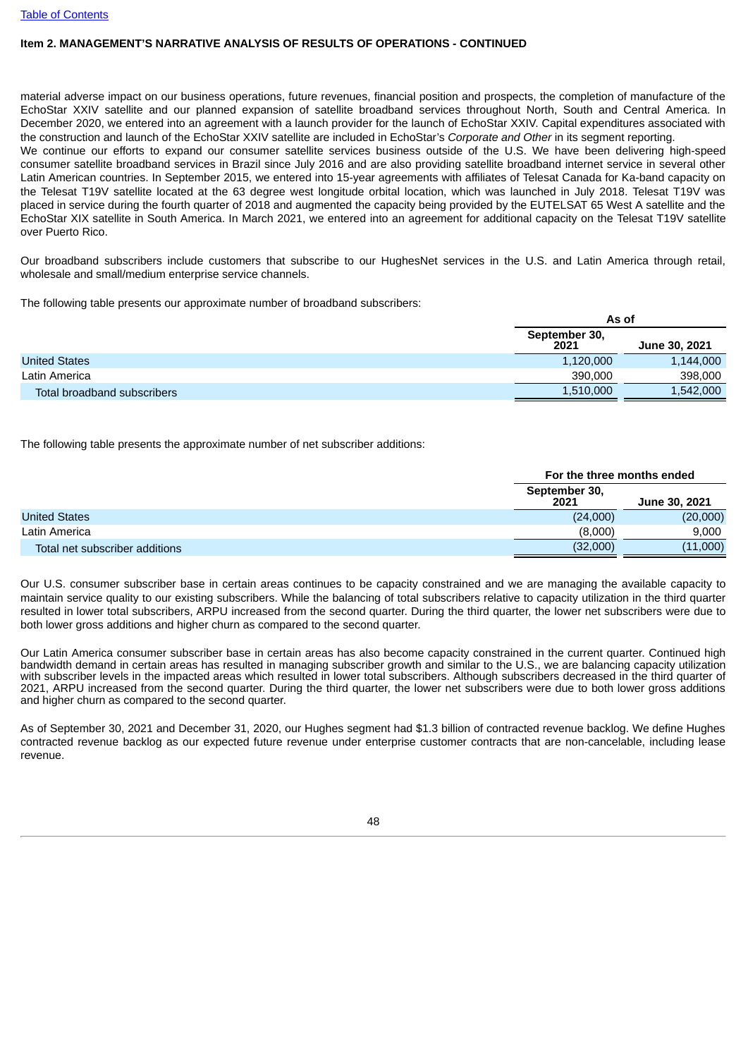material adverse impact on our business operations, future revenues, financial position and prospects, the completion of manufacture of the EchoStar XXIV satellite and our planned expansion of satellite broadband services throughout North, South and Central America. In December 2020, we entered into an agreement with a launch provider for the launch of EchoStar XXIV. Capital expenditures associated with the construction and launch of the EchoStar XXIV satellite are included in EchoStar's *Corporate and Other* in its segment reporting.

We continue our efforts to expand our consumer satellite services business outside of the U.S. We have been delivering high-speed consumer satellite broadband services in Brazil since July 2016 and are also providing satellite broadband internet service in several other Latin American countries. In September 2015, we entered into 15-year agreements with affiliates of Telesat Canada for Ka-band capacity on the Telesat T19V satellite located at the 63 degree west longitude orbital location, which was launched in July 2018. Telesat T19V was placed in service during the fourth quarter of 2018 and augmented the capacity being provided by the EUTELSAT 65 West A satellite and the EchoStar XIX satellite in South America. In March 2021, we entered into an agreement for additional capacity on the Telesat T19V satellite over Puerto Rico.

Our broadband subscribers include customers that subscribe to our HughesNet services in the U.S. and Latin America through retail, wholesale and small/medium enterprise service channels.

The following table presents our approximate number of broadband subscribers:

|                             | As of                 |               |
|-----------------------------|-----------------------|---------------|
|                             | September 30,<br>2021 | June 30, 2021 |
| <b>United States</b>        | 1,120,000             | 1,144,000     |
| Latin America               | 390,000               | 398,000       |
| Total broadband subscribers | 1,510,000             | 1,542,000     |

The following table presents the approximate number of net subscriber additions:

|                                |                       | For the three months ended |  |  |
|--------------------------------|-----------------------|----------------------------|--|--|
|                                | September 30,<br>2021 | June 30, 2021              |  |  |
| <b>United States</b>           | (24,000)              | (20,000)                   |  |  |
| Latin America                  | (8,000)               | 9.000                      |  |  |
| Total net subscriber additions | (32,000)              | (11,000)                   |  |  |

Our U.S. consumer subscriber base in certain areas continues to be capacity constrained and we are managing the available capacity to maintain service quality to our existing subscribers. While the balancing of total subscribers relative to capacity utilization in the third quarter resulted in lower total subscribers, ARPU increased from the second quarter. During the third quarter, the lower net subscribers were due to both lower gross additions and higher churn as compared to the second quarter.

Our Latin America consumer subscriber base in certain areas has also become capacity constrained in the current quarter. Continued high bandwidth demand in certain areas has resulted in managing subscriber growth and similar to the U.S., we are balancing capacity utilization with subscriber levels in the impacted areas which resulted in lower total subscribers. Although subscribers decreased in the third quarter of 2021, ARPU increased from the second quarter. During the third quarter, the lower net subscribers were due to both lower gross additions and higher churn as compared to the second quarter.

As of September 30, 2021 and December 31, 2020, our Hughes segment had \$1.3 billion of contracted revenue backlog. We define Hughes contracted revenue backlog as our expected future revenue under enterprise customer contracts that are non-cancelable, including lease revenue.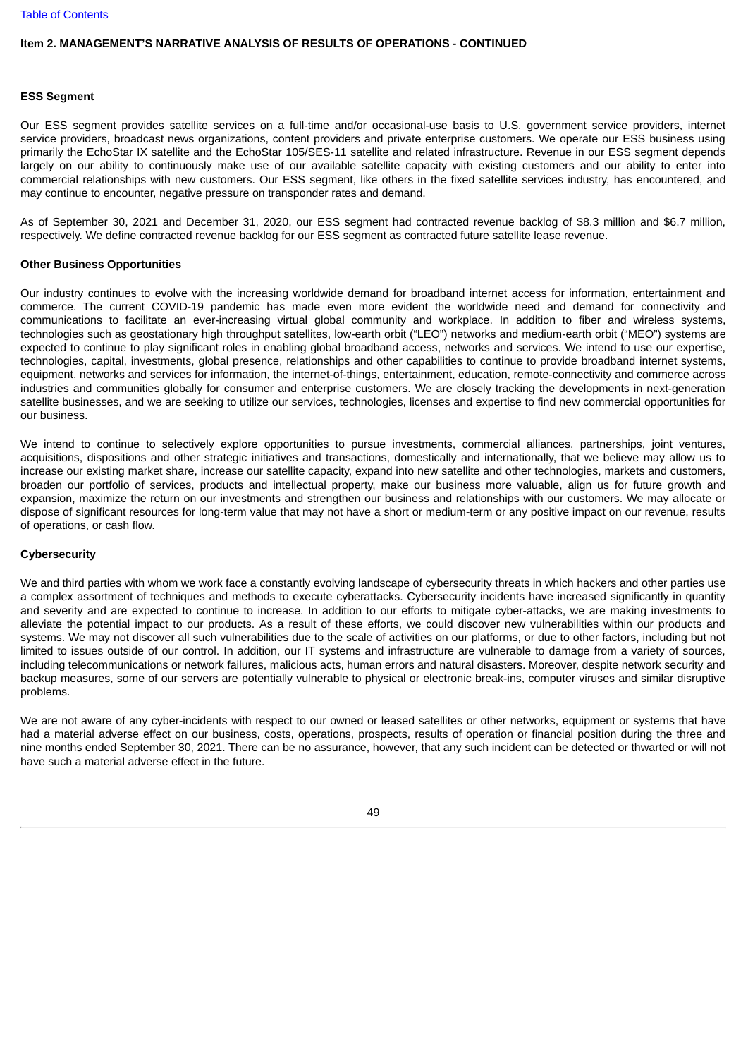#### **ESS Segment**

Our ESS segment provides satellite services on a full-time and/or occasional-use basis to U.S. government service providers, internet service providers, broadcast news organizations, content providers and private enterprise customers. We operate our ESS business using primarily the EchoStar IX satellite and the EchoStar 105/SES-11 satellite and related infrastructure. Revenue in our ESS seament depends largely on our ability to continuously make use of our available satellite capacity with existing customers and our ability to enter into commercial relationships with new customers. Our ESS segment, like others in the fixed satellite services industry, has encountered, and may continue to encounter, negative pressure on transponder rates and demand.

As of September 30, 2021 and December 31, 2020, our ESS segment had contracted revenue backlog of \$8.3 million and \$6.7 million, respectively. We define contracted revenue backlog for our ESS segment as contracted future satellite lease revenue.

## **Other Business Opportunities**

Our industry continues to evolve with the increasing worldwide demand for broadband internet access for information, entertainment and commerce. The current COVID-19 pandemic has made even more evident the worldwide need and demand for connectivity and communications to facilitate an ever-increasing virtual global community and workplace. In addition to fiber and wireless systems, technologies such as geostationary high throughput satellites, low-earth orbit ("LEO") networks and medium-earth orbit ("MEO") systems are expected to continue to play significant roles in enabling global broadband access, networks and services. We intend to use our expertise, technologies, capital, investments, global presence, relationships and other capabilities to continue to provide broadband internet systems, equipment, networks and services for information, the internet-of-things, entertainment, education, remote-connectivity and commerce across industries and communities globally for consumer and enterprise customers. We are closely tracking the developments in next-generation satellite businesses, and we are seeking to utilize our services, technologies, licenses and expertise to find new commercial opportunities for our business.

We intend to continue to selectively explore opportunities to pursue investments, commercial alliances, partnerships, joint ventures, acquisitions, dispositions and other strategic initiatives and transactions, domestically and internationally, that we believe may allow us to increase our existing market share, increase our satellite capacity, expand into new satellite and other technologies, markets and customers, broaden our portfolio of services, products and intellectual property, make our business more valuable, align us for future growth and expansion, maximize the return on our investments and strengthen our business and relationships with our customers. We may allocate or dispose of significant resources for long-term value that may not have a short or medium-term or any positive impact on our revenue, results of operations, or cash flow.

## **Cybersecurity**

We and third parties with whom we work face a constantly evolving landscape of cybersecurity threats in which hackers and other parties use a complex assortment of techniques and methods to execute cyberattacks. Cybersecurity incidents have increased significantly in quantity and severity and are expected to continue to increase. In addition to our efforts to mitigate cyber-attacks, we are making investments to alleviate the potential impact to our products. As a result of these efforts, we could discover new vulnerabilities within our products and systems. We may not discover all such vulnerabilities due to the scale of activities on our platforms, or due to other factors, including but not limited to issues outside of our control. In addition, our IT systems and infrastructure are vulnerable to damage from a variety of sources, including telecommunications or network failures, malicious acts, human errors and natural disasters. Moreover, despite network security and backup measures, some of our servers are potentially vulnerable to physical or electronic break-ins, computer viruses and similar disruptive problems.

We are not aware of any cyber-incidents with respect to our owned or leased satellites or other networks, equipment or systems that have had a material adverse effect on our business, costs, operations, prospects, results of operation or financial position during the three and nine months ended September 30, 2021. There can be no assurance, however, that any such incident can be detected or thwarted or will not have such a material adverse effect in the future.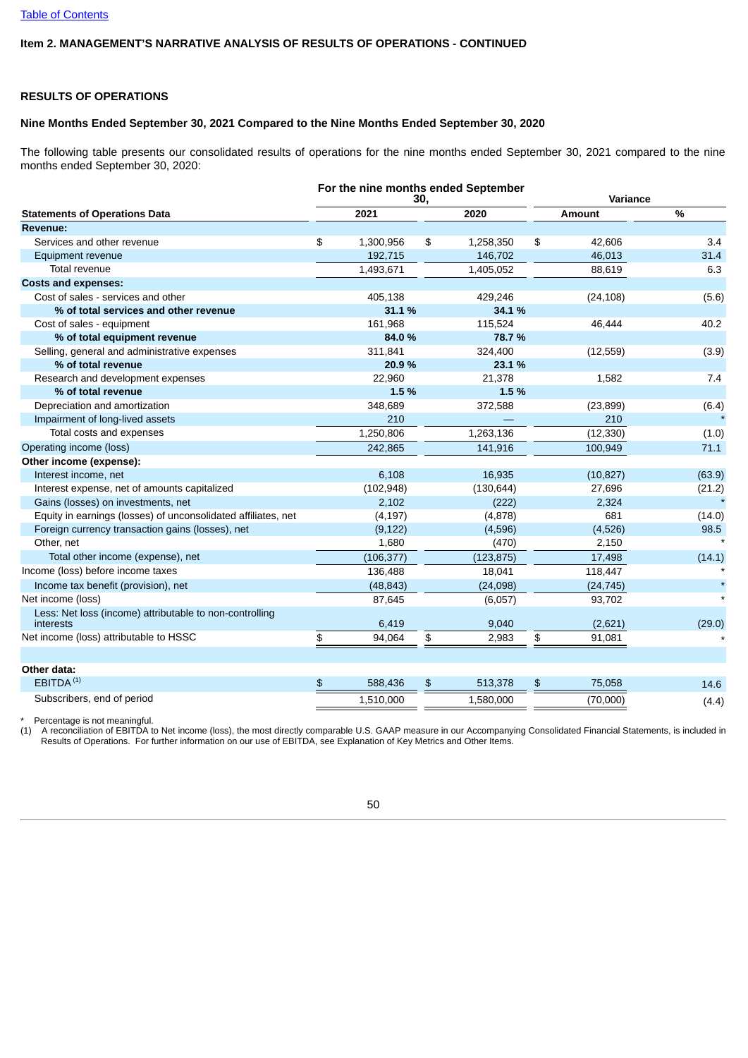## **RESULTS OF OPERATIONS**

## **Nine Months Ended September 30, 2021 Compared to the Nine Months Ended September 30, 2020**

The following table presents our consolidated results of operations for the nine months ended September 30, 2021 compared to the nine months ended September 30, 2020:

|                                                                             |                 | 30, | For the nine months ended September | Variance      |         |  |
|-----------------------------------------------------------------------------|-----------------|-----|-------------------------------------|---------------|---------|--|
| <b>Statements of Operations Data</b>                                        | 2021            |     | 2020                                | <b>Amount</b> | %       |  |
| Revenue:                                                                    |                 |     |                                     |               |         |  |
| Services and other revenue                                                  | \$<br>1,300,956 | \$  | 1,258,350                           | \$<br>42,606  | 3.4     |  |
| Equipment revenue                                                           | 192,715         |     | 146,702                             | 46,013        | 31.4    |  |
| <b>Total revenue</b>                                                        | 1,493,671       |     | 1,405,052                           | 88,619        | 6.3     |  |
| <b>Costs and expenses:</b>                                                  |                 |     |                                     |               |         |  |
| Cost of sales - services and other                                          | 405,138         |     | 429,246                             | (24, 108)     | (5.6)   |  |
| % of total services and other revenue                                       | 31.1%           |     | 34.1%                               |               |         |  |
| Cost of sales - equipment                                                   | 161,968         |     | 115,524                             | 46,444        | 40.2    |  |
| % of total equipment revenue                                                | 84.0%           |     | 78.7%                               |               |         |  |
| Selling, general and administrative expenses                                | 311,841         |     | 324,400                             | (12, 559)     | (3.9)   |  |
| % of total revenue                                                          | 20.9%           |     | 23.1 %                              |               |         |  |
| Research and development expenses                                           | 22,960          |     | 21,378                              | 1,582         | 7.4     |  |
| % of total revenue                                                          | 1.5%            |     | 1.5%                                |               |         |  |
| Depreciation and amortization                                               | 348,689         |     | 372,588                             | (23, 899)     | (6.4)   |  |
| Impairment of long-lived assets                                             | 210             |     |                                     | 210           |         |  |
| Total costs and expenses                                                    | 1,250,806       |     | 1,263,136                           | (12, 330)     | (1.0)   |  |
| Operating income (loss)                                                     | 242,865         |     | 141,916                             | 100,949       | 71.1    |  |
| Other income (expense):                                                     |                 |     |                                     |               |         |  |
| Interest income, net                                                        | 6,108           |     | 16,935                              | (10, 827)     | (63.9)  |  |
| Interest expense, net of amounts capitalized                                | (102, 948)      |     | (130, 644)                          | 27,696        | (21.2)  |  |
| Gains (losses) on investments, net                                          | 2,102           |     | (222)                               | 2,324         |         |  |
| Equity in earnings (losses) of unconsolidated affiliates, net               | (4, 197)        |     | (4,878)                             | 681           | (14.0)  |  |
| Foreign currency transaction gains (losses), net                            | (9, 122)        |     | (4,596)                             | (4,526)       | 98.5    |  |
| Other, net                                                                  | 1,680           |     | (470)                               | 2,150         | $\star$ |  |
| Total other income (expense), net                                           | (106, 377)      |     | (123, 875)                          | 17,498        | (14.1)  |  |
| Income (loss) before income taxes                                           | 136,488         |     | 18,041                              | 118,447       |         |  |
| Income tax benefit (provision), net                                         | (48, 843)       |     | (24,098)                            | (24, 745)     | $\star$ |  |
| Net income (loss)                                                           | 87,645          |     | (6,057)                             | 93,702        | $\star$ |  |
| Less: Net loss (income) attributable to non-controlling<br><b>interests</b> | 6,419           |     | 9,040                               | (2,621)       | (29.0)  |  |
| Net income (loss) attributable to HSSC                                      | \$<br>94,064    | \$  | 2,983                               | \$<br>91,081  |         |  |
| Other data:                                                                 |                 |     |                                     |               |         |  |
| EBITDA <sup>(1)</sup>                                                       | \$<br>588,436   | \$  | 513,378                             | \$<br>75,058  | 14.6    |  |
| Subscribers, end of period                                                  | 1,510,000       |     | 1,580,000                           | (70,000)      | (4.4)   |  |

Percentage is not meaningful.

(1) A reconciliation of EBITDA to Net income (loss), the most directly comparable U.S. GAAP measure in our Accompanying Consolidated Financial Statements, is included in Results of Operations. For further information on our use of EBITDA, see Explanation of Key Metrics and Other Items.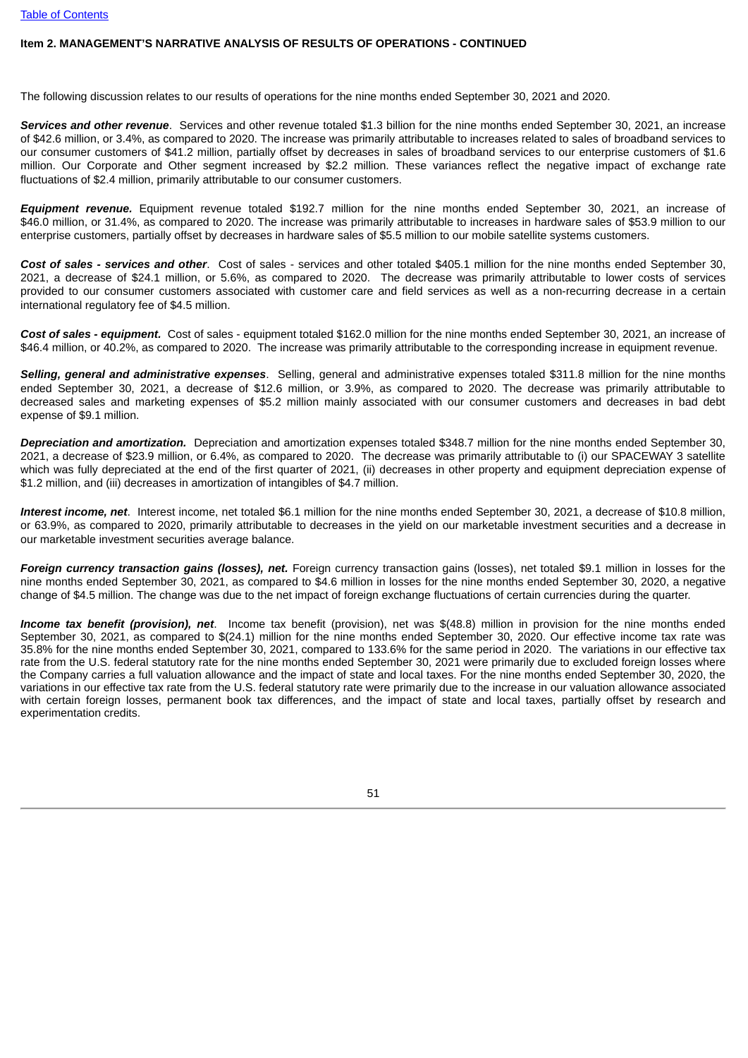The following discussion relates to our results of operations for the nine months ended September 30, 2021 and 2020.

*Services and other revenue*. Services and other revenue totaled \$1.3 billion for the nine months ended September 30, 2021, an increase of \$42.6 million, or 3.4%, as compared to 2020. The increase was primarily attributable to increases related to sales of broadband services to our consumer customers of \$41.2 million, partially offset by decreases in sales of broadband services to our enterprise customers of \$1.6 million. Our Corporate and Other segment increased by \$2.2 million. These variances reflect the negative impact of exchange rate fluctuations of \$2.4 million, primarily attributable to our consumer customers.

*Equipment revenue.* Equipment revenue totaled \$192.7 million for the nine months ended September 30, 2021, an increase of \$46.0 million, or 31.4%, as compared to 2020. The increase was primarily attributable to increases in hardware sales of \$53.9 million to our enterprise customers, partially offset by decreases in hardware sales of \$5.5 million to our mobile satellite systems customers.

*Cost of sales - services and other*. Cost of sales - services and other totaled \$405.1 million for the nine months ended September 30, 2021, a decrease of \$24.1 million, or 5.6%, as compared to 2020. The decrease was primarily attributable to lower costs of services provided to our consumer customers associated with customer care and field services as well as a non-recurring decrease in a certain international regulatory fee of \$4.5 million.

*Cost of sales - equipment.* Cost of sales - equipment totaled \$162.0 million for the nine months ended September 30, 2021, an increase of \$46.4 million, or 40.2%, as compared to 2020. The increase was primarily attributable to the corresponding increase in equipment revenue.

*Selling, general and administrative expenses*. Selling, general and administrative expenses totaled \$311.8 million for the nine months ended September 30, 2021, a decrease of \$12.6 million, or 3.9%, as compared to 2020. The decrease was primarily attributable to decreased sales and marketing expenses of \$5.2 million mainly associated with our consumer customers and decreases in bad debt expense of \$9.1 million.

*Depreciation and amortization.* Depreciation and amortization expenses totaled \$348.7 million for the nine months ended September 30, 2021, a decrease of \$23.9 million, or 6.4%, as compared to 2020. The decrease was primarily attributable to (i) our SPACEWAY 3 satellite which was fully depreciated at the end of the first quarter of 2021, (ii) decreases in other property and equipment depreciation expense of \$1.2 million, and (iii) decreases in amortization of intangibles of \$4.7 million.

*Interest income, net*. Interest income, net totaled \$6.1 million for the nine months ended September 30, 2021, a decrease of \$10.8 million, or 63.9%, as compared to 2020, primarily attributable to decreases in the yield on our marketable investment securities and a decrease in our marketable investment securities average balance.

*Foreign currency transaction gains (losses), net.* Foreign currency transaction gains (losses), net totaled \$9.1 million in losses for the nine months ended September 30, 2021, as compared to \$4.6 million in losses for the nine months ended September 30, 2020, a negative change of \$4.5 million. The change was due to the net impact of foreign exchange fluctuations of certain currencies during the quarter.

*Income tax benefit (provision), net*. Income tax benefit (provision), net was \$(48.8) million in provision for the nine months ended September 30, 2021, as compared to \$(24.1) million for the nine months ended September 30, 2020. Our effective income tax rate was 35.8% for the nine months ended September 30, 2021, compared to 133.6% for the same period in 2020. The variations in our effective tax rate from the U.S. federal statutory rate for the nine months ended September 30, 2021 were primarily due to excluded foreign losses where the Company carries a full valuation allowance and the impact of state and local taxes. For the nine months ended September 30, 2020, the variations in our effective tax rate from the U.S. federal statutory rate were primarily due to the increase in our valuation allowance associated with certain foreign losses, permanent book tax differences, and the impact of state and local taxes, partially offset by research and experimentation credits.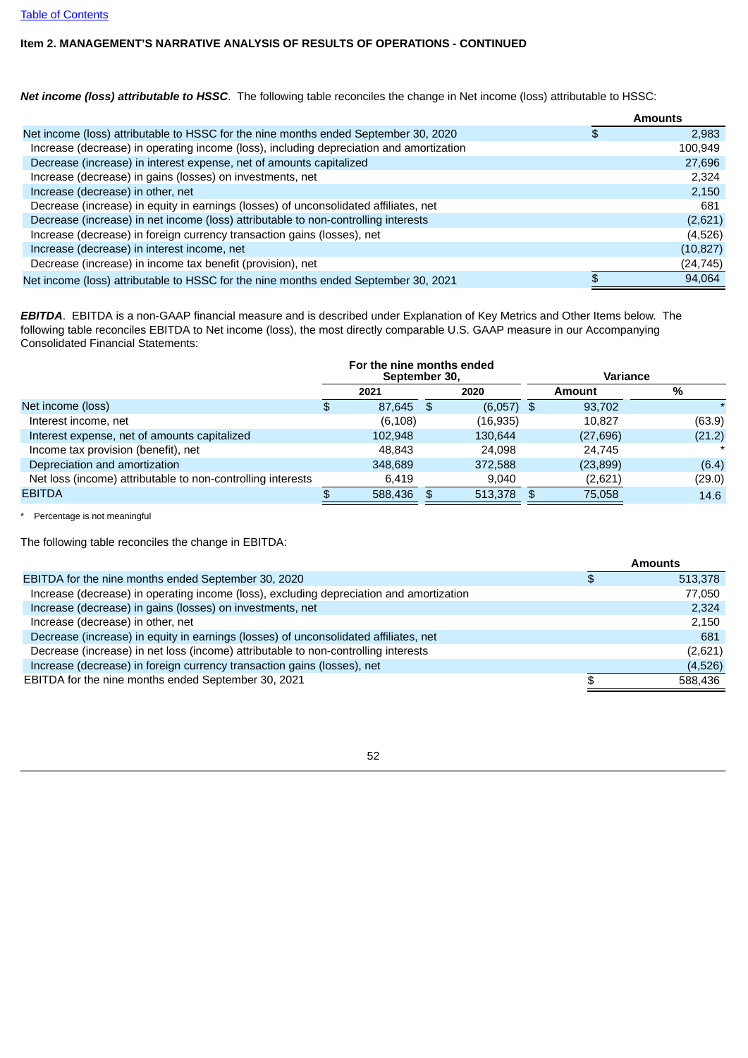*Net income (loss) attributable to HSSC*. The following table reconciles the change in Net income (loss) attributable to HSSC:

|                                                                                         |     | <b>Amounts</b> |
|-----------------------------------------------------------------------------------------|-----|----------------|
| Net income (loss) attributable to HSSC for the nine months ended September 30, 2020     | \$. | 2,983          |
| Increase (decrease) in operating income (loss), including depreciation and amortization |     | 100.949        |
| Decrease (increase) in interest expense, net of amounts capitalized                     |     | 27,696         |
| Increase (decrease) in gains (losses) on investments, net                               |     | 2,324          |
| Increase (decrease) in other, net                                                       |     | 2,150          |
| Decrease (increase) in equity in earnings (losses) of unconsolidated affiliates, net    |     | 681            |
| Decrease (increase) in net income (loss) attributable to non-controlling interests      |     | (2,621)        |
| Increase (decrease) in foreign currency transaction gains (losses), net                 |     | (4,526)        |
| Increase (decrease) in interest income, net                                             |     | (10, 827)      |
| Decrease (increase) in income tax benefit (provision), net                              |     | (24, 745)      |
| Net income (loss) attributable to HSSC for the nine months ended September 30, 2021     |     | 94,064         |

*EBITDA*. EBITDA is a non-GAAP financial measure and is described under Explanation of Key Metrics and Other Items below. The following table reconciles EBITDA to Net income (loss), the most directly comparable U.S. GAAP measure in our Accompanying Consolidated Financial Statements:

|                                                             | For the nine months ended<br>September 30, |     |              | <b>Variance</b> |           |         |  |  |
|-------------------------------------------------------------|--------------------------------------------|-----|--------------|-----------------|-----------|---------|--|--|
|                                                             | 2021                                       |     | 2020         |                 | Amount    | %       |  |  |
| Net income (loss)                                           | \$<br>87,645                               | -\$ | $(6,057)$ \$ |                 | 93,702    |         |  |  |
| Interest income, net                                        | (6, 108)                                   |     | (16, 935)    |                 | 10.827    | (63.9)  |  |  |
| Interest expense, net of amounts capitalized                | 102,948                                    |     | 130,644      |                 | (27, 696) | (21.2)  |  |  |
| Income tax provision (benefit), net                         | 48.843                                     |     | 24.098       |                 | 24.745    | $\star$ |  |  |
| Depreciation and amortization                               | 348,689                                    |     | 372,588      |                 | (23, 899) | (6.4)   |  |  |
| Net loss (income) attributable to non-controlling interests | 6,419                                      |     | 9.040        |                 | (2,621)   | (29.0)  |  |  |
| <b>EBITDA</b>                                               | 588,436                                    | \$. | 513,378      | - \$            | 75,058    | 14.6    |  |  |

\* Percentage is not meaningful

The following table reconciles the change in EBITDA:

|                                                                                         | <b>Amounts</b> |
|-----------------------------------------------------------------------------------------|----------------|
| EBITDA for the nine months ended September 30, 2020                                     | \$<br>513.378  |
| Increase (decrease) in operating income (loss), excluding depreciation and amortization | 77.050         |
| Increase (decrease) in gains (losses) on investments, net                               | 2,324          |
| Increase (decrease) in other, net                                                       | 2.150          |
| Decrease (increase) in equity in earnings (losses) of unconsolidated affiliates, net    | 681            |
| Decrease (increase) in net loss (income) attributable to non-controlling interests      | (2,621)        |
| Increase (decrease) in foreign currency transaction gains (losses), net                 | (4,526)        |
| EBITDA for the nine months ended September 30, 2021                                     | 588.436        |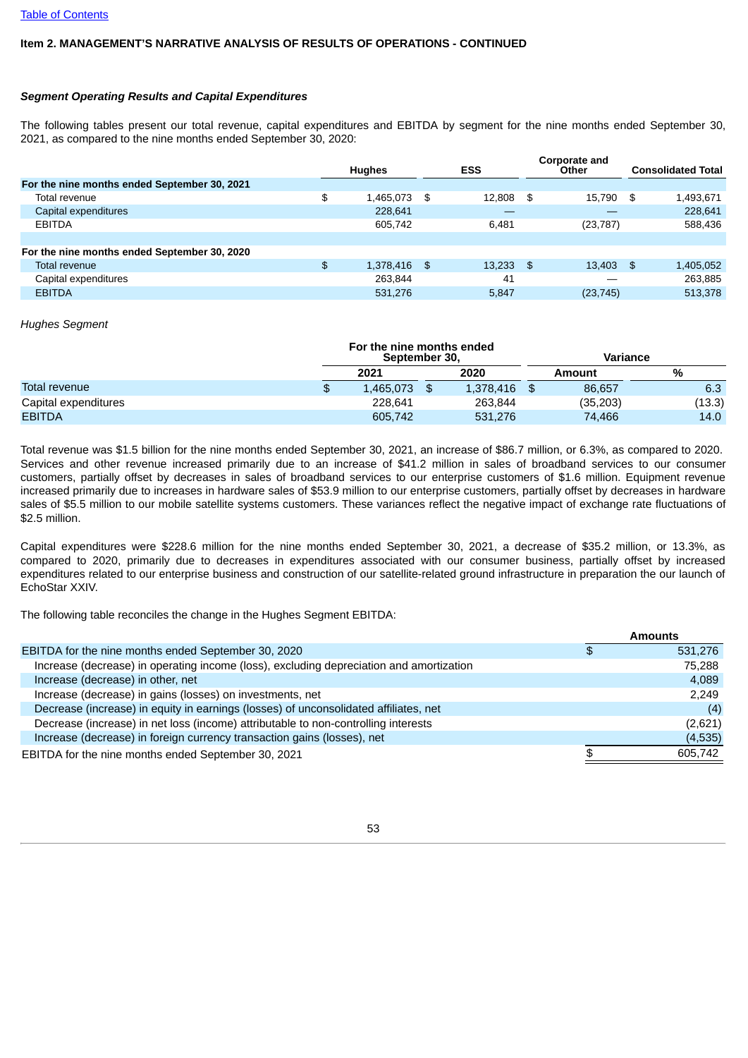## *Segment Operating Results and Capital Expenditures*

The following tables present our total revenue, capital expenditures and EBITDA by segment for the nine months ended September 30, 2021, as compared to the nine months ended September 30, 2020:

|                                              |               | <b>Hughes</b> |      | <b>ESS</b>  | Corporate and<br>Other | <b>Consolidated Total</b> |
|----------------------------------------------|---------------|---------------|------|-------------|------------------------|---------------------------|
| For the nine months ended September 30, 2021 |               |               |      |             |                        |                           |
| Total revenue                                | \$            | 1.465.073     | \$   | 12.808 \$   | 15,790 \$              | 1,493,671                 |
| Capital expenditures                         |               | 228.641       |      |             |                        | 228,641                   |
| <b>EBITDA</b>                                |               | 605.742       |      | 6.481       | (23, 787)              | 588,436                   |
|                                              |               |               |      |             |                        |                           |
| For the nine months ended September 30, 2020 |               |               |      |             |                        |                           |
| Total revenue                                | $\frac{1}{2}$ | 1,378,416     | - \$ | $13,233$ \$ | 13,403 \$              | 1,405,052                 |
| Capital expenditures                         |               | 263.844       |      | 41          |                        | 263,885                   |
| <b>EBITDA</b>                                |               | 531,276       |      | 5.847       | (23, 745)              | 513,378                   |

#### *Hughes Segment*

|                      | For the nine months ended<br>September 30, |           | <b>Variance</b> |        |
|----------------------|--------------------------------------------|-----------|-----------------|--------|
|                      | 2021                                       | 2020      | Amount          | %      |
| Total revenue        | \$<br>1,465,073                            | 1,378,416 | 86,657          | 6.3    |
| Capital expenditures | 228.641                                    | 263.844   | (35, 203)       | (13.3) |
| <b>EBITDA</b>        | 605.742                                    | 531,276   | 74.466          | 14.0   |

Total revenue was \$1.5 billion for the nine months ended September 30, 2021, an increase of \$86.7 million, or 6.3%, as compared to 2020. Services and other revenue increased primarily due to an increase of \$41.2 million in sales of broadband services to our consumer customers, partially offset by decreases in sales of broadband services to our enterprise customers of \$1.6 million. Equipment revenue increased primarily due to increases in hardware sales of \$53.9 million to our enterprise customers, partially offset by decreases in hardware sales of \$5.5 million to our mobile satellite systems customers. These variances reflect the negative impact of exchange rate fluctuations of \$2.5 million.

Capital expenditures were \$228.6 million for the nine months ended September 30, 2021, a decrease of \$35.2 million, or 13.3%, as compared to 2020, primarily due to decreases in expenditures associated with our consumer business, partially offset by increased expenditures related to our enterprise business and construction of our satellite-related ground infrastructure in preparation the our launch of EchoStar XXIV.

The following table reconciles the change in the Hughes Segment EBITDA:

|                                                                                         | <b>Amounts</b> |
|-----------------------------------------------------------------------------------------|----------------|
| EBITDA for the nine months ended September 30, 2020                                     | 531,276<br>\$. |
| Increase (decrease) in operating income (loss), excluding depreciation and amortization | 75.288         |
| Increase (decrease) in other, net                                                       | 4,089          |
| Increase (decrease) in gains (losses) on investments, net                               | 2.249          |
| Decrease (increase) in equity in earnings (losses) of unconsolidated affiliates, net    | (4)            |
| Decrease (increase) in net loss (income) attributable to non-controlling interests      | (2,621)        |
| Increase (decrease) in foreign currency transaction gains (losses), net                 | (4,535)        |
| EBITDA for the nine months ended September 30, 2021                                     | 605,742        |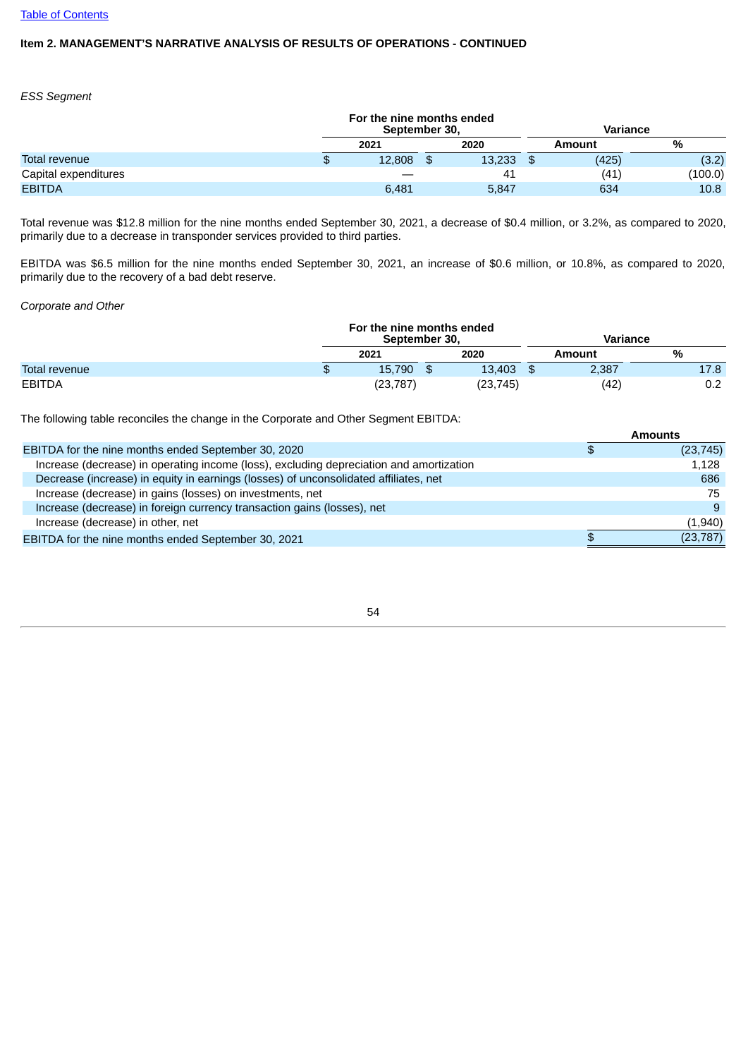*ESS Segment*

|                      | For the nine months ended<br>September 30, |              | <b>Variance</b> |         |  |  |
|----------------------|--------------------------------------------|--------------|-----------------|---------|--|--|
|                      | 2021                                       | 2020         | Amount          | %       |  |  |
| Total revenue        | \$<br>12,808                               | \$<br>13,233 | (425)           | (3.2)   |  |  |
| Capital expenditures |                                            | 41           | (41             | (100.0) |  |  |
| <b>EBITDA</b>        | 6.481                                      | 5,847        | 634             | 10.8    |  |  |

Total revenue was \$12.8 million for the nine months ended September 30, 2021, a decrease of \$0.4 million, or 3.2%, as compared to 2020, primarily due to a decrease in transponder services provided to third parties.

EBITDA was \$6.5 million for the nine months ended September 30, 2021, an increase of \$0.6 million, or 10.8%, as compared to 2020, primarily due to the recovery of a bad debt reserve.

*Corporate and Other*

|               |    | For the nine months ended<br>September 30, |          | <b>Variance</b> |        |   |      |
|---------------|----|--------------------------------------------|----------|-----------------|--------|---|------|
|               |    | 2021                                       | 2020     |                 | Amount | % |      |
| Total revenue | ۰D | 15.790                                     | 13,403   |                 | 2,387  |   | 17.8 |
| <b>EBITDA</b> |    | (23,787)                                   | (23,745) |                 | (42)   |   | 0.2  |

The following table reconciles the change in the Corporate and Other Segment EBITDA:

|                                                                                         | Amounts   |
|-----------------------------------------------------------------------------------------|-----------|
| EBITDA for the nine months ended September 30, 2020                                     | (23, 745) |
| Increase (decrease) in operating income (loss), excluding depreciation and amortization | 1,128     |
| Decrease (increase) in equity in earnings (losses) of unconsolidated affiliates, net    | 686       |
| Increase (decrease) in gains (losses) on investments, net                               | 75        |
| Increase (decrease) in foreign currency transaction gains (losses), net                 | -9        |
| Increase (decrease) in other, net                                                       | (1,940)   |
| EBITDA for the nine months ended September 30, 2021                                     | (23, 787) |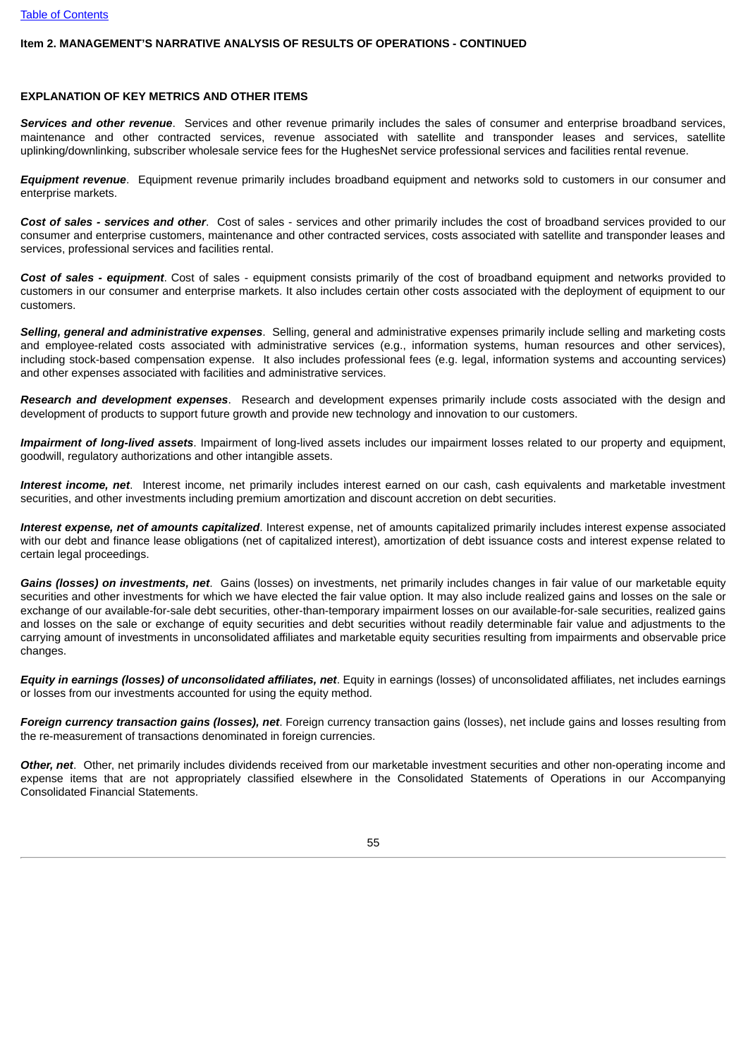## **EXPLANATION OF KEY METRICS AND OTHER ITEMS**

*Services and other revenue*. Services and other revenue primarily includes the sales of consumer and enterprise broadband services, maintenance and other contracted services, revenue associated with satellite and transponder leases and services, satellite uplinking/downlinking, subscriber wholesale service fees for the HughesNet service professional services and facilities rental revenue.

*Equipment revenue*. Equipment revenue primarily includes broadband equipment and networks sold to customers in our consumer and enterprise markets.

*Cost of sales - services and other*. Cost of sales - services and other primarily includes the cost of broadband services provided to our consumer and enterprise customers, maintenance and other contracted services, costs associated with satellite and transponder leases and services, professional services and facilities rental.

*Cost of sales - equipment*. Cost of sales - equipment consists primarily of the cost of broadband equipment and networks provided to customers in our consumer and enterprise markets. It also includes certain other costs associated with the deployment of equipment to our customers.

*Selling, general and administrative expenses*. Selling, general and administrative expenses primarily include selling and marketing costs and employee-related costs associated with administrative services (e.g., information systems, human resources and other services), including stock-based compensation expense. It also includes professional fees (e.g. legal, information systems and accounting services) and other expenses associated with facilities and administrative services.

*Research and development expenses*. Research and development expenses primarily include costs associated with the design and development of products to support future growth and provide new technology and innovation to our customers.

*Impairment of long-lived assets*. Impairment of long-lived assets includes our impairment losses related to our property and equipment, goodwill, regulatory authorizations and other intangible assets.

*Interest income, net*. Interest income, net primarily includes interest earned on our cash, cash equivalents and marketable investment securities, and other investments including premium amortization and discount accretion on debt securities.

*Interest expense, net of amounts capitalized*. Interest expense, net of amounts capitalized primarily includes interest expense associated with our debt and finance lease obligations (net of capitalized interest), amortization of debt issuance costs and interest expense related to certain legal proceedings.

*Gains (losses) on investments, net*. Gains (losses) on investments, net primarily includes changes in fair value of our marketable equity securities and other investments for which we have elected the fair value option. It may also include realized gains and losses on the sale or exchange of our available-for-sale debt securities, other-than-temporary impairment losses on our available-for-sale securities, realized gains and losses on the sale or exchange of equity securities and debt securities without readily determinable fair value and adjustments to the carrying amount of investments in unconsolidated affiliates and marketable equity securities resulting from impairments and observable price changes.

*Equity in earnings (losses) of unconsolidated affiliates, net*. Equity in earnings (losses) of unconsolidated affiliates, net includes earnings or losses from our investments accounted for using the equity method.

*Foreign currency transaction gains (losses), net*. Foreign currency transaction gains (losses), net include gains and losses resulting from the re-measurement of transactions denominated in foreign currencies.

*Other, net*. Other, net primarily includes dividends received from our marketable investment securities and other non-operating income and expense items that are not appropriately classified elsewhere in the Consolidated Statements of Operations in our Accompanying Consolidated Financial Statements.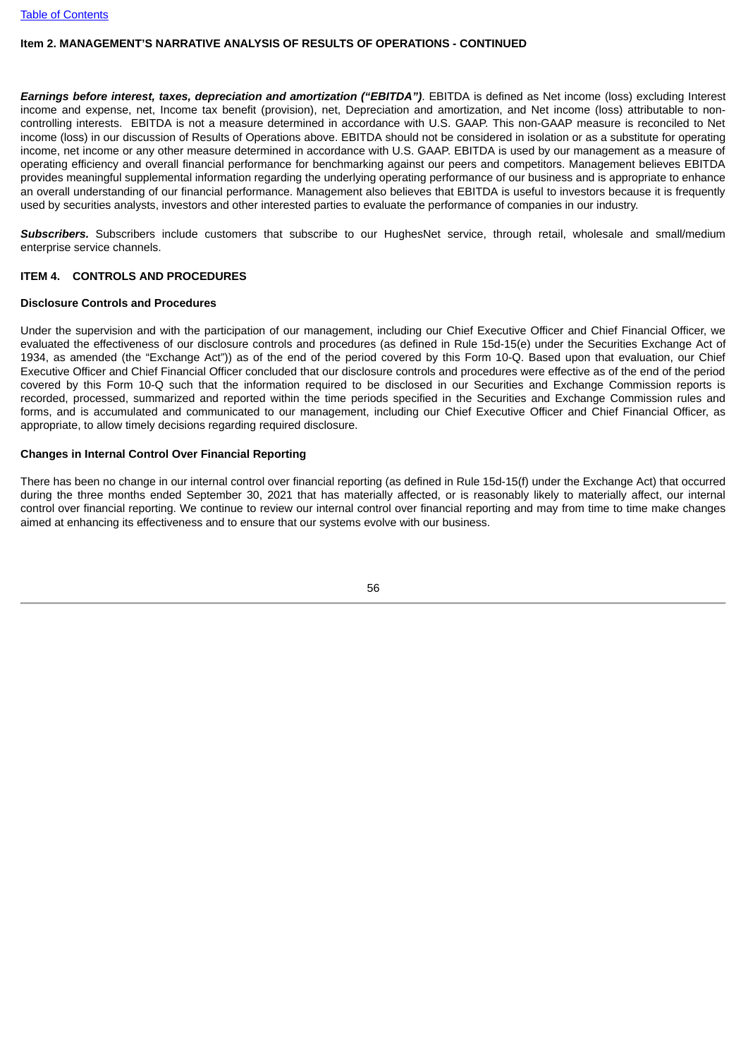*Earnings before interest, taxes, depreciation and amortization ("EBITDA")*. EBITDA is defined as Net income (loss) excluding Interest income and expense, net, Income tax benefit (provision), net, Depreciation and amortization, and Net income (loss) attributable to noncontrolling interests. EBITDA is not a measure determined in accordance with U.S. GAAP. This non-GAAP measure is reconciled to Net income (loss) in our discussion of Results of Operations above. EBITDA should not be considered in isolation or as a substitute for operating income, net income or any other measure determined in accordance with U.S. GAAP. EBITDA is used by our management as a measure of operating efficiency and overall financial performance for benchmarking against our peers and competitors. Management believes EBITDA provides meaningful supplemental information regarding the underlying operating performance of our business and is appropriate to enhance an overall understanding of our financial performance. Management also believes that EBITDA is useful to investors because it is frequently used by securities analysts, investors and other interested parties to evaluate the performance of companies in our industry.

*Subscribers.* Subscribers include customers that subscribe to our HughesNet service, through retail, wholesale and small/medium enterprise service channels.

## **ITEM 4. CONTROLS AND PROCEDURES**

#### **Disclosure Controls and Procedures**

Under the supervision and with the participation of our management, including our Chief Executive Officer and Chief Financial Officer, we evaluated the effectiveness of our disclosure controls and procedures (as defined in Rule 15d-15(e) under the Securities Exchange Act of 1934, as amended (the "Exchange Act")) as of the end of the period covered by this Form 10-Q. Based upon that evaluation, our Chief Executive Officer and Chief Financial Officer concluded that our disclosure controls and procedures were effective as of the end of the period covered by this Form 10-Q such that the information required to be disclosed in our Securities and Exchange Commission reports is recorded, processed, summarized and reported within the time periods specified in the Securities and Exchange Commission rules and forms, and is accumulated and communicated to our management, including our Chief Executive Officer and Chief Financial Officer, as appropriate, to allow timely decisions regarding required disclosure.

## **Changes in Internal Control Over Financial Reporting**

There has been no change in our internal control over financial reporting (as defined in Rule 15d-15(f) under the Exchange Act) that occurred during the three months ended September 30, 2021 that has materially affected, or is reasonably likely to materially affect, our internal control over financial reporting. We continue to review our internal control over financial reporting and may from time to time make changes aimed at enhancing its effectiveness and to ensure that our systems evolve with our business.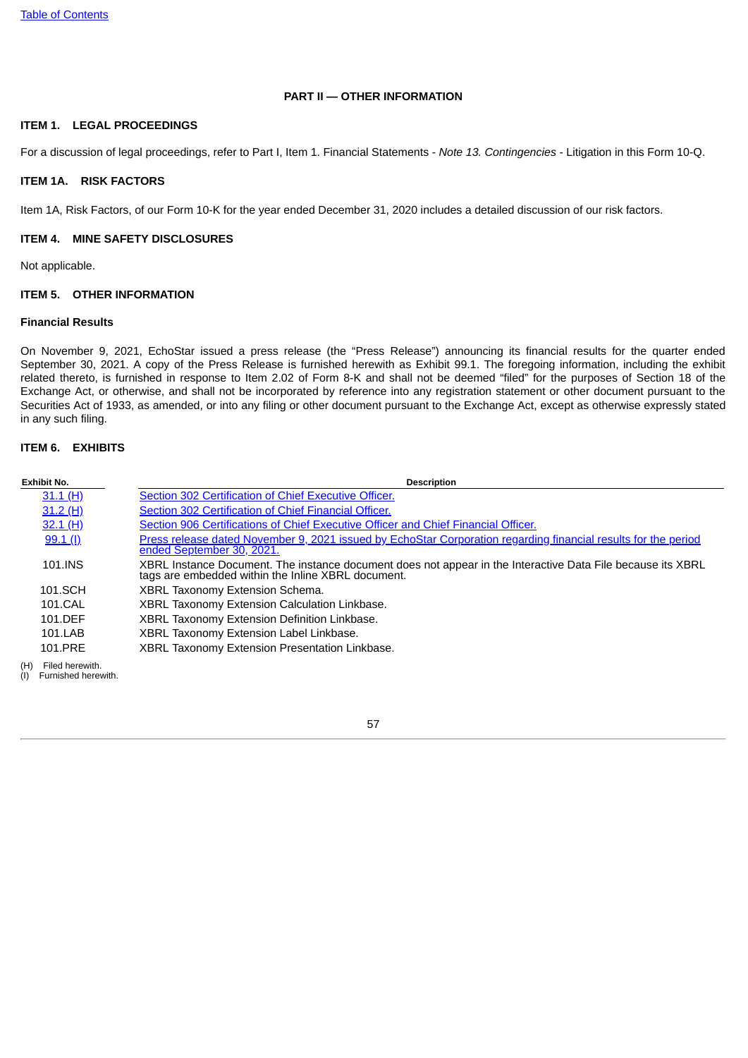## **PART II — OTHER INFORMATION**

## **ITEM 1. LEGAL PROCEEDINGS**

For a discussion of legal proceedings, refer to Part I, Item 1. Financial Statements - *Note 13. Contingencies* - Litigation in this Form 10-Q.

## **ITEM 1A. RISK FACTORS**

Item 1A, Risk Factors, of our Form 10-K for the year ended December 31, 2020 includes a detailed discussion of our risk factors.

## **ITEM 4. MINE SAFETY DISCLOSURES**

Not applicable.

## **ITEM 5. OTHER INFORMATION**

## **Financial Results**

On November 9, 2021, EchoStar issued a press release (the "Press Release") announcing its financial results for the quarter ended September 30, 2021. A copy of the Press Release is furnished herewith as Exhibit 99.1. The foregoing information, including the exhibit related thereto, is furnished in response to Item 2.02 of Form 8-K and shall not be deemed "filed" for the purposes of Section 18 of the Exchange Act, or otherwise, and shall not be incorporated by reference into any registration statement or other document pursuant to the Securities Act of 1933, as amended, or into any filing or other document pursuant to the Exchange Act, except as otherwise expressly stated in any such filing.

## **ITEM 6. EXHIBITS**

| <b>Exhibit No.</b> | <b>Description</b>                                                                                                                                                |
|--------------------|-------------------------------------------------------------------------------------------------------------------------------------------------------------------|
| 31.1(H)            | Section 302 Certification of Chief Executive Officer.                                                                                                             |
| 31.2(H)            | Section 302 Certification of Chief Financial Officer.                                                                                                             |
| 32.1(H)            | Section 906 Certifications of Chief Executive Officer and Chief Financial Officer.                                                                                |
| $99.1$ (1)         | Press release dated November 9, 2021 issued by EchoStar Corporation regarding financial results for the period<br>ended September 30, 2021.                       |
| 101.INS            | XBRL Instance Document. The instance document does not appear in the Interactive Data File because its XBRL<br>tags are embedded within the Inline XBRL document. |
| 101.SCH            | XBRL Taxonomy Extension Schema.                                                                                                                                   |
| 101.CAL            | XBRL Taxonomy Extension Calculation Linkbase.                                                                                                                     |
| 101.DEF            | XBRL Taxonomy Extension Definition Linkbase.                                                                                                                      |
| 101.I AB           | XBRL Taxonomy Extension Label Linkbase.                                                                                                                           |
| 101.PRE            | XBRL Taxonomy Extension Presentation Linkbase.                                                                                                                    |

(H) Filed herewith. (I) Furnished herewith.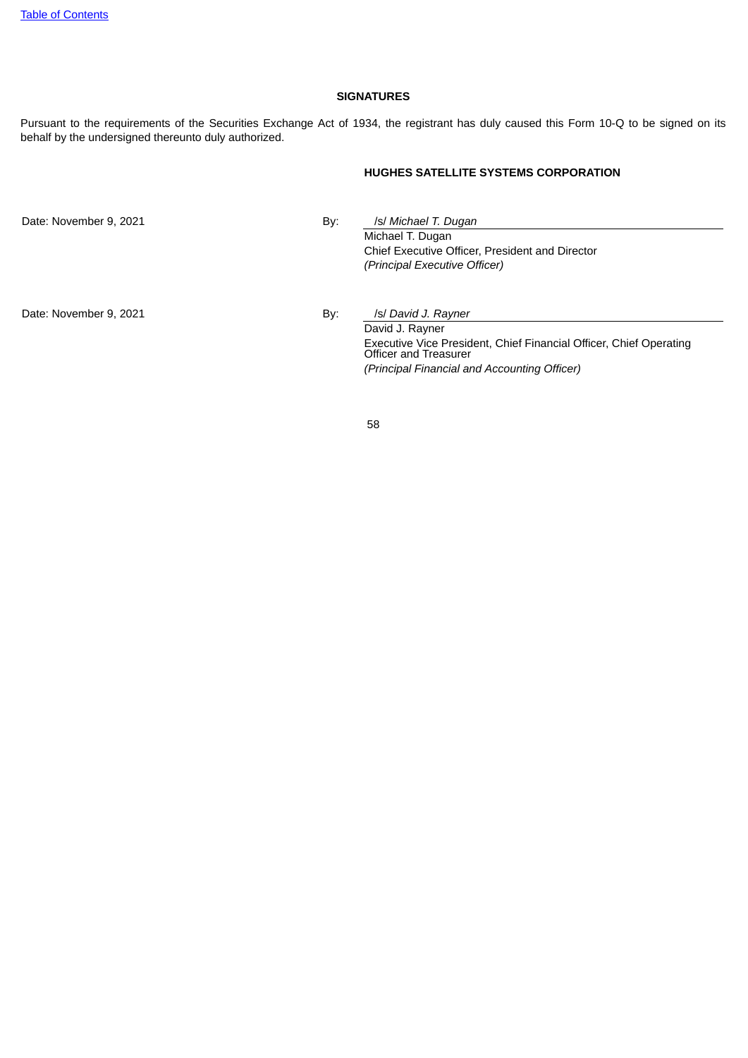## **SIGNATURES**

Pursuant to the requirements of the Securities Exchange Act of 1934, the registrant has duly caused this Form 10-Q to be signed on its behalf by the undersigned thereunto duly authorized.

## **HUGHES SATELLITE SYSTEMS CORPORATION**

Date: November 9, 2021 **By:** By: *Isl Michael T. Dugan* 

Michael T. Dugan Chief Executive Officer, President and Director *(Principal Executive Officer)*

Date: November 9, 2021 **By:** By: *Isl David J. Rayner* 

David J. Rayner Executive Vice President, Chief Financial Officer, Chief Operating Officer and Treasurer *(Principal Financial and Accounting Officer)*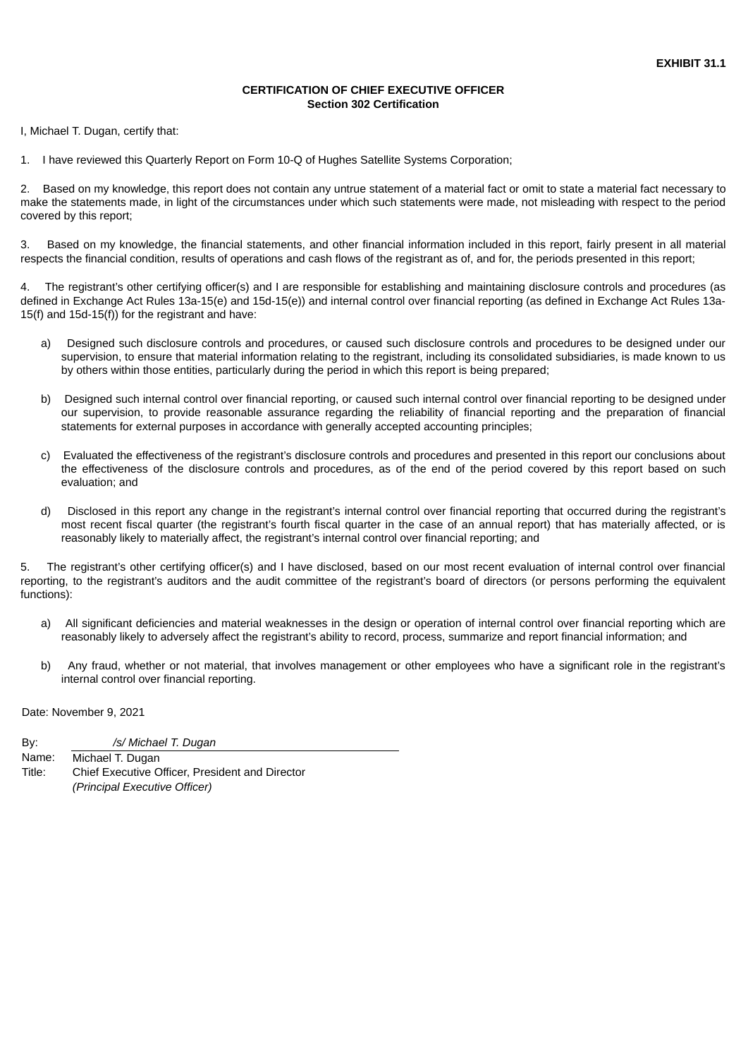## **CERTIFICATION OF CHIEF EXECUTIVE OFFICER Section 302 Certification**

<span id="page-61-0"></span>I, Michael T. Dugan, certify that:

1. I have reviewed this Quarterly Report on Form 10-Q of Hughes Satellite Systems Corporation;

2. Based on my knowledge, this report does not contain any untrue statement of a material fact or omit to state a material fact necessary to make the statements made, in light of the circumstances under which such statements were made, not misleading with respect to the period covered by this report;

3. Based on my knowledge, the financial statements, and other financial information included in this report, fairly present in all material respects the financial condition, results of operations and cash flows of the registrant as of, and for, the periods presented in this report;

4. The registrant's other certifying officer(s) and I are responsible for establishing and maintaining disclosure controls and procedures (as defined in Exchange Act Rules 13a-15(e) and 15d-15(e)) and internal control over financial reporting (as defined in Exchange Act Rules 13a-15(f) and 15d-15(f)) for the registrant and have:

- a) Designed such disclosure controls and procedures, or caused such disclosure controls and procedures to be designed under our supervision, to ensure that material information relating to the registrant, including its consolidated subsidiaries, is made known to us by others within those entities, particularly during the period in which this report is being prepared;
- b) Designed such internal control over financial reporting, or caused such internal control over financial reporting to be designed under our supervision, to provide reasonable assurance regarding the reliability of financial reporting and the preparation of financial statements for external purposes in accordance with generally accepted accounting principles;
- c) Evaluated the effectiveness of the registrant's disclosure controls and procedures and presented in this report our conclusions about the effectiveness of the disclosure controls and procedures, as of the end of the period covered by this report based on such evaluation; and
- d) Disclosed in this report any change in the registrant's internal control over financial reporting that occurred during the registrant's most recent fiscal quarter (the registrant's fourth fiscal quarter in the case of an annual report) that has materially affected, or is reasonably likely to materially affect, the registrant's internal control over financial reporting; and

5. The registrant's other certifying officer(s) and I have disclosed, based on our most recent evaluation of internal control over financial reporting, to the registrant's auditors and the audit committee of the registrant's board of directors (or persons performing the equivalent functions):

- a) All significant deficiencies and material weaknesses in the design or operation of internal control over financial reporting which are reasonably likely to adversely affect the registrant's ability to record, process, summarize and report financial information; and
- b) Any fraud, whether or not material, that involves management or other employees who have a significant role in the registrant's internal control over financial reporting.

Date: November 9, 2021

By: */s/ Michael T. Dugan*

Name: Michael T. Dugan Title: Chief Executive Officer, President and Director *(Principal Executive Officer)*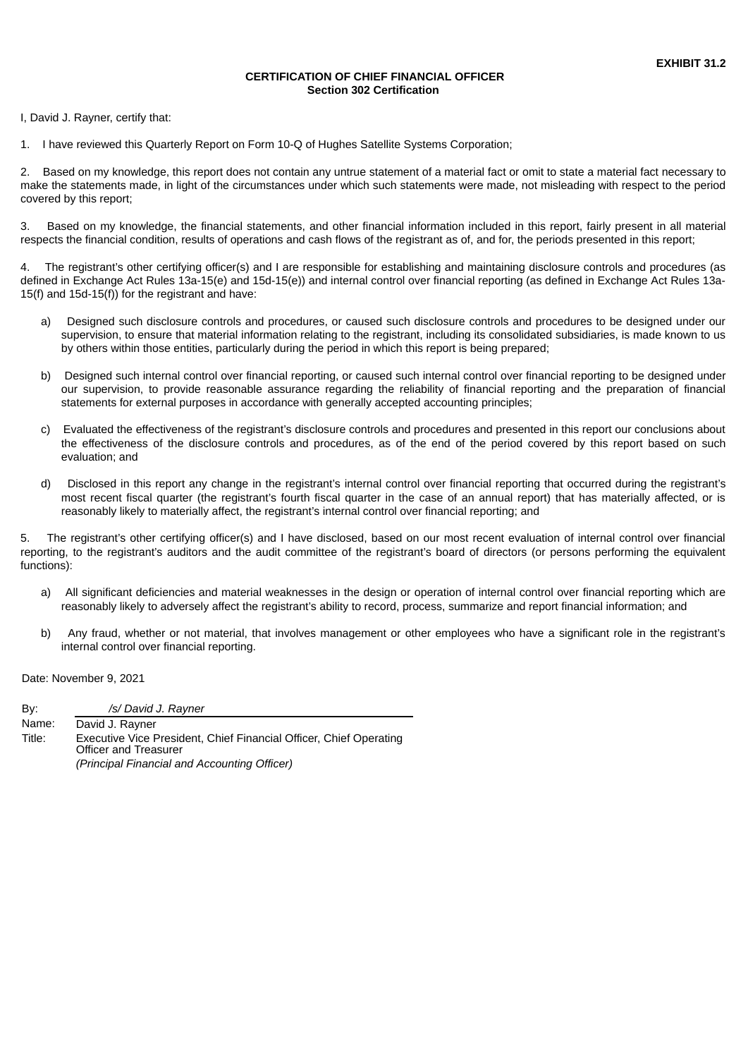## **CERTIFICATION OF CHIEF FINANCIAL OFFICER Section 302 Certification**

<span id="page-62-0"></span>I, David J. Rayner, certify that:

1. I have reviewed this Quarterly Report on Form 10-Q of Hughes Satellite Systems Corporation;

2. Based on my knowledge, this report does not contain any untrue statement of a material fact or omit to state a material fact necessary to make the statements made, in light of the circumstances under which such statements were made, not misleading with respect to the period covered by this report;

3. Based on my knowledge, the financial statements, and other financial information included in this report, fairly present in all material respects the financial condition, results of operations and cash flows of the registrant as of, and for, the periods presented in this report;

4. The registrant's other certifying officer(s) and I are responsible for establishing and maintaining disclosure controls and procedures (as defined in Exchange Act Rules 13a-15(e) and 15d-15(e)) and internal control over financial reporting (as defined in Exchange Act Rules 13a-15(f) and 15d-15(f)) for the registrant and have:

- a) Designed such disclosure controls and procedures, or caused such disclosure controls and procedures to be designed under our supervision, to ensure that material information relating to the registrant, including its consolidated subsidiaries, is made known to us by others within those entities, particularly during the period in which this report is being prepared;
- b) Designed such internal control over financial reporting, or caused such internal control over financial reporting to be designed under our supervision, to provide reasonable assurance regarding the reliability of financial reporting and the preparation of financial statements for external purposes in accordance with generally accepted accounting principles;
- c) Evaluated the effectiveness of the registrant's disclosure controls and procedures and presented in this report our conclusions about the effectiveness of the disclosure controls and procedures, as of the end of the period covered by this report based on such evaluation; and
- d) Disclosed in this report any change in the registrant's internal control over financial reporting that occurred during the registrant's most recent fiscal quarter (the registrant's fourth fiscal quarter in the case of an annual report) that has materially affected, or is reasonably likely to materially affect, the registrant's internal control over financial reporting; and

5. The registrant's other certifying officer(s) and I have disclosed, based on our most recent evaluation of internal control over financial reporting, to the registrant's auditors and the audit committee of the registrant's board of directors (or persons performing the equivalent functions):

- a) All significant deficiencies and material weaknesses in the design or operation of internal control over financial reporting which are reasonably likely to adversely affect the registrant's ability to record, process, summarize and report financial information; and
- b) Any fraud, whether or not material, that involves management or other employees who have a significant role in the registrant's internal control over financial reporting.

Date: November 9, 2021

| Bv:    | /s/ David J. Rayner                                                                                                                         |
|--------|---------------------------------------------------------------------------------------------------------------------------------------------|
| Name:  | David J. Rayner                                                                                                                             |
| Title: | Executive Vice President, Chief Financial Officer, Chief Operating<br>Officer and Treasurer<br>(Principal Financial and Accounting Officer) |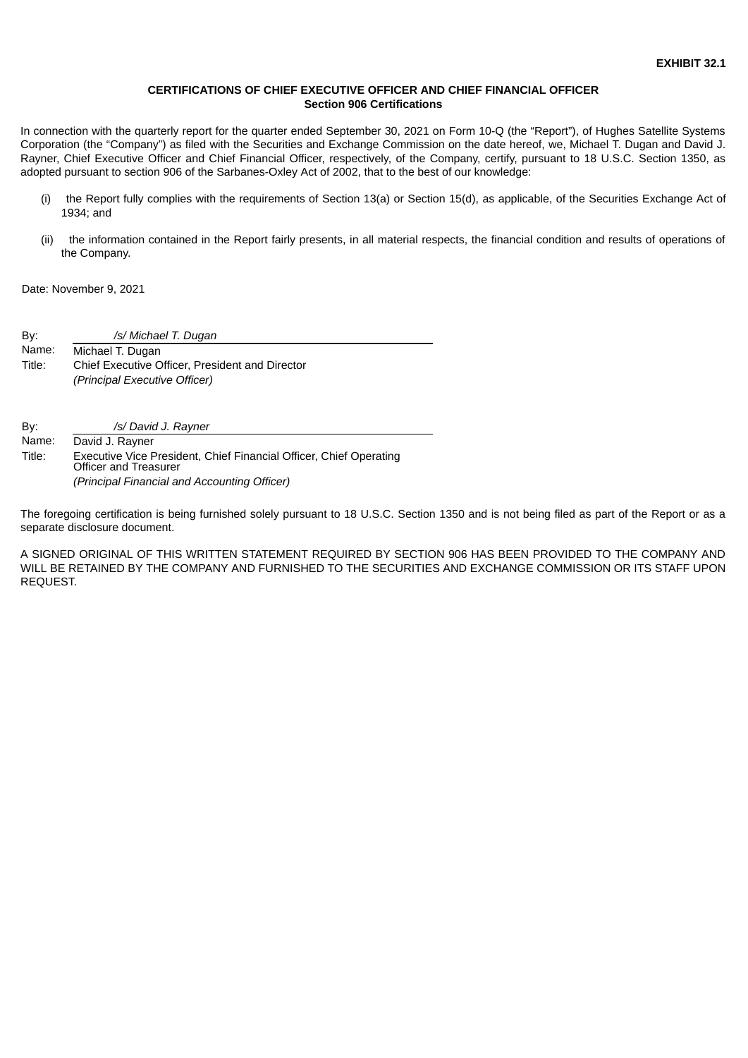## **CERTIFICATIONS OF CHIEF EXECUTIVE OFFICER AND CHIEF FINANCIAL OFFICER Section 906 Certifications**

<span id="page-63-0"></span>In connection with the quarterly report for the quarter ended September 30, 2021 on Form 10-Q (the "Report"), of Hughes Satellite Systems Corporation (the "Company") as filed with the Securities and Exchange Commission on the date hereof, we, Michael T. Dugan and David J. Rayner, Chief Executive Officer and Chief Financial Officer, respectively, of the Company, certify, pursuant to 18 U.S.C. Section 1350, as adopted pursuant to section 906 of the Sarbanes-Oxley Act of 2002, that to the best of our knowledge:

- (i) the Report fully complies with the requirements of Section 13(a) or Section 15(d), as applicable, of the Securities Exchange Act of 1934; and
- (ii) the information contained in the Report fairly presents, in all material respects, the financial condition and results of operations of the Company.

Date: November 9, 2021

| By:    | /s/ Michael T. Dugan                            |
|--------|-------------------------------------------------|
| Name:  | Michael T. Dugan                                |
| Title: | Chief Executive Officer, President and Director |
|        | <i>(Principal Executive Officer)</i>            |
|        |                                                 |
|        |                                                 |

By: */s/ David J. Rayner*

Name: David J. Rayner Title: Executive Vice President, Chief Financial Officer, Chief Operating Officer and Treasurer *(Principal Financial and Accounting Officer)*

The foregoing certification is being furnished solely pursuant to 18 U.S.C. Section 1350 and is not being filed as part of the Report or as a separate disclosure document.

A SIGNED ORIGINAL OF THIS WRITTEN STATEMENT REQUIRED BY SECTION 906 HAS BEEN PROVIDED TO THE COMPANY AND WILL BE RETAINED BY THE COMPANY AND FURNISHED TO THE SECURITIES AND EXCHANGE COMMISSION OR ITS STAFF UPON REQUEST.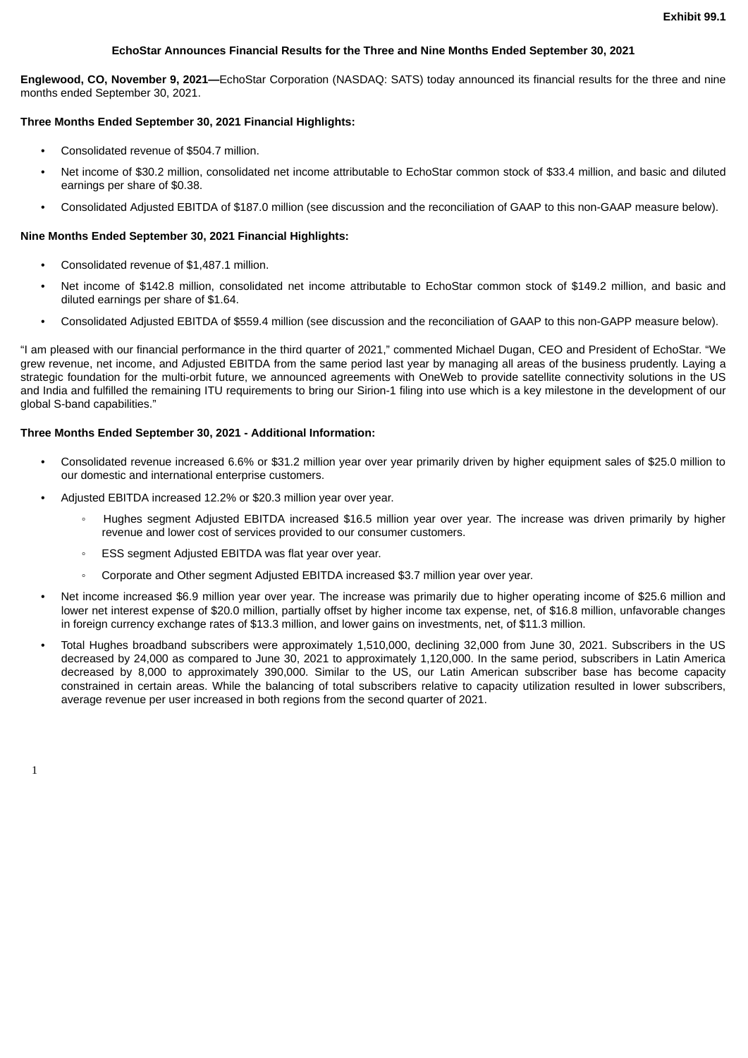## **EchoStar Announces Financial Results for the Three and Nine Months Ended September 30, 2021**

<span id="page-64-0"></span>**Englewood, CO, November 9, 2021—**EchoStar Corporation (NASDAQ: SATS) today announced its financial results for the three and nine months ended September 30, 2021.

## **Three Months Ended September 30, 2021 Financial Highlights:**

- Consolidated revenue of \$504.7 million.
- Net income of \$30.2 million, consolidated net income attributable to EchoStar common stock of \$33.4 million, and basic and diluted earnings per share of \$0.38.
- Consolidated Adjusted EBITDA of \$187.0 million (see discussion and the reconciliation of GAAP to this non-GAAP measure below).

## **Nine Months Ended September 30, 2021 Financial Highlights:**

- Consolidated revenue of \$1,487.1 million.
- Net income of \$142.8 million, consolidated net income attributable to EchoStar common stock of \$149.2 million, and basic and diluted earnings per share of \$1.64.
- Consolidated Adjusted EBITDA of \$559.4 million (see discussion and the reconciliation of GAAP to this non-GAPP measure below).

"I am pleased with our financial performance in the third quarter of 2021," commented Michael Dugan, CEO and President of EchoStar. "We grew revenue, net income, and Adjusted EBITDA from the same period last year by managing all areas of the business prudently. Laying a strategic foundation for the multi-orbit future, we announced agreements with OneWeb to provide satellite connectivity solutions in the US and India and fulfilled the remaining ITU requirements to bring our Sirion-1 filing into use which is a key milestone in the development of our global S-band capabilities."

#### **Three Months Ended September 30, 2021 - Additional Information:**

- Consolidated revenue increased 6.6% or \$31.2 million year over year primarily driven by higher equipment sales of \$25.0 million to our domestic and international enterprise customers.
- Adjusted EBITDA increased 12.2% or \$20.3 million year over year.
	- Hughes segment Adjusted EBITDA increased \$16.5 million year over year. The increase was driven primarily by higher revenue and lower cost of services provided to our consumer customers.
	- ESS segment Adjusted EBITDA was flat year over year.
	- Corporate and Other segment Adjusted EBITDA increased \$3.7 million year over year.
- Net income increased \$6.9 million year over year. The increase was primarily due to higher operating income of \$25.6 million and lower net interest expense of \$20.0 million, partially offset by higher income tax expense, net, of \$16.8 million, unfavorable changes in foreign currency exchange rates of \$13.3 million, and lower gains on investments, net, of \$11.3 million.
- Total Hughes broadband subscribers were approximately 1,510,000, declining 32,000 from June 30, 2021. Subscribers in the US decreased by 24,000 as compared to June 30, 2021 to approximately 1,120,000. In the same period, subscribers in Latin America decreased by 8,000 to approximately 390,000. Similar to the US, our Latin American subscriber base has become capacity constrained in certain areas. While the balancing of total subscribers relative to capacity utilization resulted in lower subscribers, average revenue per user increased in both regions from the second quarter of 2021.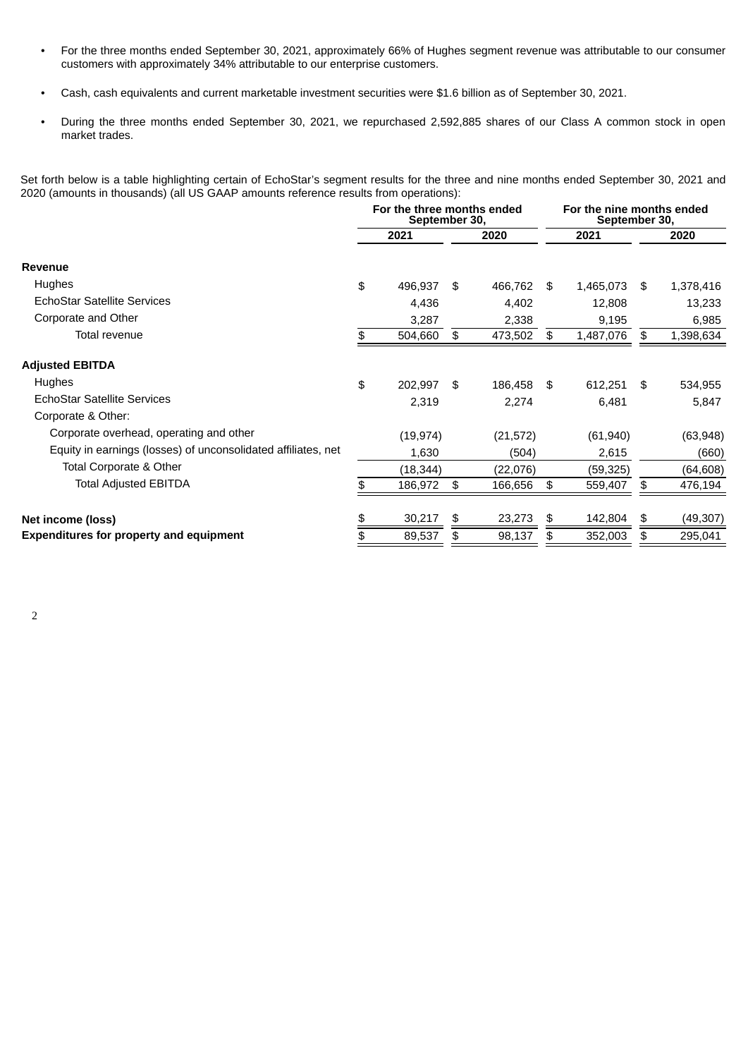- For the three months ended September 30, 2021, approximately 66% of Hughes segment revenue was attributable to our consumer customers with approximately 34% attributable to our enterprise customers.
- Cash, cash equivalents and current marketable investment securities were \$1.6 billion as of September 30, 2021.
- During the three months ended September 30, 2021, we repurchased 2,592,885 shares of our Class A common stock in open market trades.

Set forth below is a table highlighting certain of EchoStar's segment results for the three and nine months ended September 30, 2021 and 2020 (amounts in thousands) (all US GAAP amounts reference results from operations):

|                                                               | For the three months ended<br>September 30, |           |    | For the nine months ended<br>September 30, |    |           |    |           |
|---------------------------------------------------------------|---------------------------------------------|-----------|----|--------------------------------------------|----|-----------|----|-----------|
|                                                               |                                             | 2021      |    | 2020                                       |    | 2021      |    | 2020      |
| Revenue                                                       |                                             |           |    |                                            |    |           |    |           |
| Hughes                                                        | \$                                          | 496,937   | \$ | 466,762                                    | \$ | 1,465,073 | \$ | 1,378,416 |
| <b>EchoStar Satellite Services</b>                            |                                             | 4,436     |    | 4,402                                      |    | 12,808    |    | 13,233    |
| Corporate and Other                                           |                                             | 3,287     |    | 2,338                                      |    | 9,195     |    | 6,985     |
| Total revenue                                                 | \$                                          | 504,660   | \$ | 473,502                                    | \$ | 1,487,076 | \$ | 1,398,634 |
| <b>Adjusted EBITDA</b>                                        |                                             |           |    |                                            |    |           |    |           |
| <b>Hughes</b>                                                 | \$                                          | 202,997   | \$ | 186,458                                    | \$ | 612,251   | \$ | 534,955   |
| <b>EchoStar Satellite Services</b>                            |                                             | 2,319     |    | 2,274                                      |    | 6,481     |    | 5,847     |
| Corporate & Other:                                            |                                             |           |    |                                            |    |           |    |           |
| Corporate overhead, operating and other                       |                                             | (19, 974) |    | (21, 572)                                  |    | (61, 940) |    | (63, 948) |
| Equity in earnings (losses) of unconsolidated affiliates, net |                                             | 1,630     |    | (504)                                      |    | 2,615     |    | (660)     |
| Total Corporate & Other                                       |                                             | (18, 344) |    | (22,076)                                   |    | (59, 325) |    | (64, 608) |
| <b>Total Adjusted EBITDA</b>                                  |                                             | 186,972   | \$ | 166,656                                    | \$ | 559,407   | \$ | 476,194   |
|                                                               |                                             |           |    |                                            |    |           |    |           |
| Net income (loss)                                             | \$                                          | 30,217    | \$ | 23,273                                     | \$ | 142,804   | \$ | (49, 307) |
| <b>Expenditures for property and equipment</b>                | \$                                          | 89,537    | \$ | 98,137                                     | \$ | 352,003   | \$ | 295,041   |
|                                                               |                                             |           |    |                                            |    |           |    |           |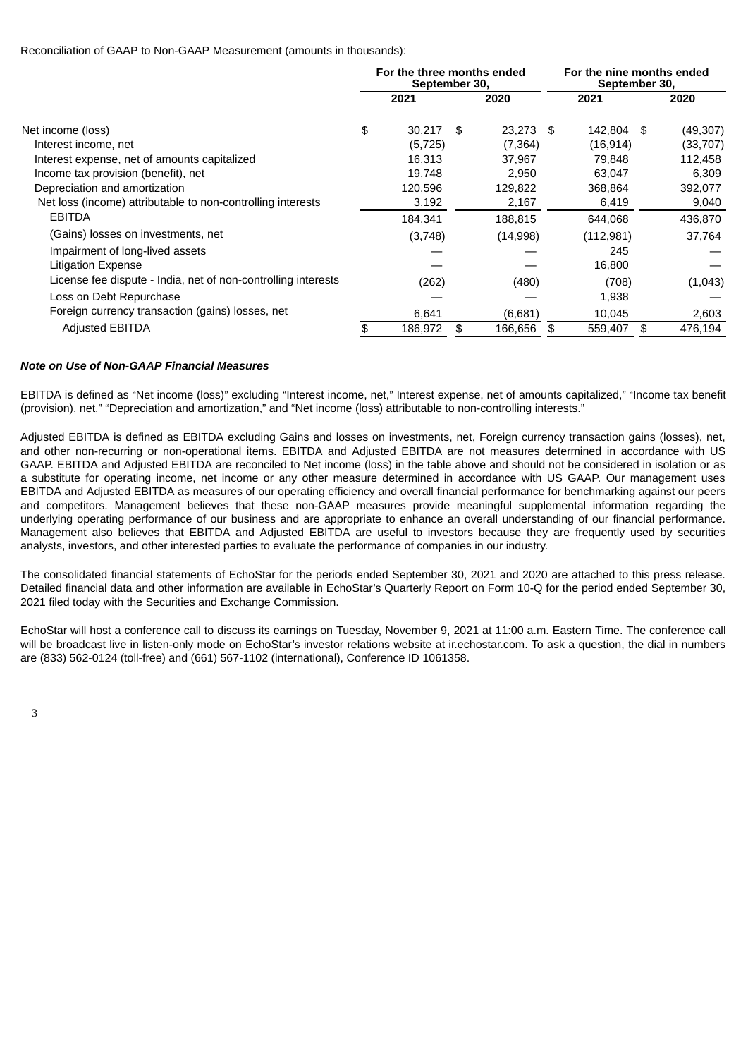Reconciliation of GAAP to Non-GAAP Measurement (amounts in thousands):

|                                                               | For the three months ended<br>September 30, |          |    | For the nine months ended<br>September 30, |    |            |    |           |
|---------------------------------------------------------------|---------------------------------------------|----------|----|--------------------------------------------|----|------------|----|-----------|
|                                                               |                                             | 2021     |    | 2020                                       |    | 2021       |    | 2020      |
| Net income (loss)                                             | \$                                          | 30,217   | \$ | $23,273$ \$                                |    | 142,804 \$ |    | (49, 307) |
| Interest income, net                                          |                                             | (5, 725) |    | (7, 364)                                   |    | (16, 914)  |    | (33,707)  |
| Interest expense, net of amounts capitalized                  |                                             | 16,313   |    | 37,967                                     |    | 79,848     |    | 112,458   |
| Income tax provision (benefit), net                           |                                             | 19,748   |    | 2,950                                      |    | 63,047     |    | 6,309     |
| Depreciation and amortization                                 |                                             | 120,596  |    | 129,822                                    |    | 368,864    |    | 392,077   |
| Net loss (income) attributable to non-controlling interests   |                                             | 3,192    |    | 2,167                                      |    | 6,419      |    | 9,040     |
| <b>EBITDA</b>                                                 |                                             | 184,341  |    | 188,815                                    |    | 644,068    |    | 436,870   |
| (Gains) losses on investments, net                            |                                             | (3,748)  |    | (14,998)                                   |    | (112,981)  |    | 37,764    |
| Impairment of long-lived assets                               |                                             |          |    |                                            |    | 245        |    |           |
| <b>Litigation Expense</b>                                     |                                             |          |    |                                            |    | 16,800     |    |           |
| License fee dispute - India, net of non-controlling interests |                                             | (262)    |    | (480)                                      |    | (708)      |    | (1,043)   |
| Loss on Debt Repurchase                                       |                                             |          |    |                                            |    | 1,938      |    |           |
| Foreign currency transaction (gains) losses, net              |                                             | 6,641    |    | (6,681)                                    |    | 10,045     |    | 2,603     |
| <b>Adjusted EBITDA</b>                                        |                                             | 186,972  | \$ | 166,656                                    | \$ | 559,407    | \$ | 476,194   |

## *Note on Use of Non-GAAP Financial Measures*

EBITDA is defined as "Net income (loss)" excluding "Interest income, net," Interest expense, net of amounts capitalized," "Income tax benefit (provision), net," "Depreciation and amortization," and "Net income (loss) attributable to non-controlling interests."

Adjusted EBITDA is defined as EBITDA excluding Gains and losses on investments, net, Foreign currency transaction gains (losses), net, and other non-recurring or non-operational items. EBITDA and Adjusted EBITDA are not measures determined in accordance with US GAAP. EBITDA and Adjusted EBITDA are reconciled to Net income (loss) in the table above and should not be considered in isolation or as a substitute for operating income, net income or any other measure determined in accordance with US GAAP. Our management uses EBITDA and Adjusted EBITDA as measures of our operating efficiency and overall financial performance for benchmarking against our peers and competitors. Management believes that these non-GAAP measures provide meaningful supplemental information regarding the underlying operating performance of our business and are appropriate to enhance an overall understanding of our financial performance. Management also believes that EBITDA and Adjusted EBITDA are useful to investors because they are frequently used by securities analysts, investors, and other interested parties to evaluate the performance of companies in our industry.

The consolidated financial statements of EchoStar for the periods ended September 30, 2021 and 2020 are attached to this press release. Detailed financial data and other information are available in EchoStar's Quarterly Report on Form 10-Q for the period ended September 30, 2021 filed today with the Securities and Exchange Commission.

EchoStar will host a conference call to discuss its earnings on Tuesday, November 9, 2021 at 11:00 a.m. Eastern Time. The conference call will be broadcast live in listen-only mode on EchoStar's investor relations website at ir.echostar.com. To ask a question, the dial in numbers are (833) 562-0124 (toll-free) and (661) 567-1102 (international), Conference ID 1061358.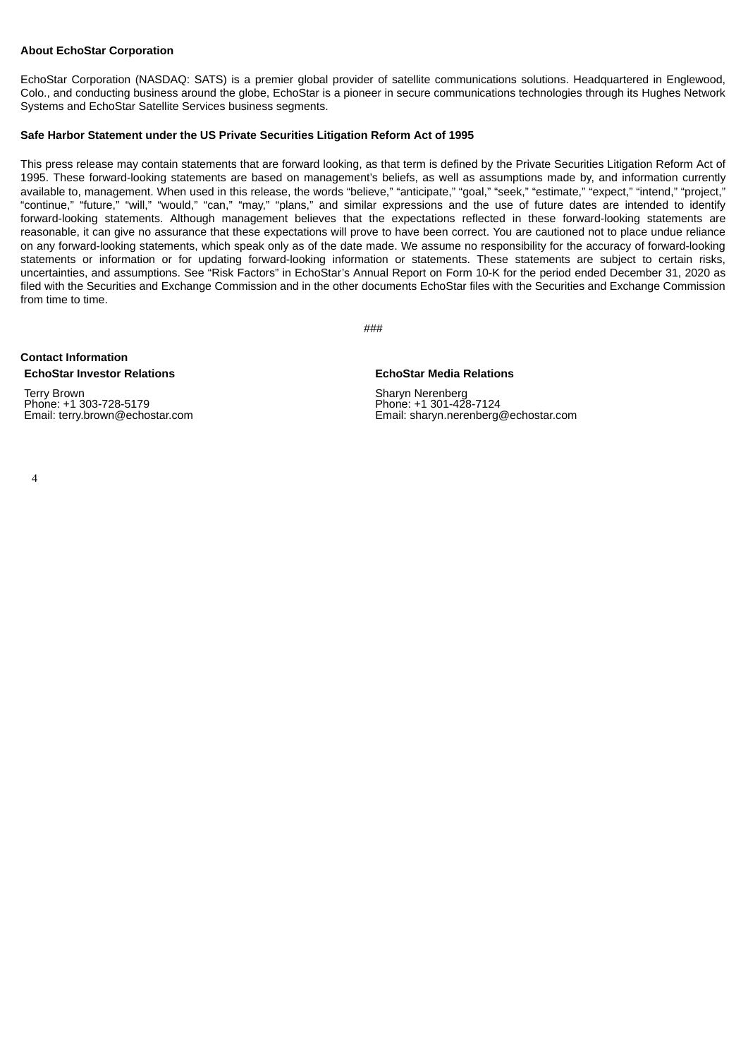## **About EchoStar Corporation**

EchoStar Corporation (NASDAQ: SATS) is a premier global provider of satellite communications solutions. Headquartered in Englewood, Colo., and conducting business around the globe, EchoStar is a pioneer in secure communications technologies through its Hughes Network Systems and EchoStar Satellite Services business segments.

#### **Safe Harbor Statement under the US Private Securities Litigation Reform Act of 1995**

This press release may contain statements that are forward looking, as that term is defined by the Private Securities Litigation Reform Act of 1995. These forward-looking statements are based on management's beliefs, as well as assumptions made by, and information currently available to, management. When used in this release, the words "believe," "anticipate," "goal," "seek," "estimate," "expect," "intend," "project," "continue," "future," "will," "would," "can," "may," "plans," and similar expressions and the use of future dates are intended to identify forward-looking statements. Although management believes that the expectations reflected in these forward-looking statements are reasonable, it can give no assurance that these expectations will prove to have been correct. You are cautioned not to place undue reliance on any forward-looking statements, which speak only as of the date made. We assume no responsibility for the accuracy of forward-looking statements or information or for updating forward-looking information or statements. These statements are subject to certain risks, uncertainties, and assumptions. See "Risk Factors" in EchoStar's Annual Report on Form 10-K for the period ended December 31, 2020 as filed with the Securities and Exchange Commission and in the other documents EchoStar files with the Securities and Exchange Commission from time to time.

###

## **Contact Information EchoStar Investor Relations EchoStar Media Relations**

Terry Brown Phone: +1 303-728-5179 Email: terry.brown@echostar.com

Sharyn Nerenberg Phone: +1 301-428-7124 Email: sharyn.nerenberg@echostar.com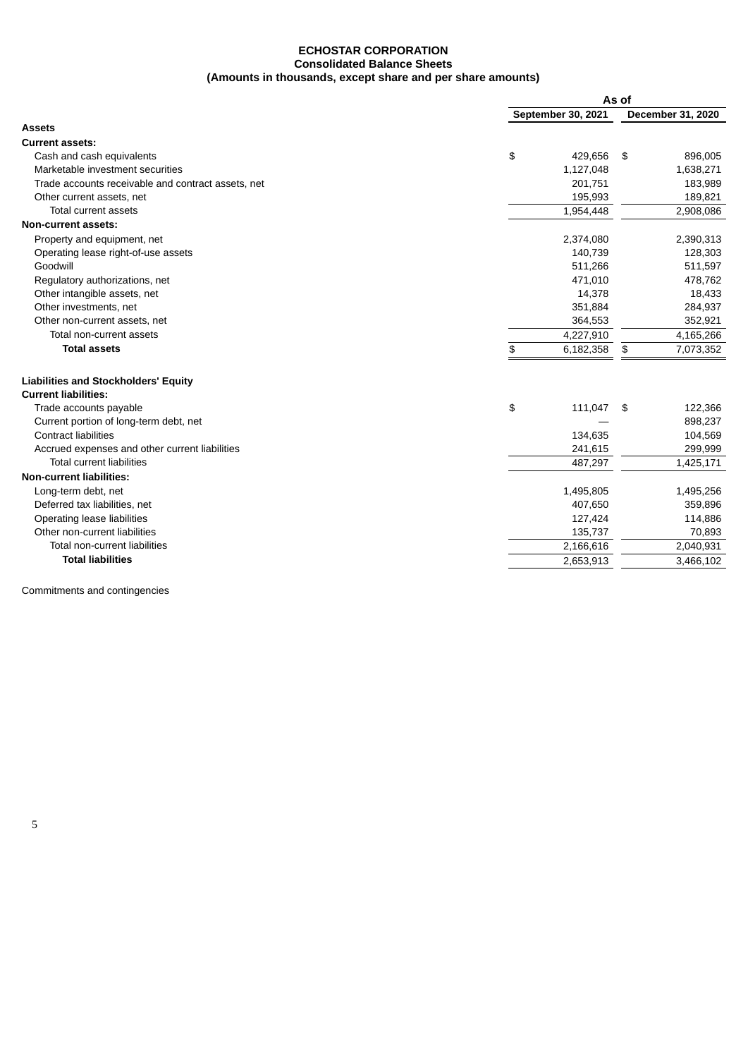# **ECHOSTAR CORPORATION Consolidated Balance Sheets (Amounts in thousands, except share and per share amounts)**

|                                                    | As of |                    |    |                   |  |
|----------------------------------------------------|-------|--------------------|----|-------------------|--|
|                                                    |       | September 30, 2021 |    | December 31, 2020 |  |
| <b>Assets</b>                                      |       |                    |    |                   |  |
| <b>Current assets:</b>                             |       |                    |    |                   |  |
| Cash and cash equivalents                          | \$    | 429.656            | \$ | 896,005           |  |
| Marketable investment securities                   |       | 1,127,048          |    | 1,638,271         |  |
| Trade accounts receivable and contract assets, net |       | 201,751            |    | 183,989           |  |
| Other current assets, net                          |       | 195,993            |    | 189,821           |  |
| <b>Total current assets</b>                        |       | 1,954,448          |    | 2,908,086         |  |
| <b>Non-current assets:</b>                         |       |                    |    |                   |  |
| Property and equipment, net                        |       | 2,374,080          |    | 2,390,313         |  |
| Operating lease right-of-use assets                |       | 140,739            |    | 128,303           |  |
| Goodwill                                           |       | 511,266            |    | 511,597           |  |
| Regulatory authorizations, net                     |       | 471,010            |    | 478,762           |  |
| Other intangible assets, net                       |       | 14,378             |    | 18,433            |  |
| Other investments, net                             |       | 351,884            |    | 284,937           |  |
| Other non-current assets, net                      |       | 364,553            |    | 352,921           |  |
| Total non-current assets                           |       | 4,227,910          |    | 4,165,266         |  |
| <b>Total assets</b>                                | \$    | 6,182,358          | \$ | 7,073,352         |  |
| <b>Liabilities and Stockholders' Equity</b>        |       |                    |    |                   |  |
| <b>Current liabilities:</b>                        |       |                    |    |                   |  |
| Trade accounts payable                             | \$    | 111,047            | \$ | 122,366           |  |
| Current portion of long-term debt, net             |       |                    |    | 898,237           |  |
| <b>Contract liabilities</b>                        |       | 134,635            |    | 104,569           |  |
| Accrued expenses and other current liabilities     |       | 241,615            |    | 299,999           |  |
| <b>Total current liabilities</b>                   |       | 487,297            |    | 1,425,171         |  |
| <b>Non-current liabilities:</b>                    |       |                    |    |                   |  |
| Long-term debt, net                                |       | 1,495,805          |    | 1,495,256         |  |
| Deferred tax liabilities, net                      |       | 407,650            |    | 359,896           |  |
| Operating lease liabilities                        |       | 127,424            |    | 114,886           |  |
| Other non-current liabilities                      |       | 135,737            |    | 70,893            |  |
| Total non-current liabilities                      |       | 2,166,616          |    | 2,040,931         |  |
| <b>Total liabilities</b>                           |       | 2,653,913          |    | 3,466,102         |  |
|                                                    |       |                    |    |                   |  |

Commitments and contingencies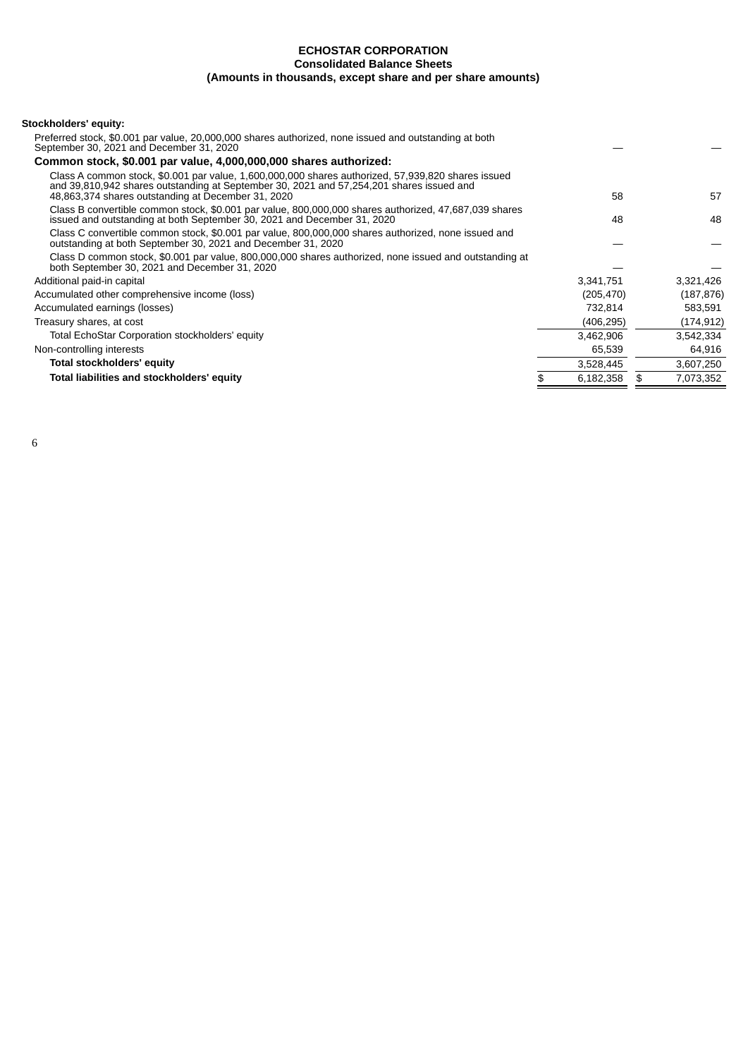# **ECHOSTAR CORPORATION**

**Consolidated Balance Sheets (Amounts in thousands, except share and per share amounts)**

## **Stockholders' equity:**

| Preferred stock, \$0.001 par value, 20,000,000 shares authorized, none issued and outstanding at both<br>September 30, 2021 and December 31, 2020                                                                                                    |            |            |
|------------------------------------------------------------------------------------------------------------------------------------------------------------------------------------------------------------------------------------------------------|------------|------------|
| Common stock, \$0.001 par value, 4,000,000,000 shares authorized:                                                                                                                                                                                    |            |            |
| Class A common stock, \$0.001 par value, 1,600,000,000 shares authorized, 57,939,820 shares issued<br>and 39,810,942 shares outstanding at September 30, 2021 and 57,254,201 shares issued and<br>48,863,374 shares outstanding at December 31, 2020 | 58         | 57         |
| Class B convertible common stock, \$0.001 par value, 800,000,000 shares authorized, 47,687,039 shares<br>issued and outstanding at both September 30, 2021 and December 31, 2020                                                                     | 48         | 48         |
| Class C convertible common stock, \$0.001 par value, 800,000,000 shares authorized, none issued and<br>outstanding at both September 30, 2021 and December 31, 2020                                                                                  |            |            |
| Class D common stock, \$0.001 par value, 800,000,000 shares authorized, none issued and outstanding at<br>both September 30, 2021 and December 31, 2020                                                                                              |            |            |
| Additional paid-in capital                                                                                                                                                                                                                           | 3,341,751  | 3,321,426  |
| Accumulated other comprehensive income (loss)                                                                                                                                                                                                        | (205, 470) | (187, 876) |
| Accumulated earnings (losses)                                                                                                                                                                                                                        | 732,814    | 583.591    |
| Treasury shares, at cost                                                                                                                                                                                                                             | (406, 295) | (174, 912) |
| Total EchoStar Corporation stockholders' equity                                                                                                                                                                                                      | 3,462,906  | 3,542,334  |
| Non-controlling interests                                                                                                                                                                                                                            | 65,539     | 64,916     |
| <b>Total stockholders' equity</b>                                                                                                                                                                                                                    | 3,528,445  | 3,607,250  |
| Total liabilities and stockholders' equity                                                                                                                                                                                                           | 6,182,358  | 7,073,352  |
|                                                                                                                                                                                                                                                      |            |            |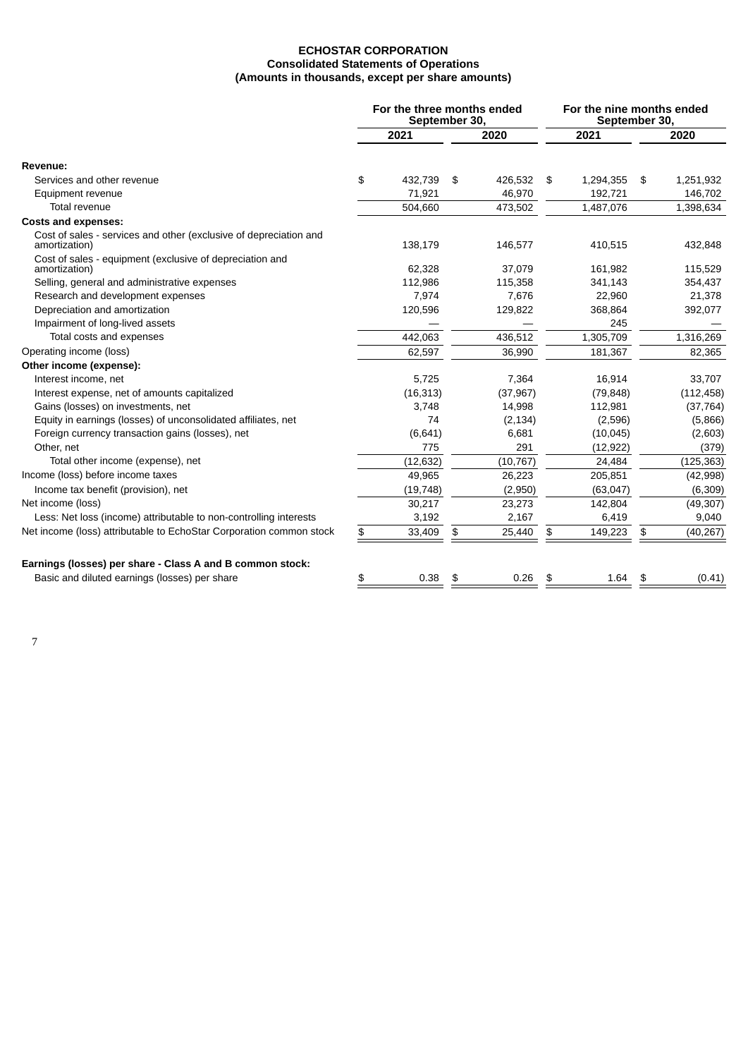## **ECHOSTAR CORPORATION Consolidated Statements of Operations (Amounts in thousands, except per share amounts)**

|                                                                                    | For the three months ended<br>September 30, |           |    | For the nine months ended<br>September 30, |    |           |    |            |
|------------------------------------------------------------------------------------|---------------------------------------------|-----------|----|--------------------------------------------|----|-----------|----|------------|
|                                                                                    |                                             | 2021      |    | 2020                                       |    | 2021      |    | 2020       |
| Revenue:                                                                           |                                             |           |    |                                            |    |           |    |            |
| Services and other revenue                                                         | \$                                          | 432,739   | \$ | 426,532                                    | \$ | 1,294,355 | \$ | 1,251,932  |
| Equipment revenue                                                                  |                                             | 71,921    |    | 46,970                                     |    | 192,721   |    | 146,702    |
| Total revenue                                                                      |                                             | 504,660   |    | 473,502                                    |    | 1,487,076 |    | 1,398,634  |
| <b>Costs and expenses:</b>                                                         |                                             |           |    |                                            |    |           |    |            |
| Cost of sales - services and other (exclusive of depreciation and<br>amortization) |                                             | 138,179   |    | 146,577                                    |    | 410,515   |    | 432,848    |
| Cost of sales - equipment (exclusive of depreciation and<br>amortization)          |                                             | 62,328    |    | 37,079                                     |    | 161,982   |    | 115,529    |
| Selling, general and administrative expenses                                       |                                             | 112,986   |    | 115,358                                    |    | 341,143   |    | 354,437    |
| Research and development expenses                                                  |                                             | 7,974     |    | 7,676                                      |    | 22,960    |    | 21,378     |
| Depreciation and amortization                                                      |                                             | 120,596   |    | 129,822                                    |    | 368,864   |    | 392,077    |
| Impairment of long-lived assets                                                    |                                             |           |    |                                            |    | 245       |    |            |
| Total costs and expenses                                                           |                                             | 442,063   |    | 436,512                                    |    | 1,305,709 |    | 1,316,269  |
| Operating income (loss)                                                            |                                             | 62,597    |    | 36.990                                     |    | 181,367   |    | 82,365     |
| Other income (expense):                                                            |                                             |           |    |                                            |    |           |    |            |
| Interest income, net                                                               |                                             | 5,725     |    | 7,364                                      |    | 16,914    |    | 33,707     |
| Interest expense, net of amounts capitalized                                       |                                             | (16, 313) |    | (37, 967)                                  |    | (79, 848) |    | (112, 458) |
| Gains (losses) on investments, net                                                 |                                             | 3,748     |    | 14,998                                     |    | 112,981   |    | (37, 764)  |
| Equity in earnings (losses) of unconsolidated affiliates, net                      |                                             | 74        |    | (2, 134)                                   |    | (2,596)   |    | (5,866)    |
| Foreign currency transaction gains (losses), net                                   |                                             | (6, 641)  |    | 6,681                                      |    | (10, 045) |    | (2,603)    |
| Other, net                                                                         |                                             | 775       |    | 291                                        |    | (12, 922) |    | (379)      |
| Total other income (expense), net                                                  |                                             | (12, 632) |    | (10, 767)                                  |    | 24,484    |    | (125, 363) |
| Income (loss) before income taxes                                                  |                                             | 49,965    |    | 26,223                                     |    | 205,851   |    | (42,998)   |
| Income tax benefit (provision), net                                                |                                             | (19, 748) |    | (2,950)                                    |    | (63, 047) |    | (6, 309)   |
| Net income (loss)                                                                  |                                             | 30,217    |    | 23,273                                     |    | 142,804   |    | (49, 307)  |
| Less: Net loss (income) attributable to non-controlling interests                  |                                             | 3,192     |    | 2,167                                      |    | 6,419     |    | 9,040      |
| Net income (loss) attributable to EchoStar Corporation common stock                | \$                                          | 33,409    | \$ | 25,440                                     | \$ | 149,223   | \$ | (40, 267)  |
| Earnings (losses) per share - Class A and B common stock:                          |                                             |           |    |                                            |    |           |    |            |
| Basic and diluted earnings (losses) per share                                      | \$                                          | 0.38      | \$ | 0.26                                       | \$ | 1.64      | \$ | (0.41)     |